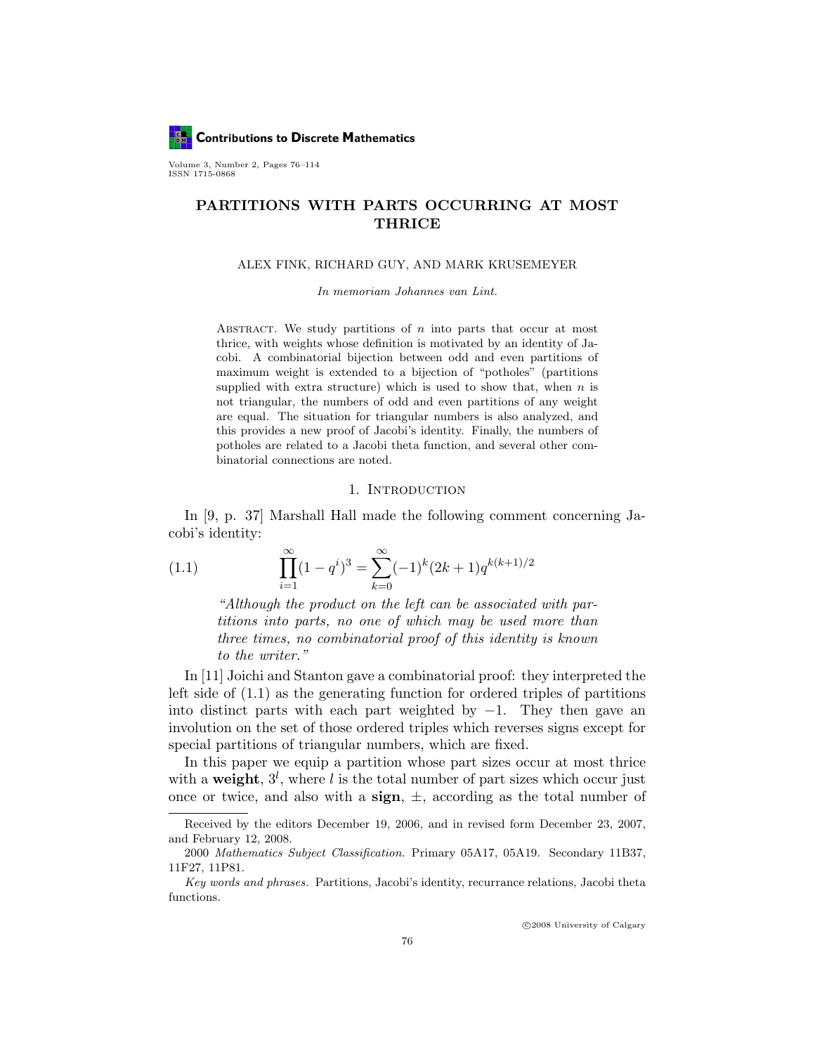**Contributions to Discrete Mathematics** 

Volume 3, Number 2, Pages 76–114 ISSN 1715-0868

# PARTITIONS WITH PARTS OCCURRING AT MOST THRICE

#### ALEX FINK, RICHARD GUY, AND MARK KRUSEMEYER

In memoriam Johannes van Lint.

ABSTRACT. We study partitions of  $n$  into parts that occur at most thrice, with weights whose definition is motivated by an identity of Jacobi. A combinatorial bijection between odd and even partitions of maximum weight is extended to a bijection of "potholes" (partitions supplied with extra structure) which is used to show that, when  $n$  is not triangular, the numbers of odd and even partitions of any weight are equal. The situation for triangular numbers is also analyzed, and this provides a new proof of Jacobi's identity. Finally, the numbers of potholes are related to a Jacobi theta function, and several other combinatorial connections are noted.

### 1. INTRODUCTION

In [9, p. 37] Marshall Hall made the following comment concerning Jacobi's identity:

(1.1) 
$$
\prod_{i=1}^{\infty} (1 - q^i)^3 = \sum_{k=0}^{\infty} (-1)^k (2k+1) q^{k(k+1)/2}
$$

"Although the product on the left can be associated with partitions into parts, no one of which may be used more than three times, no combinatorial proof of this identity is known to the writer."

In [11] Joichi and Stanton gave a combinatorial proof: they interpreted the left side of (1.1) as the generating function for ordered triples of partitions into distinct parts with each part weighted by  $-1$ . They then gave an involution on the set of those ordered triples which reverses signs except for special partitions of triangular numbers, which are fixed.

In this paper we equip a partition whose part sizes occur at most thrice with a weight,  $3^l$ , where l is the total number of part sizes which occur just once or twice, and also with a sign,  $\pm$ , according as the total number of

Received by the editors December 19, 2006, and in revised form December 23, 2007, and February 12, 2008.

<sup>2000</sup> Mathematics Subject Classification. Primary 05A17, 05A19. Secondary 11B37, 11F27, 11P81.

Key words and phrases. Partitions, Jacobi's identity, recurrance relations, Jacobi theta functions.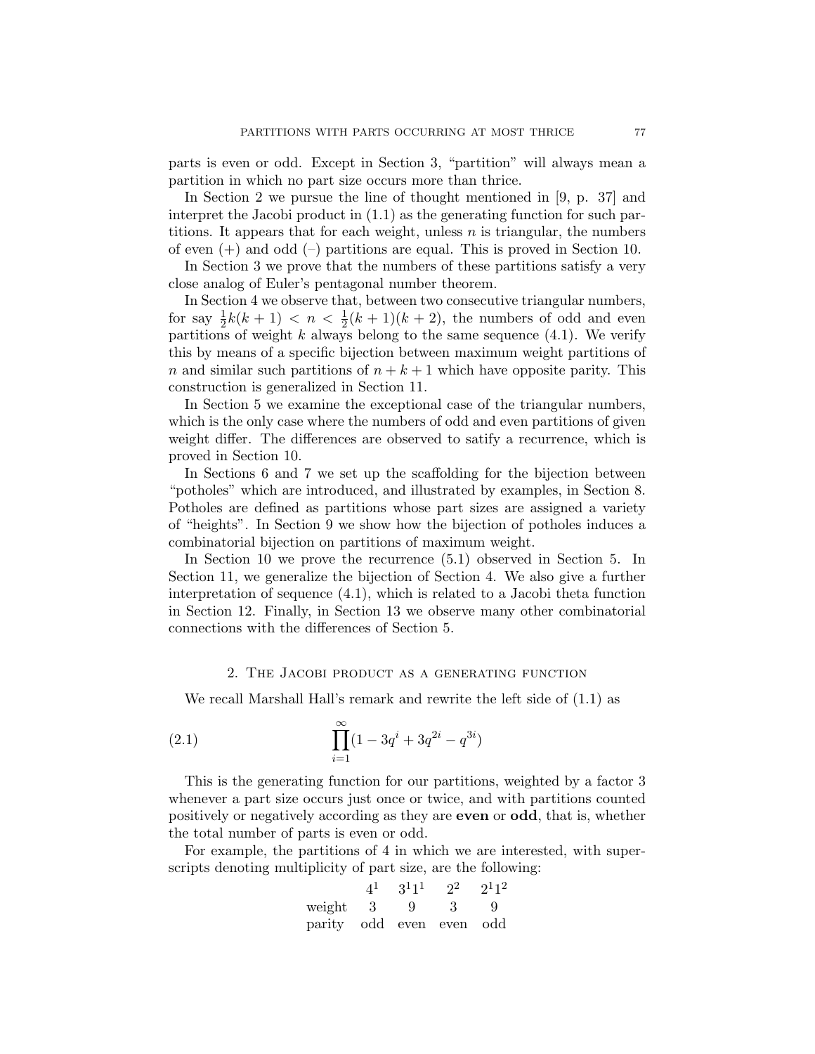parts is even or odd. Except in Section 3, "partition" will always mean a partition in which no part size occurs more than thrice.

In Section 2 we pursue the line of thought mentioned in [9, p. 37] and interpret the Jacobi product in (1.1) as the generating function for such partitions. It appears that for each weight, unless  $n$  is triangular, the numbers of even  $(+)$  and odd  $(-)$  partitions are equal. This is proved in Section 10.

In Section 3 we prove that the numbers of these partitions satisfy a very close analog of Euler's pentagonal number theorem.

In Section 4 we observe that, between two consecutive triangular numbers, for say  $\frac{1}{2}k(k+1) < n < \frac{1}{2}(k+1)(k+2)$ , the numbers of odd and even partitions of weight  $k$  always belong to the same sequence  $(4.1)$ . We verify this by means of a specific bijection between maximum weight partitions of n and similar such partitions of  $n + k + 1$  which have opposite parity. This construction is generalized in Section 11.

In Section 5 we examine the exceptional case of the triangular numbers, which is the only case where the numbers of odd and even partitions of given weight differ. The differences are observed to satify a recurrence, which is proved in Section 10.

In Sections 6 and 7 we set up the scaffolding for the bijection between "potholes" which are introduced, and illustrated by examples, in Section 8. Potholes are defined as partitions whose part sizes are assigned a variety of "heights". In Section 9 we show how the bijection of potholes induces a combinatorial bijection on partitions of maximum weight.

In Section 10 we prove the recurrence (5.1) observed in Section 5. In Section 11, we generalize the bijection of Section 4. We also give a further interpretation of sequence (4.1), which is related to a Jacobi theta function in Section 12. Finally, in Section 13 we observe many other combinatorial connections with the differences of Section 5.

### 2. The Jacobi product as a generating function

We recall Marshall Hall's remark and rewrite the left side of (1.1) as

(2.1) 
$$
\prod_{i=1}^{\infty} (1 - 3q^{i} + 3q^{2i} - q^{3i})
$$

This is the generating function for our partitions, weighted by a factor 3 whenever a part size occurs just once or twice, and with partitions counted positively or negatively according as they are even or odd, that is, whether the total number of parts is even or odd.

For example, the partitions of 4 in which we are interested, with superscripts denoting multiplicity of part size, are the following:

|                          | $4^1$ | $3^11^1$ | $2^2$ | $2^{1}1^{2}$ |
|--------------------------|-------|----------|-------|--------------|
| weight 3                 |       | 9        | -3-   | - 9          |
| parity odd even even odd |       |          |       |              |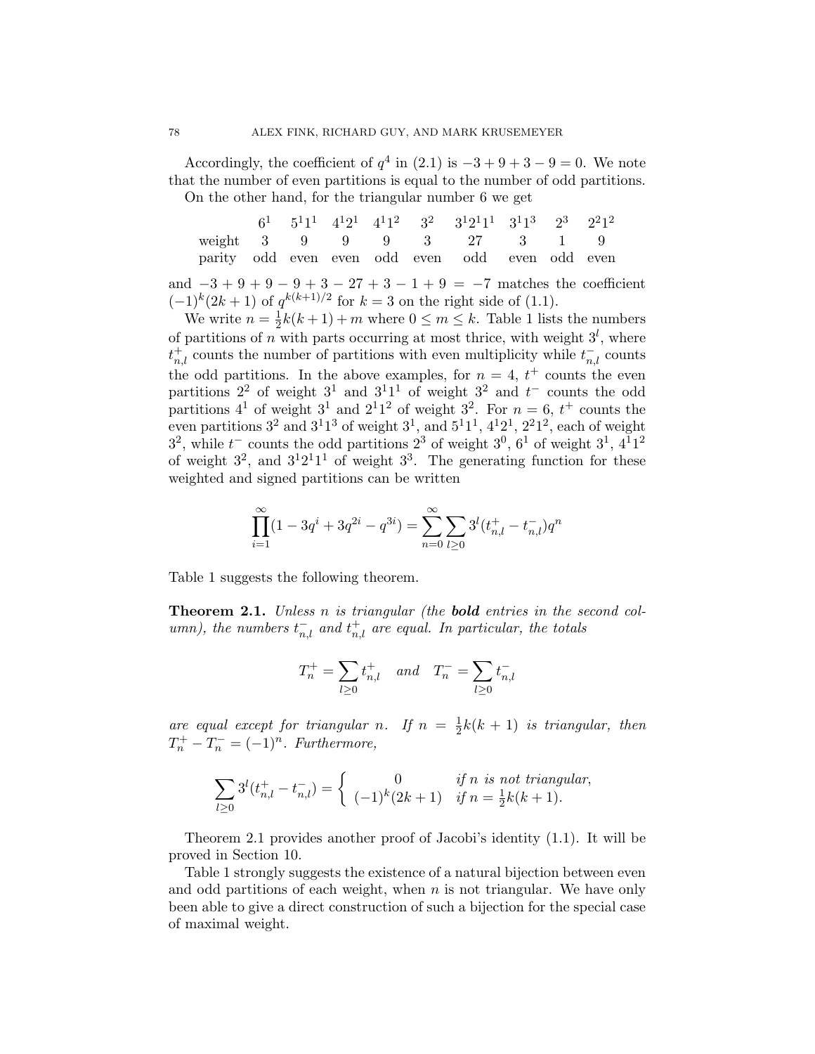Accordingly, the coefficient of  $q^4$  in (2.1) is  $-3+9+3-9=0$ . We note that the number of even partitions is equal to the number of odd partitions. On the other hand, for the triangular number 6 we get

 $6<sup>1</sup>$  $1 \quad 5^11^1 \quad 4^12^1 \quad 4^11^2 \quad 3$  $3^2$  $12^11^1$  3  $3^{1}1^{3}$  $2^3$ 3  $2^21^2$ weight 3 9 9 9 3 27 3 1 9 parity odd even even odd even odd even odd even

and  $-3 + 9 + 9 - 9 + 3 - 27 + 3 - 1 + 9 = -7$  matches the coefficient  $(-1)^k (2k+1)$  of  $q^{k(k+1)/2}$  for  $k=3$  on the right side of (1.1).

We write  $n=\frac{1}{2}$  $\frac{1}{2}k(k+1) + m$  where  $0 \leq m \leq k$ . Table 1 lists the numbers of partitions of n with parts occurring at most thrice, with weight  $3<sup>l</sup>$ , where  $t_{n,l}^+$  counts the number of partitions with even multiplicity while  $t_{n,l}^-$  counts the odd partitions. In the above examples, for  $n = 4$ ,  $t^+$  counts the even partitions  $2^2$  of weight  $3^1$  and  $3^11^1$  of weight  $3^2$  and  $t^-$  counts the odd partitions  $4^1$  of weight  $3^1$  and  $2^11^2$  of weight  $3^2$ . For  $n = 6, t^+$  counts the even partitions  $3^2$  and  $3^11^3$  of weight  $3^1$ , and  $5^11^1$ ,  $4^12^1$ ,  $2^21^2$ , each of weight  $3^2$ , while  $t^-$  counts the odd partitions  $2^3$  of weight  $3^0$ ,  $6^1$  of weight  $3^1$ ,  $4^11^2$ of weight  $3^2$ , and  $3^12^11^1$  of weight  $3^3$ . The generating function for these weighted and signed partitions can be written

$$
\prod_{i=1}^{\infty} (1 - 3q^{i} + 3q^{2i} - q^{3i}) = \sum_{n=0}^{\infty} \sum_{l \ge 0} 3^{l} (t_{n,l}^{+} - t_{n,l}^{-}) q^{n}
$$

Table 1 suggests the following theorem.

**Theorem 2.1.** Unless n is triangular (the **bold** entries in the second column), the numbers  $t_{n,l}^-$  and  $t_{n,l}^+$  are equal. In particular, the totals

$$
T^+_n=\sum_{l\geq 0}t^+_{n,l}\quad and\quad T^-_n=\sum_{l\geq 0}t^-_{n,l}
$$

are equal except for triangular n. If  $n = \frac{1}{2}$  $\frac{1}{2}k(k+1)$  is triangular, then  $T_n^+ - T_n^- = (-1)^n$ . Furthermore,

$$
\sum_{l\geq 0} 3^l (t_{n,l}^+ - t_{n,l}^-) = \begin{cases} 0 & \text{if } n \text{ is not triangular,} \\ (-1)^k (2k+1) & \text{if } n = \frac{1}{2}k(k+1). \end{cases}
$$

Theorem 2.1 provides another proof of Jacobi's identity (1.1). It will be proved in Section 10.

Table 1 strongly suggests the existence of a natural bijection between even and odd partitions of each weight, when  $n$  is not triangular. We have only been able to give a direct construction of such a bijection for the special case of maximal weight.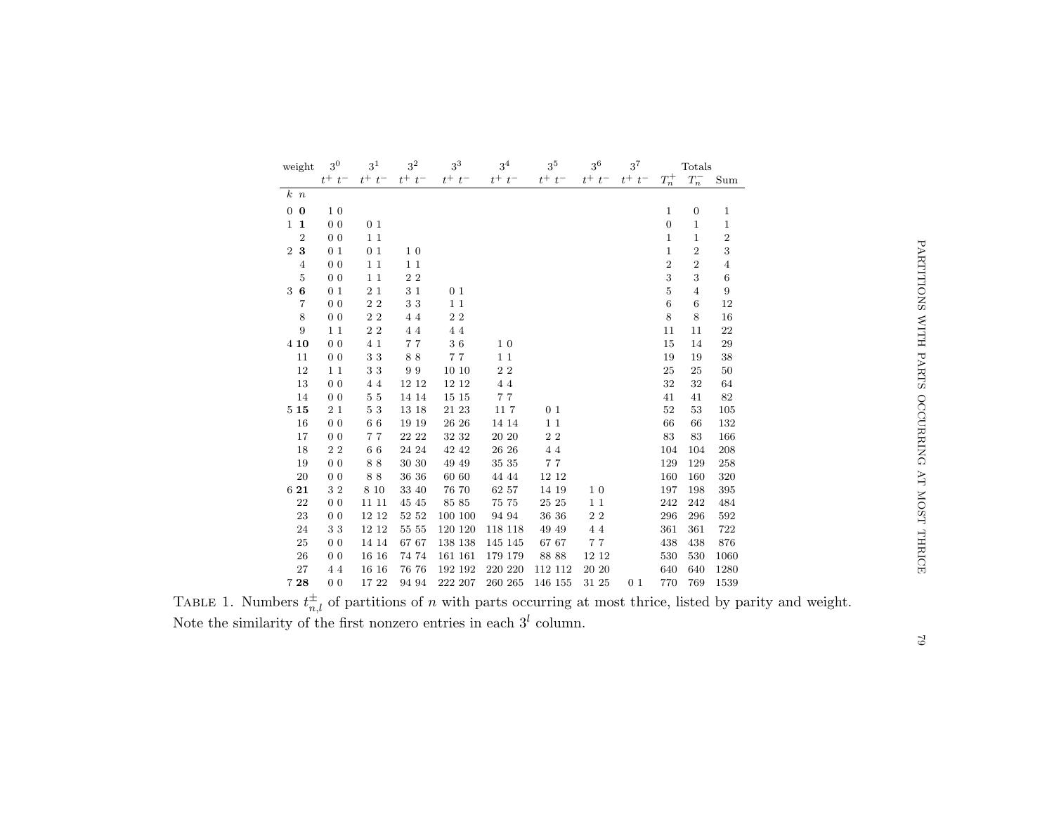| weight         | 3 <sup>0</sup> | $3^1$          | 3 <sup>2</sup> | $3^3$          | 3 <sup>4</sup> | $3^5$          | $3^6$          | $3^7$          |                | Totals          |                  |
|----------------|----------------|----------------|----------------|----------------|----------------|----------------|----------------|----------------|----------------|-----------------|------------------|
|                | $t^+ \ t^-$    | $t^+ \ t^-$    | $t^+ \ t^-$    | $t^+$ $t^-$    | $t^+ \ t^-$    | $t^+ \ t^-$    | $t^+$ $t^-$    | $t^+$ $t^-$    | $T_n^+$        | $T_n^-$         | Sum              |
| k, n           |                |                |                |                |                |                |                |                |                |                 |                  |
| $0\quad 0$     | 1 <sub>0</sub> |                |                |                |                |                |                |                | 1              | $\mathbf{0}$    | $\mathbf{1}$     |
| $1\quad1$      | 0 <sub>0</sub> | 0 <sub>1</sub> |                |                |                |                |                |                | $\overline{0}$ | $\mathbf{1}$    | $\mathbf{1}$     |
| $\overline{2}$ | 0 <sub>0</sub> | 11             |                |                |                |                |                |                | 1              | 1               | $\,2$            |
| 2 3            | 0 <sub>1</sub> | 0 <sub>1</sub> | 1 <sub>0</sub> |                |                |                |                |                | $\mathbf{1}$   | $\overline{2}$  | 3                |
| $\overline{4}$ | 0 <sub>0</sub> | 11             | 11             |                |                |                |                |                | $\overline{2}$ | $\overline{2}$  | $\bf 4$          |
| 5              | 0 <sub>0</sub> | 11             | $2\,2$         |                |                |                |                |                | 3              | 3               | $\,6$            |
| 36             | 0 <sub>1</sub> | $2\,$ $1\,$    | 31             | 0 <sub>1</sub> |                |                |                |                | $\overline{5}$ | $\overline{4}$  | $\boldsymbol{9}$ |
| $\overline{7}$ | 0 <sub>0</sub> | $2\,$ $2\,$    | 33             | $1\,1$         |                |                |                |                | $\,6$          | $6\phantom{1}6$ | 12               |
| 8              | 0 <sub>0</sub> | $2\,2$         | 44             | 22             |                |                |                |                | 8              | 8               | 16               |
| $\overline{9}$ | $1\,1$         | $2\,2$         | 44             | 44             |                |                |                |                | 11             | 11              | 22               |
| 4 10           | 0 <sub>0</sub> | 4 1            | 77             | 36             | 1 <sub>0</sub> |                |                |                | 15             | 14              | 29               |
| 11             | 0 <sub>0</sub> | 33             | 88             | 77             | 11             |                |                |                | 19             | 19              | 38               |
| 12             | $1\,1$         | 33             | 99             | 10 10          | $2\,2$         |                |                |                | 25             | 25              | 50               |
| 13             | 0 <sub>0</sub> | 44             | 12 12          | 12 12          | 44             |                |                |                | 32             | 32              | 64               |
| 14             | 0 <sub>0</sub> | $5\,$ $5\,$    | 14 14          | 15 15          | 77             |                |                |                | 41             | 41              | 82               |
| 515            | 21             | 53             | 13 18          | 21 23          | 117            | 0 <sub>1</sub> |                |                | 52             | 53              | 105              |
| 16             | 0 <sub>0</sub> | 66             | 19 19          | 26 26          | 14 14          | 11             |                |                | 66             | 66              | 132              |
| 17             | 0 <sub>0</sub> | 77             | 22 22          | 32 32          | 20 20          | $2\,$ $2\,$    |                |                | 83             | 83              | 166              |
| 18             | $2\,2$         | 66             | 24 24          | 42 42          | 26 26          | 4 4            |                |                | 104            | 104             | 208              |
| 19             | 0 <sub>0</sub> | 88             | 30 30          | 49 49          | 35 35          | 77             |                |                | 129            | 129             | 258              |
| 20             | 0 <sub>0</sub> | 88             | 36 36          | 60 60          | 44 44          | 12 12          |                |                | 160            | 160             | 320              |
| 6 21           | 32             | 8 10           | 33 40          | 76 70          | 62 57          | 14 19          | 1 <sub>0</sub> |                | 197            | 198             | 395              |
| 22             | 0 <sub>0</sub> | 11 11          | 45 45          | 85 85          | 75 75          | 25 25          | $1\,1$         |                | 242            | 242             | 484              |
| 23             | 0 <sub>0</sub> | 12 12          | 52 52          | 100 100        | 94 94          | 36 36          | $2\,$ $2\,$    |                | 296            | 296             | 592              |
| 24             | 33             | 12 12          | 55 55          | 120 120        | 118 118        | 49 49          | 44             |                | 361            | 361             | 722              |
| 25             | 0 <sub>0</sub> | 14 14          | 67 67          | 138 138        | 145 145        | 67 67          | 77             |                | 438            | 438             | 876              |
| 26             | 0 <sub>0</sub> | 16 16          | 74 74          | 161 161        | 179 179        | 88 88          | 12 12          |                | 530            | 530             | 1060             |
| 27             | 44             | 16 16          | 76 76          | 192 192        | 220 220        | 112 112        | 20 20          |                | 640            | 640             | 1280             |
| 728            | 0 <sub>0</sub> | 17 22          | 94 94          | 222 207        | 260 265        | 146 155        | 31 25          | 0 <sub>1</sub> | 770            | 769             | 1539             |

PARTITIONS WITH PARTS OCCURRING AT MOST THRICE PARTITIONS WITH PARTS OCCURRING AT MOST THRICE 79

TABLE 1. Numbers  $t_{n,l}^{\pm}$  of partitions of n with parts occurring at most thrice, listed by parity and weight. Note the similarity of the first nonzero entries in each  $3<sup>l</sup>$  column.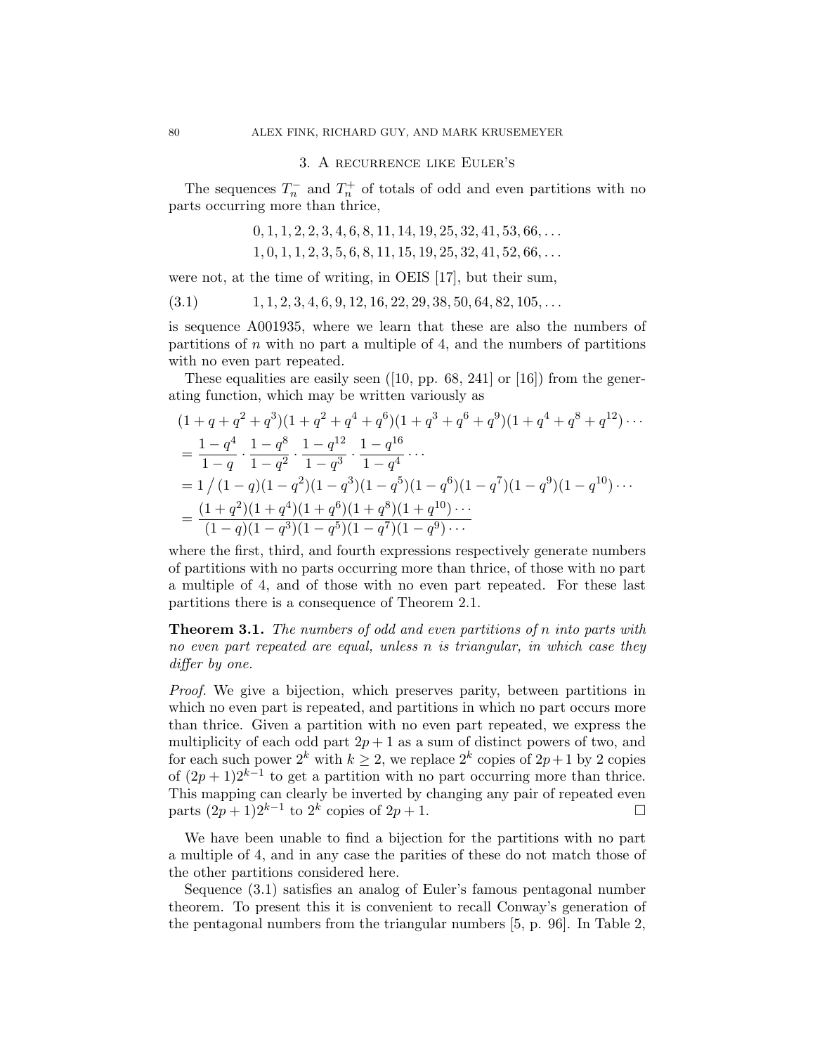#### 3. A recurrence like Euler's

The sequences  $T_n^-$  and  $T_n^+$  of totals of odd and even partitions with no parts occurring more than thrice,

$$
0, 1, 1, 2, 2, 3, 4, 6, 8, 11, 14, 19, 25, 32, 41, 53, 66, \ldots 1, 0, 1, 1, 2, 3, 5, 6, 8, 11, 15, 19, 25, 32, 41, 52, 66, \ldots
$$

were not, at the time of writing, in OEIS [17], but their sum,

 $(3.1)$  1, 1, 2, 3, 4, 6, 9, 12, 16, 22, 29, 38, 50, 64, 82, 105, ...

is sequence A001935, where we learn that these are also the numbers of partitions of  $n$  with no part a multiple of 4, and the numbers of partitions with no even part repeated.

These equalities are easily seen  $([10, pp. 68, 241]$  or  $[16]$  from the generating function, which may be written variously as

$$
(1+q+q^2+q^3)(1+q^2+q^4+q^6)(1+q^3+q^6+q^9)(1+q^4+q^8+q^{12})\cdots
$$
  
=  $\frac{1-q^4}{1-q} \cdot \frac{1-q^8}{1-q^2} \cdot \frac{1-q^{12}}{1-q^3} \cdot \frac{1-q^{16}}{1-q^4} \cdots$   
=  $1/(1-q)(1-q^2)(1-q^3)(1-q^5)(1-q^6)(1-q^7)(1-q^9)(1-q^{10})\cdots$   
=  $\frac{(1+q^2)(1+q^4)(1+q^6)(1+q^8)(1+q^{10})\cdots}{(1-q)(1-q^3)(1-q^5)(1-q^7)(1-q^9)\cdots}$ 

where the first, third, and fourth expressions respectively generate numbers of partitions with no parts occurring more than thrice, of those with no part a multiple of 4, and of those with no even part repeated. For these last partitions there is a consequence of Theorem 2.1.

Theorem 3.1. The numbers of odd and even partitions of n into parts with no even part repeated are equal, unless n is triangular, in which case they differ by one.

Proof. We give a bijection, which preserves parity, between partitions in which no even part is repeated, and partitions in which no part occurs more than thrice. Given a partition with no even part repeated, we express the multiplicity of each odd part  $2p + 1$  as a sum of distinct powers of two, and for each such power  $2^k$  with  $k \geq 2$ , we replace  $2^k$  copies of  $2p+1$  by 2 copies of  $(2p+1)2^{k-1}$  to get a partition with no part occurring more than thrice. This mapping can clearly be inverted by changing any pair of repeated even parts  $(2p + 1)2^{k-1}$  to  $2^k$  copies of  $2p + 1$ . □

We have been unable to find a bijection for the partitions with no part a multiple of 4, and in any case the parities of these do not match those of the other partitions considered here.

Sequence (3.1) satisfies an analog of Euler's famous pentagonal number theorem. To present this it is convenient to recall Conway's generation of the pentagonal numbers from the triangular numbers [5, p. 96]. In Table 2,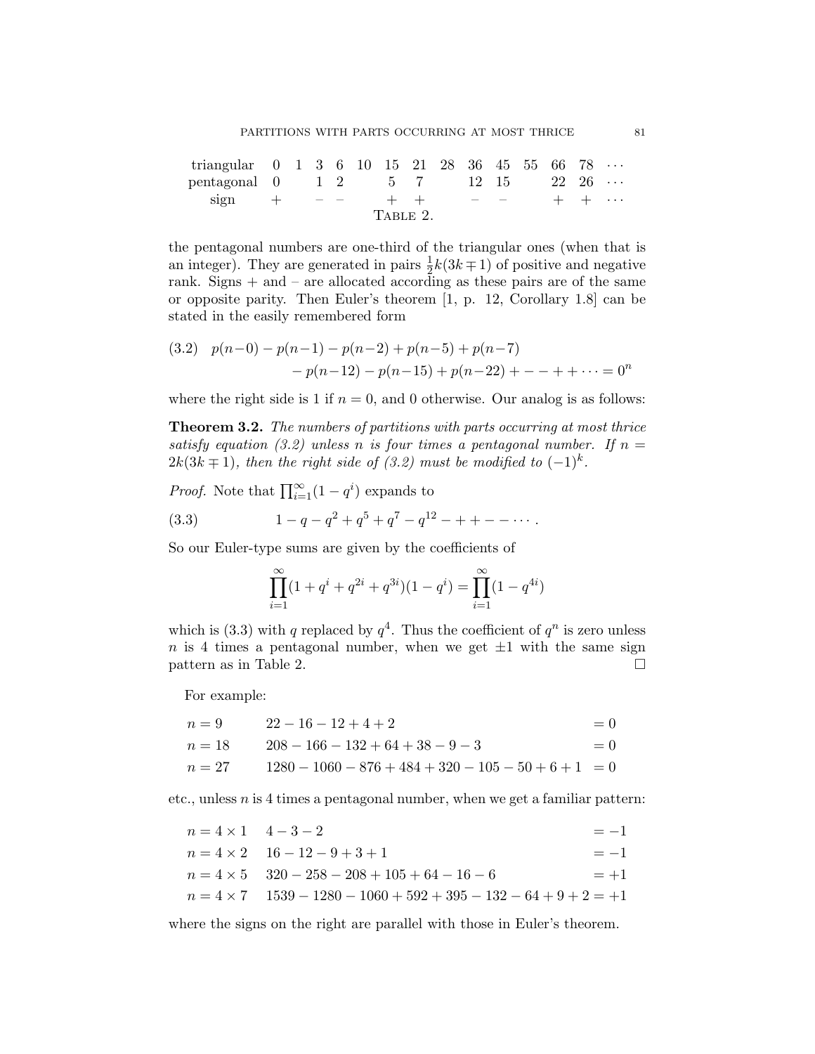| triangular $0 \t1 \t3 \t6 \t10 \t15 \t21 \t28 \t36 \t45 \t55 \t66 \t78 \t$ |  |  |          |  |      |  |              |  |
|----------------------------------------------------------------------------|--|--|----------|--|------|--|--------------|--|
| pentagonal $0 \t 1 \t 2 \t 5 \t 7 \t 12 \t 15 \t 22 \t 26 \t \cdots$       |  |  |          |  |      |  |              |  |
| sign $+$ $-$                                                               |  |  |          |  | $ -$ |  | $+ + \cdots$ |  |
|                                                                            |  |  | TABLE 2. |  |      |  |              |  |

the pentagonal numbers are one-third of the triangular ones (when that is an integer). They are generated in pairs  $\frac{1}{2}k(3k+1)$  of positive and negative rank. Signs  $+$  and  $-$  are allocated according as these pairs are of the same or opposite parity. Then Euler's theorem [1, p. 12, Corollary 1.8] can be stated in the easily remembered form

$$
(3.2) \quad p(n-0) - p(n-1) - p(n-2) + p(n-5) + p(n-7) \\
 \qquad - p(n-12) - p(n-15) + p(n-22) + \dots + \dots = 0^n
$$

where the right side is 1 if  $n = 0$ , and 0 otherwise. Our analog is as follows:

Theorem 3.2. The numbers of partitions with parts occurring at most thrice satisfy equation (3.2) unless n is four times a pentagonal number. If  $n =$  $2k(3k+1)$ , then the right side of (3.2) must be modified to  $(-1)^k$ .

*Proof.* Note that  $\prod_{i=1}^{\infty} (1 - q^i)$  expands to

(3.3) 
$$
1 - q - q^2 + q^5 + q^7 - q^{12} - + + - - \cdots
$$

So our Euler-type sums are given by the coefficients of

$$
\prod_{i=1}^{\infty} (1 + q^i + q^{2i} + q^{3i})(1 - q^i) = \prod_{i=1}^{\infty} (1 - q^{4i})
$$

which is (3.3) with q replaced by  $q^4$ . Thus the coefficient of  $q^n$  is zero unless n is 4 times a pentagonal number, when we get  $\pm 1$  with the same sign pattern as in Table 2.  $\Box$ 

For example:

$$
n = 9 \t 22 - 16 - 12 + 4 + 2 = 0
$$
  
\n
$$
n = 18 \t 208 - 166 - 132 + 64 + 38 - 9 - 3 = 0
$$
  
\n
$$
n = 27 \t 1280 - 1060 - 876 + 484 + 320 - 105 - 50 + 6 + 1 = 0
$$

etc., unless  $n$  is 4 times a pentagonal number, when we get a familiar pattern:

| $n = 4 \times 1$ $4-3-2$ |                                                                           | $=-1$ |
|--------------------------|---------------------------------------------------------------------------|-------|
|                          | $n = 4 \times 2$ $16 - 12 - 9 + 3 + 1$                                    | $=-1$ |
|                          | $n = 4 \times 5$ $320 - 258 - 208 + 105 + 64 - 16 - 6$                    | $=+1$ |
|                          | $n = 4 \times 7$ $1539 - 1280 - 1060 + 592 + 395 - 132 - 64 + 9 + 2 = +1$ |       |

where the signs on the right are parallel with those in Euler's theorem.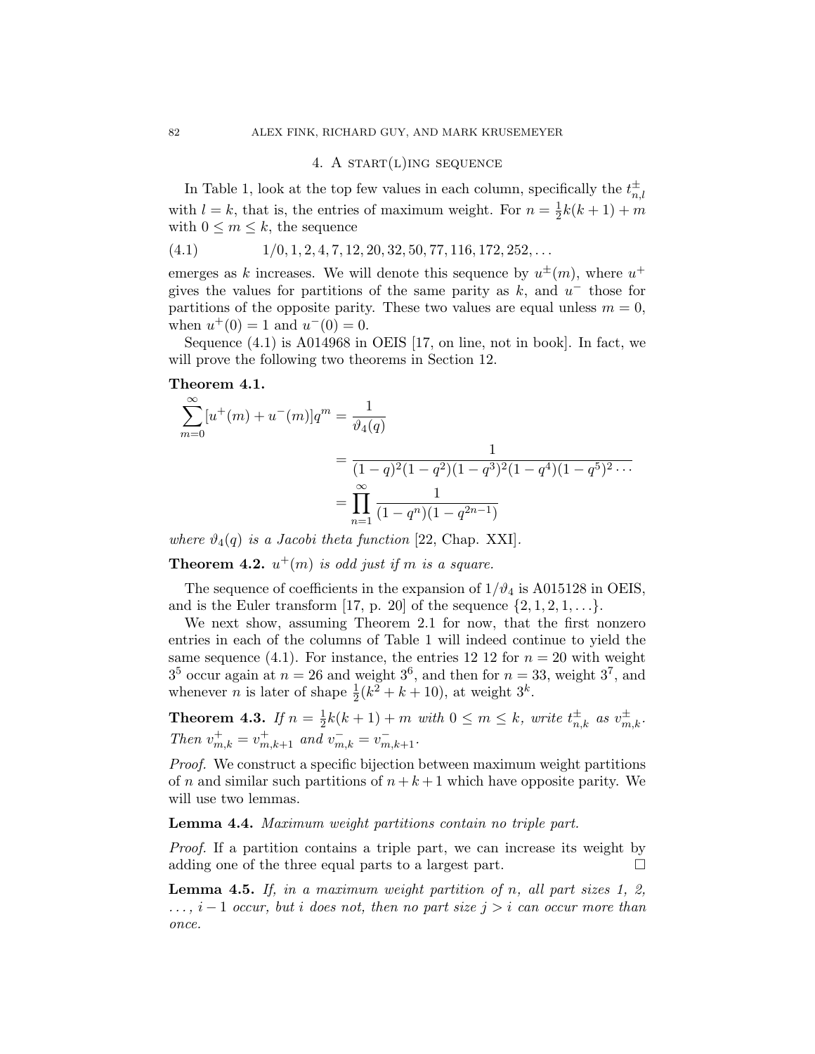### 4. A START $(L)$ ING SEQUENCE

In Table 1, look at the top few values in each column, specifically the  $t_n^{\pm}$  $_{n,l}$ with  $l = k$ , that is, the entries of maximum weight. For  $n = \frac{1}{2}$  $\frac{1}{2}k(k+1) + m$ with  $0 \leq m \leq k$ , the sequence

$$
(4.1) \t1/0, 1, 2, 4, 7, 12, 20, 32, 50, 77, 116, 172, 252, \ldots
$$

emerges as k increases. We will denote this sequence by  $u^{\pm}(m)$ , where  $u^{+}$ gives the values for partitions of the same parity as  $k$ , and  $u^-$  those for partitions of the opposite parity. These two values are equal unless  $m = 0$ , when  $u^+(0) = 1$  and  $u^-(0) = 0$ .

Sequence (4.1) is A014968 in OEIS [17, on line, not in book]. In fact, we will prove the following two theorems in Section 12.

### Theorem 4.1.

$$
\sum_{m=0}^{\infty} [u^+(m) + u^-(m)]q^m = \frac{1}{\vartheta_4(q)}
$$
  
= 
$$
\frac{1}{(1-q)^2(1-q^2)(1-q^3)^2(1-q^4)(1-q^5)^2\cdots}
$$
  
= 
$$
\prod_{n=1}^{\infty} \frac{1}{(1-q^n)(1-q^{2n-1})}
$$

where  $\vartheta_4(q)$  is a Jacobi theta function [22, Chap. XXI].

**Theorem 4.2.**  $u^+(m)$  is odd just if m is a square.

The sequence of coefficients in the expansion of  $1/\vartheta_4$  is A015128 in OEIS, and is the Euler transform [17, p. 20] of the sequence  $\{2, 1, 2, 1, \ldots\}$ .

We next show, assuming Theorem 2.1 for now, that the first nonzero entries in each of the columns of Table 1 will indeed continue to yield the same sequence (4.1). For instance, the entries 12 12 for  $n = 20$  with weight  $3^5$  occur again at  $n = 26$  and weight  $3^6$ , and then for  $n = 33$ , weight  $3^7$ , and whenever *n* is later of shape  $\frac{1}{2}(k^2 + k + 10)$ , at weight  $3^k$ .

**Theorem 4.3.** If 
$$
n = \frac{1}{2}k(k+1) + m
$$
 with  $0 \le m \le k$ , write  $t_{n,k}^{\pm}$  as  $v_{m,k}^{\pm}$ .  
Then  $v_{m,k}^{+} = v_{m,k+1}^{+}$  and  $v_{m,k}^{-} = v_{m,k+1}^{-}$ .

Proof. We construct a specific bijection between maximum weight partitions of n and similar such partitions of  $n + k + 1$  which have opposite parity. We will use two lemmas.

### Lemma 4.4. Maximum weight partitions contain no triple part.

Proof. If a partition contains a triple part, we can increase its weight by adding one of the three equal parts to a largest part.  $\Box$ 

**Lemma 4.5.** If, in a maximum weight partition of n, all part sizes 1, 2,  $\dots$ ,  $i-1$  occur, but i does not, then no part size  $j > i$  can occur more than once.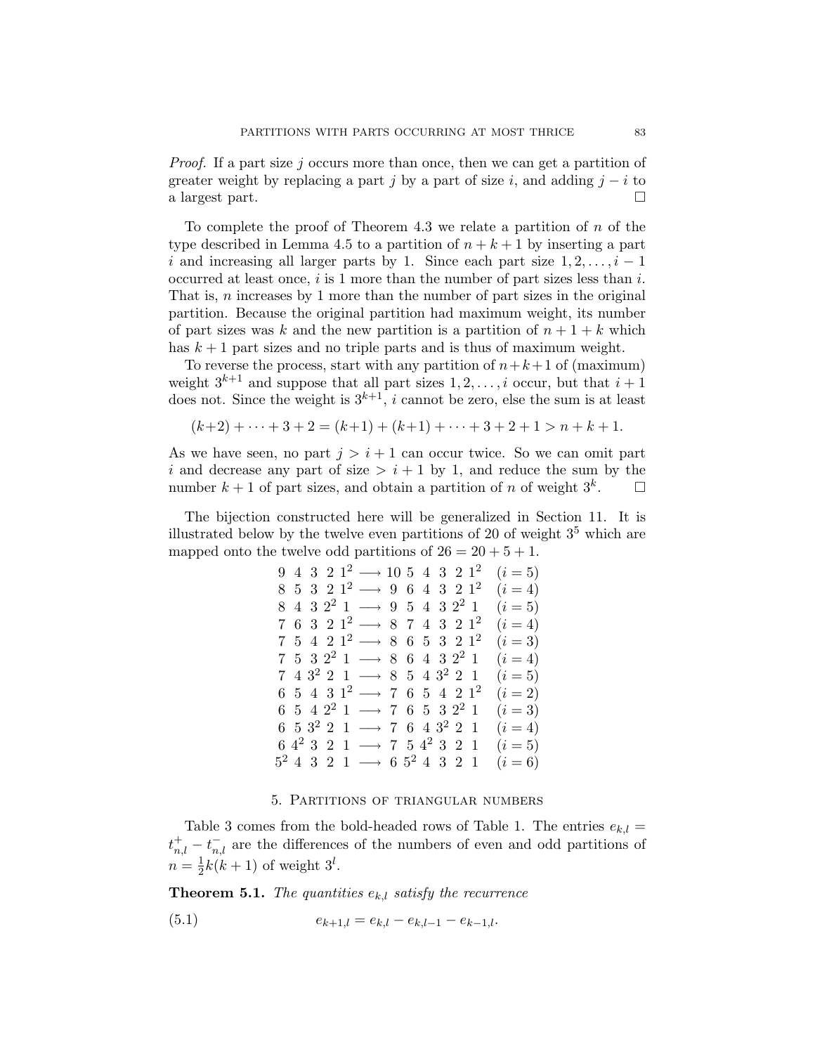Proof. If a part size j occurs more than once, then we can get a partition of greater weight by replacing a part j by a part of size i, and adding  $j - i$  to a largest part.

To complete the proof of Theorem 4.3 we relate a partition of  $n$  of the type described in Lemma 4.5 to a partition of  $n + k + 1$  by inserting a part i and increasing all larger parts by 1. Since each part size  $1, 2, \ldots, i - 1$ occurred at least once,  $i$  is 1 more than the number of part sizes less than  $i$ . That is, n increases by 1 more than the number of part sizes in the original partition. Because the original partition had maximum weight, its number of part sizes was k and the new partition is a partition of  $n + 1 + k$  which has  $k + 1$  part sizes and no triple parts and is thus of maximum weight.

To reverse the process, start with any partition of  $n+k+1$  of (maximum) weight  $3^{k+1}$  and suppose that all part sizes  $1, 2, \ldots, i$  occur, but that  $i+1$ does not. Since the weight is  $3^{k+1}$ , i cannot be zero, else the sum is at least

$$
(k+2) + \dots + 3 + 2 = (k+1) + (k+1) + \dots + 3 + 2 + 1 > n + k + 1.
$$

As we have seen, no part  $j > i + 1$  can occur twice. So we can omit part i and decrease any part of size  $> i + 1$  by 1, and reduce the sum by the number  $k + 1$  of part sizes, and obtain a partition of n of weight  $3<sup>k</sup>$ .  $\Box$ 

The bijection constructed here will be generalized in Section 11. It is illustrated below by the twelve even partitions of 20 of weight  $3<sup>5</sup>$  which are mapped onto the twelve odd partitions of  $26 = 20 + 5 + 1$ .

> 9 4 3 2 1<sup>2</sup> → 10 5 4 3 2 1<sup>2</sup>  $(i=5)$  $8\text{ }5\text{ }3\text{ }2\text{ }1^2\longrightarrow\text{ }9\text{ }\text{ }6\text{ }\text{ }4\text{ }\text{ }3\text{ }\text{ }2\text{ }\text{ }1^2$  $(i = 4)$  $8$  4 3  $2^2$  1 → 9 5 4 3  $2^2$  1 ( $i = 5$ )  $7\,$  6  $\,3\,$  2  $\,1^2$   $\longrightarrow$  8  $\,7\,$  4  $\,3\,$  2  $\,1^2$  $(i = 4)$ 7 5 4 2  $1^2$  → 8 6 5 3 2  $1^2$  $(i = 3)$ 7 5 3 2<sup>2</sup> 1 → 8 6 4 3 2<sup>2</sup> 1  $(i = 4)$ 7 4  $3^2$  2 1 → 8 5 4  $3^2$  2 1 (i = 5)  $6\hspace{0.1cm} 5\hspace{0.1cm} 4\hspace{0.1cm} 3\hspace{0.1cm} 1^2\longrightarrow\hspace{0.1cm} 7\hspace{0.1cm} 6\hspace{0.1cm} 5\hspace{0.1cm} 4\hspace{0.1cm} 2\hspace{0.1cm} 1^2$  $(i = 2)$ 6 5 4 2<sup>2</sup> 1 → 7 6 5 3 2<sup>2</sup> 1  $(i=3)$ 6 5  $3^2$  2 1 → 7 6 4  $3^2$  2 1 (i = 4) 6  $4^2$  3 2 1 → 7 5  $4^2$  3 2 1 ( $i = 5$ )  $5^2$  4 3 2 1 → 6  $5^2$  4 3 2 1 ( $i = 6$ )

#### 5. Partitions of triangular numbers

Table 3 comes from the bold-headed rows of Table 1. The entries  $e_{k,l}$  =  $t_{n,l}^+ - t_{n,l}^-$  are the differences of the numbers of even and odd partitions of  $n=\frac{1}{2}$  $\frac{1}{2}k(k+1)$  of weight  $3^l$ .

**Theorem 5.1.** The quantities  $e_{k,l}$  satisfy the recurrence

(5.1) 
$$
e_{k+1,l} = e_{k,l} - e_{k,l-1} - e_{k-1,l}.
$$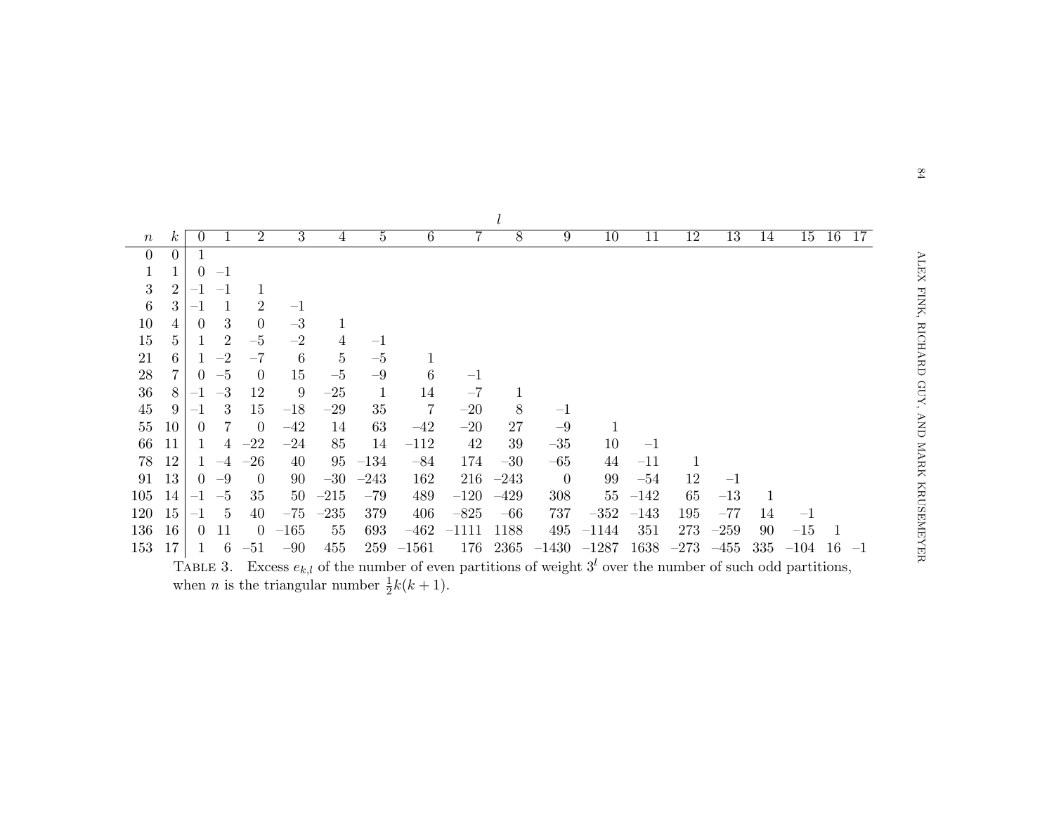| $\boldsymbol{n}$ | $\kappa$       | $\theta$ |                  | $\overline{2}$ | 3       | $\overline{4}$ | $\overline{5}$ | $\,6$          | 7       | 8      | 9              | 10      | 11     | 12     | 13     | 14  | 15      | 16   | 17   |
|------------------|----------------|----------|------------------|----------------|---------|----------------|----------------|----------------|---------|--------|----------------|---------|--------|--------|--------|-----|---------|------|------|
| $\overline{0}$   | 0              |          |                  |                |         |                |                |                |         |        |                |         |        |        |        |     |         |      |      |
| $\,1$            |                | $\theta$ | $-1$             |                |         |                |                |                |         |        |                |         |        |        |        |     |         |      |      |
| $\boldsymbol{3}$ | $\overline{2}$ |          | $-1$             | 1              |         |                |                |                |         |        |                |         |        |        |        |     |         |      |      |
| $\boldsymbol{6}$ | 3              | -1       |                  | 2              | $-1$    |                |                |                |         |        |                |         |        |        |        |     |         |      |      |
| 10               |                | $\Omega$ | 3                | $\overline{0}$ | $-3$    | 1              |                |                |         |        |                |         |        |        |        |     |         |      |      |
| 15               | 5              |          | $\overline{2}$   | $-5$           | $-2$    | 4              | $^{-1}$        |                |         |        |                |         |        |        |        |     |         |      |      |
| 21               | 6              |          | $-2$             | $-7$           | 6       | $\bf 5$        | $-5\,$         |                |         |        |                |         |        |        |        |     |         |      |      |
| $28\,$           | 7              | 0        | $-5$             | $\overline{0}$ | 15      | $-5\,$         | $-9$           | 6              | $-1$    |        |                |         |        |        |        |     |         |      |      |
| 36               | 8              |          | $-3\phantom{.0}$ | 12             | 9       | $-25$          | $\mathbf{1}$   | 14             | $-7$    |        |                |         |        |        |        |     |         |      |      |
| 45               | 9              |          | 3                | 15             | $-18\,$ | $-29$          | 35             | $\overline{7}$ | $-20$   | 8      | $-1$           |         |        |        |        |     |         |      |      |
| 55               | 10             | $\theta$ |                  | $\overline{0}$ | $-42$   | 14             | 63             | $-42$          | $-20$   | 27     | $-9$           | 1       |        |        |        |     |         |      |      |
| 66               | 11             |          |                  | $-22$          | $-24$   | 85             | 14             | $-112$         | 42      | 39     | $-35$          | 10      | $-1$   |        |        |     |         |      |      |
| 78               | 12             |          | $-4$             | $-26$          | 40      | 95             | $-134$         | $-84$          | 174     | $-30$  | $-65$          | 44      | $-11$  |        |        |     |         |      |      |
| 91               | 13             | $\left($ | $-9$             | $\theta$       | 90      | $-30$          | $-243$         | 162            | 216     | $-243$ | $\overline{0}$ | 99      | $-54$  | 12     | $-1$   |     |         |      |      |
| 105              | 14             | $^{-1}$  | $-5$             | 35             | 50      | $-215$         | $-79$          | 489            | $-120$  | $-429$ | 308            | $55\,$  | $-142$ | 65     | $-13$  | 1   |         |      |      |
| 120              | 15             | -1       | 5                | 40             | $-75\,$ | $-235$         | 379            | 406            | $-825$  | $-66$  | 737            | $-352$  | $-143$ | 195    | $-77$  | 14  | $^{-1}$ |      |      |
| 136              | 16             | $\Omega$ | 11               | $\overline{0}$ | $-165$  | 55             | 693            | $-462$         | $-1111$ | 1188   | 495            | $-1144$ | 351    | 273    | $-259$ | 90  | $-15$   |      |      |
| 153              | 17             |          | 6                | $-51$          | $-90$   | 455            | 259            | $-1561$        | 176     | 2365   | $-1430$        | $-1287$ | 1638   | $-273$ | $-455$ | 335 | $-104$  | - 16 | $-1$ |

Excess  $e_{k,l}$  of the number of even partitions of weight  $3^l$  over the number of such odd partitions, when *n* is the triangular number  $\frac{1}{2}k(k+1)$ .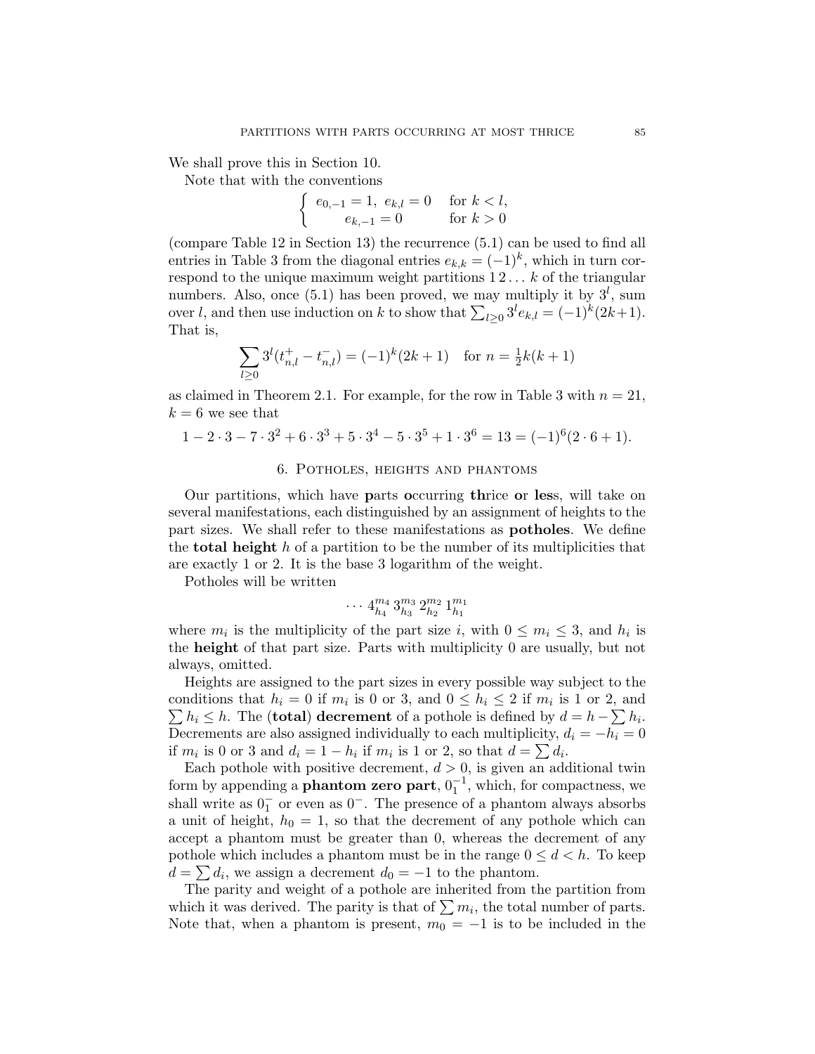We shall prove this in Section 10.

Note that with the conventions

$$
\begin{cases} e_{0,-1} = 1, e_{k,l} = 0 & \text{for } k < l, \\ e_{k,-1} = 0 & \text{for } k > 0 \end{cases}
$$

(compare Table 12 in Section 13) the recurrence (5.1) can be used to find all entries in Table 3 from the diagonal entries  $e_{k,k} = (-1)^k$ , which in turn correspond to the unique maximum weight partitions  $12... k$  of the triangular numbers. Also, once  $(5.1)$  has been proved, we may multiply it by  $3^l$ , sum over l, and then use induction on k to show that  $\sum_{l\geq 0} 3^l e_{k,l} = (-1)^k (2k+1)$ . That is,

$$
\sum_{l\geq 0} 3^l (t_{n,l}^+ - t_{n,l}^-) = (-1)^k (2k+1) \quad \text{for } n = \frac{1}{2}k(k+1)
$$

as claimed in Theorem 2.1. For example, for the row in Table 3 with  $n = 21$ ,  $k = 6$  we see that

$$
1 - 2 \cdot 3 - 7 \cdot 3^2 + 6 \cdot 3^3 + 5 \cdot 3^4 - 5 \cdot 3^5 + 1 \cdot 3^6 = 13 = (-1)^6 (2 \cdot 6 + 1).
$$

#### 6. Potholes, heights and phantoms

Our partitions, which have parts occurring thrice or less, will take on several manifestations, each distinguished by an assignment of heights to the part sizes. We shall refer to these manifestations as potholes. We define the **total height** h of a partition to be the number of its multiplicities that are exactly 1 or 2. It is the base 3 logarithm of the weight.

Potholes will be written

$$
\cdots \, 4^{m_4}_{h_4} \, 3^{m_3}_{h_3} \, 2^{m_2}_{h_2} \, 1^{m_1}_{h_1}
$$

where  $m_i$  is the multiplicity of the part size i, with  $0 \le m_i \le 3$ , and  $h_i$  is the height of that part size. Parts with multiplicity 0 are usually, but not always, omitted.

Heights are assigned to the part sizes in every possible way subject to the conditions that  $h_i = 0$  if  $m_i$  is 0 or 3, and  $0 \le h_i \le 2$  if  $m_i$  is 1 or 2, and  $\sum h_i \leq h$ . The (**total**) decrement of a pothole is defined by  $d = h - \sum h_i$ . Decrements are also assigned individually to each multiplicity,  $d_i = -h_i = 0$ if  $m_i$  is 0 or 3 and  $d_i = 1 - h_i$  if  $m_i$  is 1 or 2, so that  $d = \sum d_i$ .

Each pothole with positive decrement,  $d > 0$ , is given an additional twin form by appending a **phantom zero part**,  $0^{-1}$ , which, for compactness, we shall write as  $0<sub>1</sub><sup>-</sup>$  or even as  $0<sup>-</sup>$ . The presence of a phantom always absorbs a unit of height,  $h_0 = 1$ , so that the decrement of any pothole which can accept a phantom must be greater than 0, whereas the decrement of any pothole which includes a phantom must be in the range  $0 \leq d < h$ . To keep  $d = \sum d_i$ , we assign a decrement  $d_0 = -1$  to the phantom.

The parity and weight of a pothole are inherited from the partition from which it was derived. The parity is that of  $\sum m_i$ , the total number of parts. Note that, when a phantom is present,  $m_0 = -1$  is to be included in the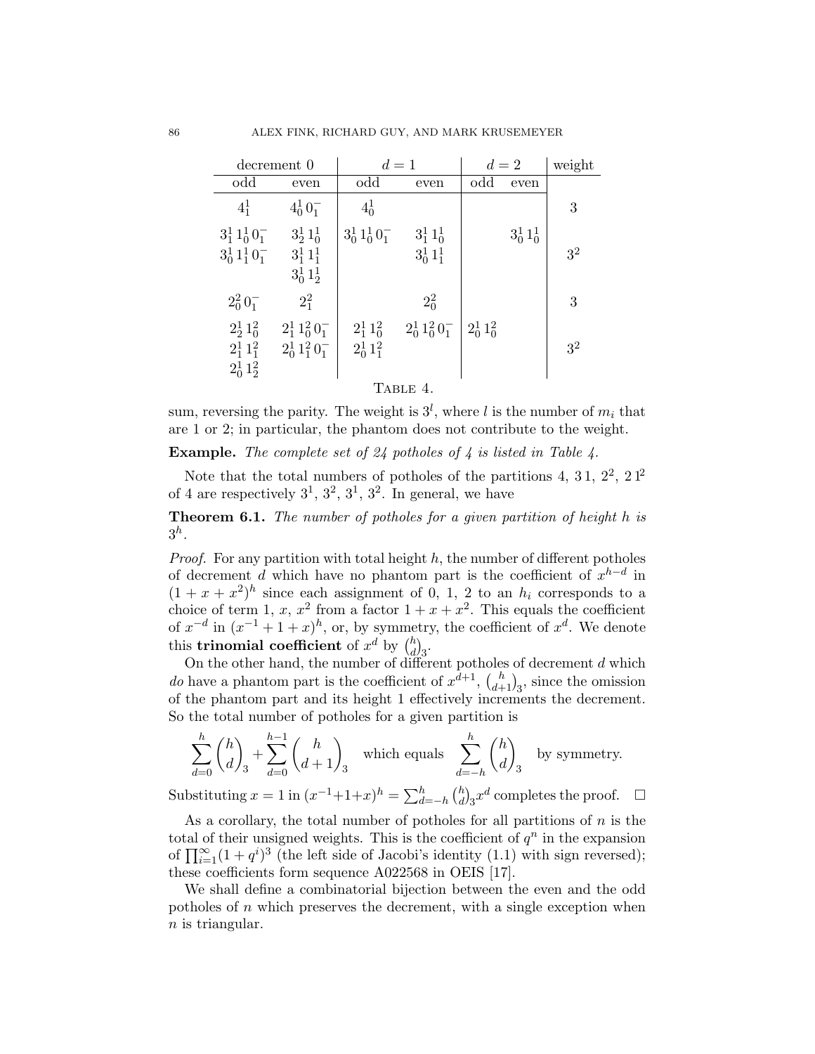|                            | decrement 0                | $d=1$               |                     |               | $d=2$         | weight         |  |  |  |  |
|----------------------------|----------------------------|---------------------|---------------------|---------------|---------------|----------------|--|--|--|--|
| odd                        | even                       | odd                 | even                | odd           | even          |                |  |  |  |  |
| $4^{1}_{1}$                | $4_0^1 0_1^-$              | $4_0^1$             |                     |               |               | 3              |  |  |  |  |
| $3_1^1 1_0^1 0_1^-$        | $3\frac{1}{2}1\frac{1}{0}$ | $3_0^1 1_0^1 0_1^-$ | $3^1_1 1^1_0$       |               | $3_0^1 1_0^1$ |                |  |  |  |  |
| $3_0^1 1_1^1 0_1^-$        | $3_1^1 1_1^1$              |                     | $3_0^1 1_1^1$       |               |               | 3 <sup>2</sup> |  |  |  |  |
|                            | $3_0^1 1_2^1$              |                     |                     |               |               |                |  |  |  |  |
| $2_0^2 0_1^-$              | $2^{2}_{1}$                |                     | $2_0^2$             |               |               | 3              |  |  |  |  |
| $2\frac{1}{2}1\frac{2}{0}$ | $2_1^1 1_0^2 0_1^-$        | $2_1^1 1_0^2$       | $2_0^1 1_0^2 0_1^-$ | $2_0^1 1_0^2$ |               |                |  |  |  |  |
| $2_1^1 1_1^2$              | $2_0^1 1_1^2 0_1^-$        | $2_0^1 1_1^2$       |                     |               |               | $3^2$          |  |  |  |  |
| $2_0^1 1_2^2$              |                            |                     |                     |               |               |                |  |  |  |  |
| TABLE 4.                   |                            |                     |                     |               |               |                |  |  |  |  |

sum, reversing the parity. The weight is  $3^l$ , where l is the number of  $m_i$  that are 1 or 2; in particular, the phantom does not contribute to the weight.

**Example.** The complete set of 24 potholes of 4 is listed in Table 4.

Note that the total numbers of potholes of the partitions 4, 31,  $2^2$ ,  $21^2$ of 4 are respectively  $3^1$ ,  $3^2$ ,  $3^1$ ,  $3^2$ . In general, we have

Theorem 6.1. The number of potholes for a given partition of height h is  $3^h$ .

*Proof.* For any partition with total height  $h$ , the number of different potholes of decrement d which have no phantom part is the coefficient of  $x^{h-d}$  in  $(1 + x + x^2)^h$  since each assignment of 0, 1, 2 to an  $h_i$  corresponds to a choice of term 1, x,  $x^2$  from a factor  $1 + x + x^2$ . This equals the coefficient of  $x^{-d}$  in  $(x^{-1} + 1 + x)^h$ , or, by symmetry, the coefficient of  $x^d$ . We denote this **trinomial coefficient** of  $x^d$  by  $\binom{h}{d}$  $\binom{h}{d}$ 3.

On the other hand, the number of different potholes of decrement  $d$  which do have a phantom part is the coefficient of  $x^{d+1}$ ,  $\binom{h}{d+1}_3$ , since the omission of the phantom part and its height 1 effectively increments the decrement. So the total number of potholes for a given partition is

$$
\sum_{d=0}^{h} \binom{h}{d}_3 + \sum_{d=0}^{h-1} \binom{h}{d+1}_3
$$
 which equals 
$$
\sum_{d=-h}^{h} \binom{h}{d}_3
$$
 by symmetry.

Substituting  $x = 1$  in  $(x^{-1}+1+x)^h = \sum_{d=-h}^{h} {h \choose d}$  $\binom{h}{d}$ <sub>3</sub> $x^d$  completes the proof.  $\Box$ 

As a corollary, the total number of potholes for all partitions of  $n$  is the total of their unsigned weights. This is the coefficient of  $q^n$  in the expansion of  $\prod_{i=1}^{\infty} (1 + q^i)^3$  (the left side of Jacobi's identity (1.1) with sign reversed); these coefficients form sequence A022568 in OEIS [17].

We shall define a combinatorial bijection between the even and the odd potholes of  $n$  which preserves the decrement, with a single exception when  $n$  is triangular.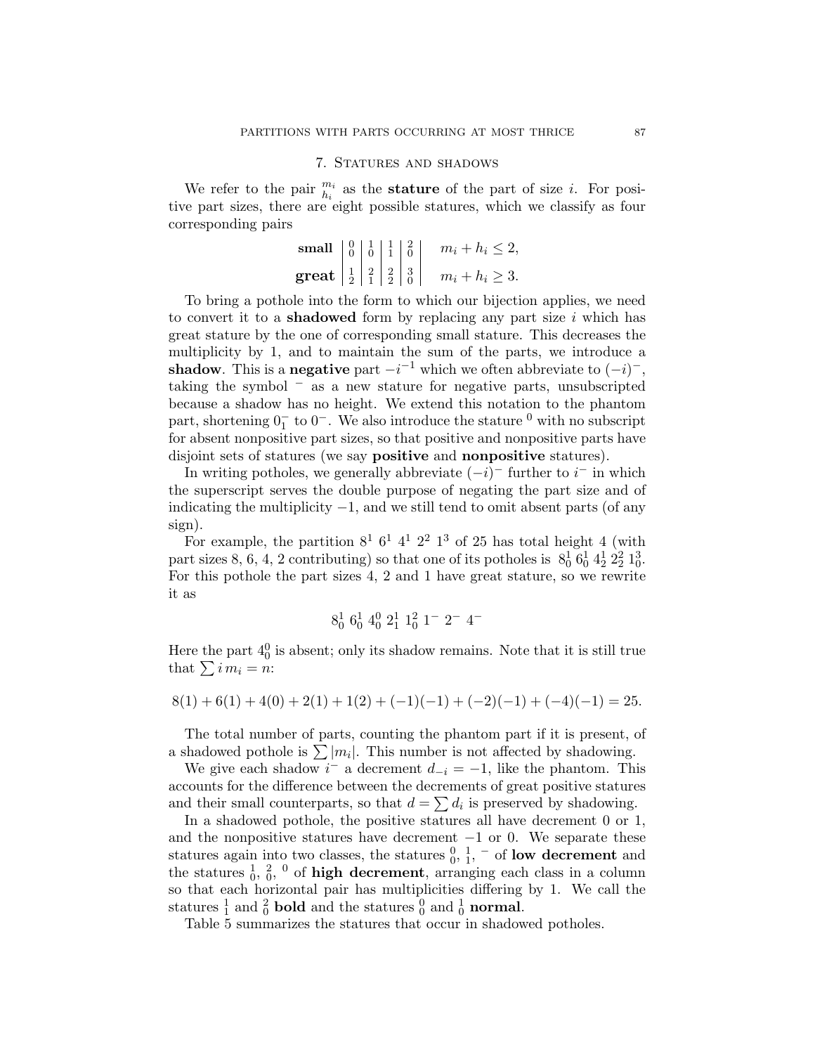### 7. STATURES AND SHADOWS

We refer to the pair  $\frac{m_i}{h_i}$  as the **stature** of the part of size *i*. For positive part sizes, there are eight possible statures, which we classify as four corresponding pairs

$$
\begin{array}{c|c|c|c}\n\text{small} & 0 & 1 & 1 & 2 & 0 & m_i + h_i \leq 2, \\
\text{great} & 1 & 2 & 2 & 3 & m_i + h_i \geq 3.\n\end{array}
$$

To bring a pothole into the form to which our bijection applies, we need to convert it to a **shadowed** form by replacing any part size  $i$  which has great stature by the one of corresponding small stature. This decreases the multiplicity by 1, and to maintain the sum of the parts, we introduce a shadow. This is a negative part  $-i^{-1}$  which we often abbreviate to  $(-i)^{-}$ , taking the symbol <sup>−</sup> as a new stature for negative parts, unsubscripted because a shadow has no height. We extend this notation to the phantom part, shortening  $0^{-}_{1}$  to  $0^{-}$ . We also introduce the stature <sup>0</sup> with no subscript for absent nonpositive part sizes, so that positive and nonpositive parts have disjoint sets of statures (we say positive and nonpositive statures).

In writing potholes, we generally abbreviate  $(-i)^-$  further to  $i^-$  in which the superscript serves the double purpose of negating the part size and of indicating the multiplicity  $-1$ , and we still tend to omit absent parts (of any sign).

For example, the partition  $8^1$   $6^1$   $4^1$   $2^2$   $1^3$  of 25 has total height 4 (with part sizes 8, 6, 4, 2 contributing) so that one of its potholes is  $8^1_0$   $6^1_0$   $4^1_2$   $2^2_2$   $1^3_0$ . For this pothole the part sizes 4, 2 and 1 have great stature, so we rewrite it as

$$
8_0^1 \t6_0^1 \t4_0^0 \t2_1^1 \t1_0^2 \t1^- \t2^- \t4^-
$$

Here the part  $4<sup>0</sup><sub>0</sub>$  is absent; only its shadow remains. Note that it is still true that  $\sum i m_i = n$ :

$$
8(1) + 6(1) + 4(0) + 2(1) + 1(2) + (-1)(-1) + (-2)(-1) + (-4)(-1) = 25.
$$

The total number of parts, counting the phantom part if it is present, of a shadowed pothole is  $\sum |m_i|$ . This number is not affected by shadowing.

We give each shadow  $i^-$  a decrement  $d_{-i} = -1$ , like the phantom. This accounts for the difference between the decrements of great positive statures and their small counterparts, so that  $d = \sum d_i$  is preserved by shadowing.

In a shadowed pothole, the positive statures all have decrement 0 or 1, and the nonpositive statures have decrement  $-1$  or 0. We separate these statures again into two classes, the statures  $\frac{0}{0}$ ,  $\frac{1}{1}$ ,  $\overline{\phantom{a}}$  of low decrement and the statures  $\frac{1}{0}$ ,  $\frac{2}{0}$ ,  $\frac{0}{0}$  of **high decrement**, arranging each class in a column so that each horizontal pair has multiplicities differing by 1. We call the statures  $\frac{1}{1}$  and  $\frac{2}{0}$  **bold** and the statures  $\frac{0}{0}$  and  $\frac{1}{0}$  **normal**.

Table 5 summarizes the statures that occur in shadowed potholes.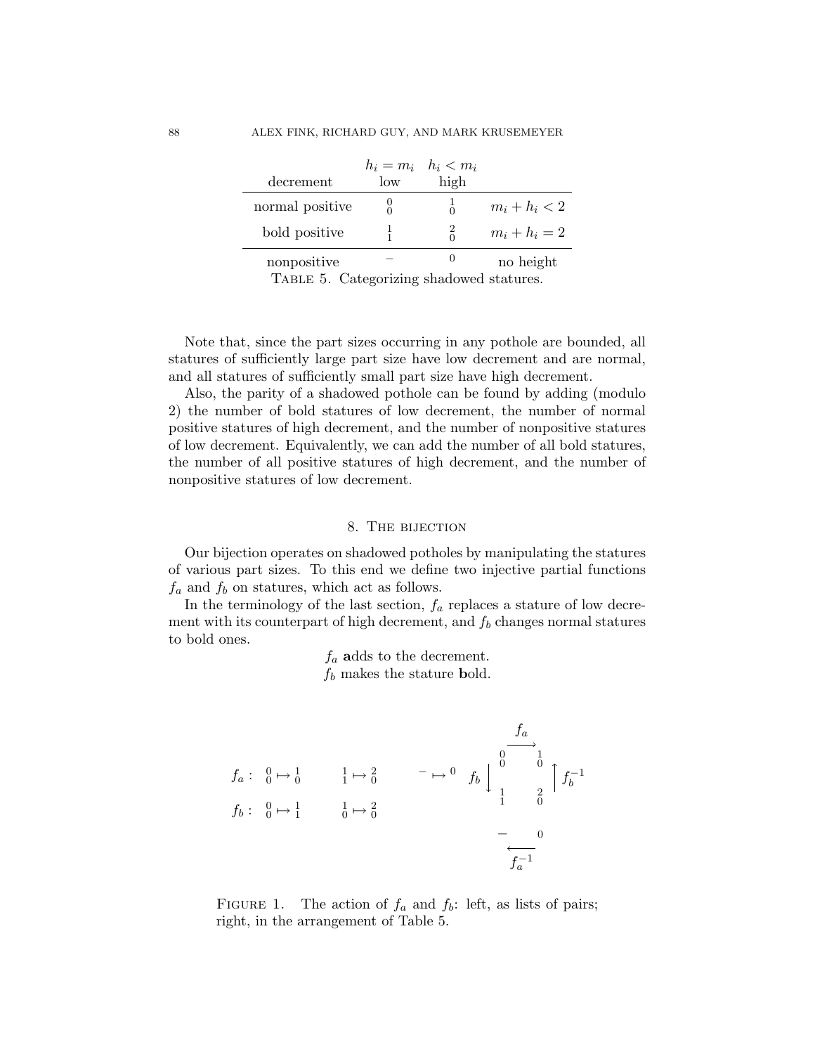|                 |     | $h_i = m_i \quad h_i < m_i$ |                 |
|-----------------|-----|-----------------------------|-----------------|
| decrement       | low | high                        |                 |
| normal positive |     | $\Omega$                    | $m_i + h_i < 2$ |
| bold positive   |     |                             | $m_i + h_i = 2$ |
| nonpositive     |     |                             | no height       |

Table 5. Categorizing shadowed statures.

Note that, since the part sizes occurring in any pothole are bounded, all statures of sufficiently large part size have low decrement and are normal, and all statures of sufficiently small part size have high decrement.

Also, the parity of a shadowed pothole can be found by adding (modulo 2) the number of bold statures of low decrement, the number of normal positive statures of high decrement, and the number of nonpositive statures of low decrement. Equivalently, we can add the number of all bold statures, the number of all positive statures of high decrement, and the number of nonpositive statures of low decrement.

## 8. The bijection

Our bijection operates on shadowed potholes by manipulating the statures of various part sizes. To this end we define two injective partial functions  $f_a$  and  $f_b$  on statures, which act as follows.

In the terminology of the last section,  $f_a$  replaces a stature of low decrement with its counterpart of high decrement, and  $f_b$  changes normal statures to bold ones.

> $f_a$  adds to the decrement.  $f_b$  makes the stature bold.

$$
f_a: \begin{array}{ccc} 0 \mapsto 1 & 1 \mapsto 2 \\ f_b: & 0 \mapsto 1 & 1 \mapsto 2 \\ 0 & 0 & 1 \end{array} \longrightarrow \begin{array}{ccc} f_a & & & \\ & 0 & 0 & \\ & & 1 & \\ & 1 & 2 \\ & 1 & 0 & \\ & & - & 0 \\ & & & - & 0 \\ & & & & f_a^{-1} \end{array}
$$

FIGURE 1. The action of  $f_a$  and  $f_b$ : left, as lists of pairs; right, in the arrangement of Table 5.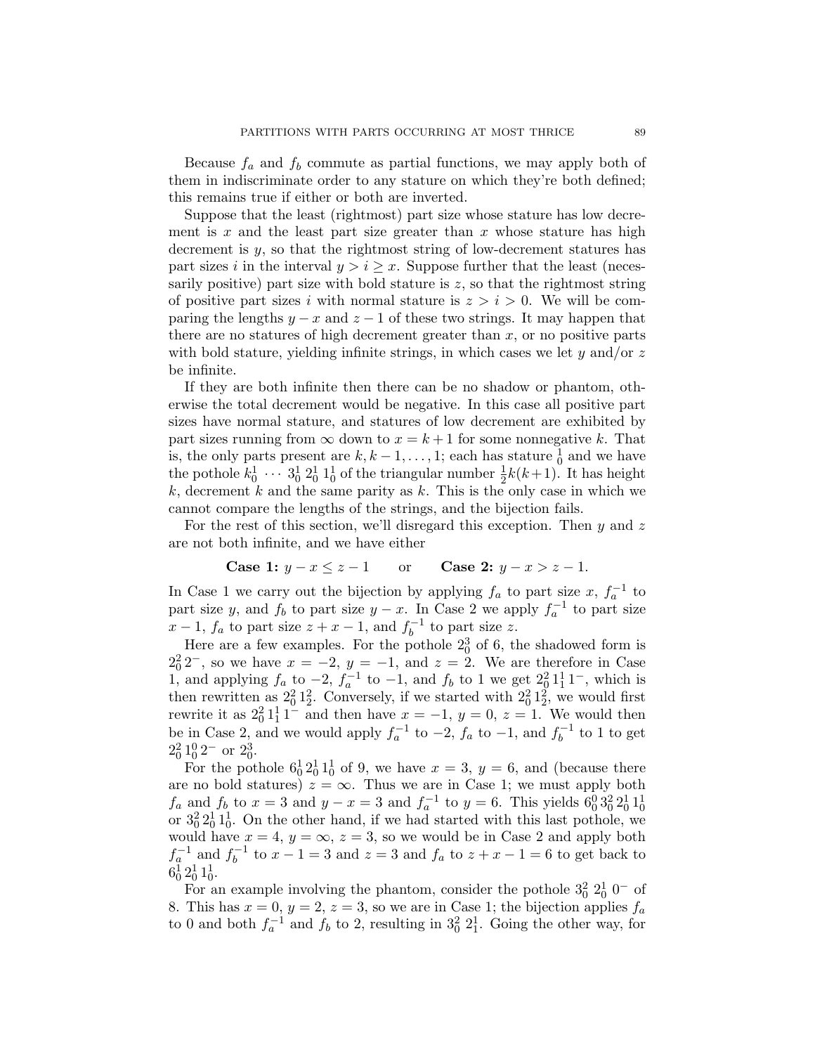Because  $f_a$  and  $f_b$  commute as partial functions, we may apply both of them in indiscriminate order to any stature on which they're both defined; this remains true if either or both are inverted.

Suppose that the least (rightmost) part size whose stature has low decrement is  $x$  and the least part size greater than  $x$  whose stature has high decrement is  $y$ , so that the rightmost string of low-decrement statures has part sizes i in the interval  $y > i \geq x$ . Suppose further that the least (necessarily positive) part size with bold stature is  $z$ , so that the rightmost string of positive part sizes i with normal stature is  $z > i > 0$ . We will be comparing the lengths  $y - x$  and  $z - 1$  of these two strings. It may happen that there are no statures of high decrement greater than  $x$ , or no positive parts with bold stature, yielding infinite strings, in which cases we let  $\gamma$  and/or z be infinite.

If they are both infinite then there can be no shadow or phantom, otherwise the total decrement would be negative. In this case all positive part sizes have normal stature, and statures of low decrement are exhibited by part sizes running from  $\infty$  down to  $x = k + 1$  for some nonnegative k. That is, the only parts present are  $k, k - 1, \ldots, 1$ ; each has stature  $\frac{1}{0}$  and we have the pothole  $k_0^1 \cdots 3_0^1 2_0^1 1_0^1$  of the triangular number  $\frac{1}{2}k(k+1)$ . It has height k, decrement k and the same parity as k. This is the only case in which we cannot compare the lengths of the strings, and the bijection fails.

For the rest of this section, we'll disregard this exception. Then  $y$  and  $z$ are not both infinite, and we have either

**Case 1:** 
$$
y - x \le z - 1
$$
 or **Case 2:**  $y - x > z - 1$ .

In Case 1 we carry out the bijection by applying  $f_a$  to part size  $x, f_a^{-1}$  to part size y, and  $f_b$  to part size  $y - x$ . In Case 2 we apply  $f_a^{-1}$  to part size  $x-1$ ,  $f_a$  to part size  $z+x-1$ , and  $f_b^{-1}$  $b^{-1}$  to part size z.

Here are a few examples. For the pothole  $2<sub>0</sub><sup>3</sup>$  of 6, the shadowed form is  $2<sub>0</sub><sup>2</sup>2<sup>-</sup>$ , so we have  $x = -2$ ,  $y = -1$ , and  $z = 2$ . We are therefore in Case 1, and applying  $f_a$  to  $-2$ ,  $f_a^{-1}$  to  $-1$ , and  $f_b$  to 1 we get  $2\frac{3}{2}1\frac{1}{2}1^-$ , which is then rewritten as  $2^2_0 1^2_2$ . Conversely, if we started with  $2^2_0 1^2_2$ , we would first rewrite it as  $2_0^2 1_1^1 1^-$  and then have  $x = -1$ ,  $y = 0$ ,  $z = 1$ . We would then be in Case 2, and we would apply  $f_a^{-1}$  to  $-2$ ,  $f_a$  to  $-1$ , and  $f_b^{-1}$  $b^{-1}$  to 1 to get  $2_0^2 1_0^0 2^-$  or  $2_0^3$ .

For the pothole  $6^1_0 2^1_0 1^1_0$  of 9, we have  $x = 3$ ,  $y = 6$ , and (because there are no bold statures)  $z = \infty$ . Thus we are in Case 1; we must apply both  $f_a$  and  $f_b$  to  $x = 3$  and  $y - x = 3$  and  $f_a^{-1}$  to  $y = 6$ . This yields  $6_0^0 3_0^2 2_0^1 1_0^1$  or  $3_0^2 2_0^1 1_0^1$ . On the other hand, if we had started with this last pothole, we would have  $x = 4$ ,  $y = \infty$ ,  $z = 3$ , so we would be in Case 2 and apply both  $f_a^{-1}$  and  $f_b^{-1}$  $t_b^{-1}$  to  $x - 1 = 3$  and  $z = 3$  and  $f_a$  to  $z + x - 1 = 6$  to get back to  $6^1_0 2^1_0 1^1_0.$ 

For an example involving the phantom, consider the pothole  $3^2_0$   $2^1_0$  0<sup>-</sup> of 8. This has  $x = 0$ ,  $y = 2$ ,  $z = 3$ , so we are in Case 1; the bijection applies  $f_a$ to 0 and both  $f_a^{-1}$  and  $f_b$  to 2, resulting in  $3^2_0 2^1_1$ . Going the other way, for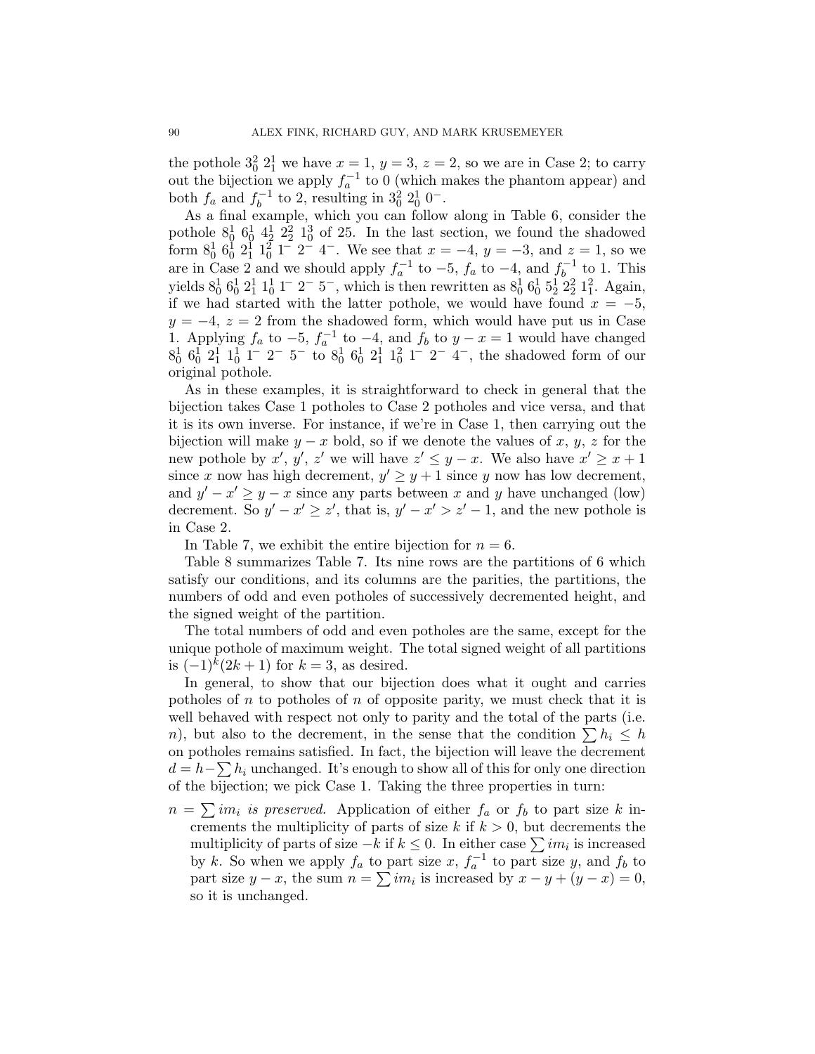the pothole  $3^2_0$   $2^1_1$  we have  $x = 1$ ,  $y = 3$ ,  $z = 2$ , so we are in Case 2; to carry out the bijection we apply  $f_a^{-1}$  to 0 (which makes the phantom appear) and both  $f_a$  and  $f_b^{-1}$  $b_0^{-1}$  to 2, resulting in  $3_0^2 2_0^1 0^-$ .

As a final example, which you can follow along in Table 6, consider the pothole  $8^1_0$   $6^1_0$   $4^1_2$   $2^2_2$   $1^3_0$  of 25. In the last section, we found the shadowed form  $8^1_0$   $6^1_0$   $2^1_1$   $1^2_0$  1<sup>-</sup> 2<sup>-</sup> 4<sup>-</sup>. We see that  $x = -4$ ,  $y = -3$ , and  $z = 1$ , so we are in Case 2 and we should apply  $f_a^{-1}$  to  $-5$ ,  $f_a$  to  $-4$ , and  $f_b^{-1}$  $\int_b^{-1}$  to 1. This yields  $8^1_0$   $6^1_0$   $2^1_1$   $1^1_0$  1<sup>-</sup> 2<sup>-</sup> 5<sup>-</sup>, which is then rewritten as  $8^1_0$   $6^1_0$   $5^1_2$   $2^2_2$   $1^2_1$ . Again, if we had started with the latter pothole, we would have found  $x = -5$ ,  $y = -4$ ,  $z = 2$  from the shadowed form, which would have put us in Case 1. Applying  $f_a$  to −5,  $f_a^{-1}$  to −4, and  $f_b$  to  $y - x = 1$  would have changed  $8^1_0$   $6^1_0$   $2^1_1$   $1^1_0$  1<sup>-</sup> 2<sup>-</sup> 5<sup>-</sup> to  $8^1_0$   $6^1_0$   $2^1_1$   $1^2_0$  1<sup>-</sup> 2<sup>-</sup> 4<sup>-</sup>, the shadowed form of our original pothole.

As in these examples, it is straightforward to check in general that the bijection takes Case 1 potholes to Case 2 potholes and vice versa, and that it is its own inverse. For instance, if we're in Case 1, then carrying out the bijection will make  $y - x$  bold, so if we denote the values of x, y, z for the new pothole by  $x'$ ,  $y'$ ,  $z'$  we will have  $z' \leq y - x$ . We also have  $x' \geq x + 1$ since x now has high decrement,  $y' \geq y+1$  since y now has low decrement, and  $y' - x' \geq y - x$  since any parts between x and y have unchanged (low) decrement. So  $y' - x' \geq z'$ , that is,  $y' - x' > z' - 1$ , and the new pothole is in Case 2.

In Table 7, we exhibit the entire bijection for  $n = 6$ .

Table 8 summarizes Table 7. Its nine rows are the partitions of 6 which satisfy our conditions, and its columns are the parities, the partitions, the numbers of odd and even potholes of successively decremented height, and the signed weight of the partition.

The total numbers of odd and even potholes are the same, except for the unique pothole of maximum weight. The total signed weight of all partitions is  $(-1)^k (2k + 1)$  for  $k = 3$ , as desired.

In general, to show that our bijection does what it ought and carries potholes of n to potholes of n of opposite parity, we must check that it is well behaved with respect not only to parity and the total of the parts (i.e. n), but also to the decrement, in the sense that the condition  $\sum h_i \leq h$ on potholes remains satisfied. In fact, the bijection will leave the decrement  $d = h - \sum h_i$  unchanged. It's enough to show all of this for only one direction of the bijection; we pick Case 1. Taking the three properties in turn:

 $n = \sum im_i$  is preserved. Application of either  $f_a$  or  $f_b$  to part size k increments the multiplicity of parts of size k if  $k > 0$ , but decrements the multiplicity of parts of size  $-k$  if  $k \leq 0$ . In either case  $\sum im_i$  is increased by k. So when we apply  $f_a$  to part size x,  $f_a^{-1}$  to part size y, and  $f_b$  to part size  $y - x$ , the sum  $n = \sum im_i$  is increased by  $x - y + (y - x) = 0$ , so it is unchanged.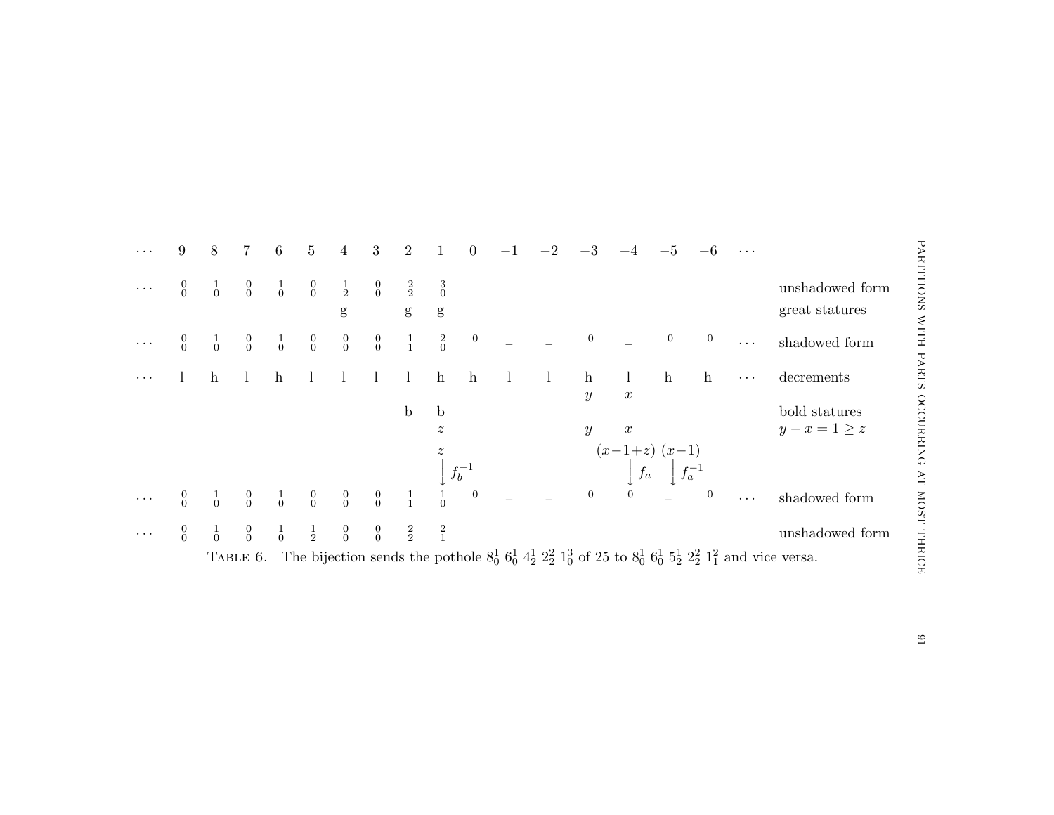| $\ddots$ | 9                                    | 8             | 7                                    | 6             | $5\phantom{.0}$                           | 4                                    | 3                                    | 2                  | 1                             | $\overline{0}$   |              |                                  |                                                                      | $-5$            |                  | $\cdots$             |                                                                                                                                          |
|----------|--------------------------------------|---------------|--------------------------------------|---------------|-------------------------------------------|--------------------------------------|--------------------------------------|--------------------|-------------------------------|------------------|--------------|----------------------------------|----------------------------------------------------------------------|-----------------|------------------|----------------------|------------------------------------------------------------------------------------------------------------------------------------------|
|          | $\begin{matrix} 0 \\ 0 \end{matrix}$ | $\frac{1}{0}$ | $\begin{matrix} 0 \\ 0 \end{matrix}$ | $\frac{1}{0}$ | $\begin{matrix} 0 \\ 0 \end{matrix}$      | $\frac{1}{2}$<br>g                   | $\begin{matrix} 0 \\ 0 \end{matrix}$ | $\frac{2}{2}$<br>g | $\frac{3}{0}$<br>$\mathbf{g}$ |                  |              |                                  |                                                                      |                 |                  |                      | unshadowed form<br>great statures                                                                                                        |
|          | $\begin{matrix} 0 \\ 0 \end{matrix}$ | $\frac{1}{0}$ | $\begin{matrix} 0 \\ 0 \end{matrix}$ | $\frac{1}{0}$ | $\begin{matrix} 0 \\ 0 \end{matrix}$      | $\begin{matrix} 0 \\ 0 \end{matrix}$ | $\begin{matrix}0\\0\end{matrix}$     | $\frac{1}{1}$      | $\stackrel{2}{0}$             | $\boldsymbol{0}$ |              | $\boldsymbol{0}$                 |                                                                      | $\overline{0}$  | $\overline{0}$   | $\ddots$             | shadowed form                                                                                                                            |
|          |                                      | h             |                                      | $\mathbf{h}$  |                                           |                                      | $\perp$                              | $\mathbf{I}$       | $\mathbf{h}$                  | $\mathbf{h}$     | $\mathbf{l}$ | $\mathbf{h}$<br>$\boldsymbol{y}$ | $\perp$<br>$\boldsymbol{x}$                                          | $\mathbf{h}$    | $\mathbf{h}$     | $\cdots$             | decrements                                                                                                                               |
|          |                                      |               |                                      |               |                                           |                                      |                                      | $\mathbf b$        | $\mathbf b$                   |                  |              |                                  |                                                                      |                 |                  |                      | bold statures                                                                                                                            |
|          |                                      |               |                                      |               |                                           |                                      |                                      |                    | $\boldsymbol{z}$              |                  |              | $\boldsymbol{y}$                 | $\boldsymbol{x}$                                                     |                 |                  |                      | $y-x=1\geq z$                                                                                                                            |
|          |                                      |               |                                      |               |                                           |                                      |                                      |                    | $\boldsymbol{z}$              | $\, f_b^{-1}$    |              |                                  | $\begin{array}{c c} (x-1+z) & (x-1) \\ & f_a & f_a^{-1} \end{array}$ | $\int f_a^{-1}$ |                  |                      |                                                                                                                                          |
|          | $\begin{matrix} 0 \\ 0 \end{matrix}$ | $\frac{1}{0}$ | $\begin{matrix}0\\0\end{matrix}$     | $\frac{1}{0}$ | $\begin{smallmatrix}0\0\end{smallmatrix}$ | $\begin{matrix}0\\0\end{matrix}$     | $\begin{matrix} 0 \\ 0 \end{matrix}$ | $\frac{1}{1}$      | $\frac{1}{0}$                 | $\overline{0}$   |              | $\boldsymbol{0}$                 |                                                                      |                 | $\boldsymbol{0}$ | $\sim$ $\sim$ $\sim$ | shadowed form                                                                                                                            |
|          | $\begin{matrix} 0 \\ 0 \end{matrix}$ | $\frac{1}{0}$ | $\begin{matrix} 0 \\ 0 \end{matrix}$ | $\frac{1}{0}$ | $\frac{1}{2}$                             | $\begin{matrix} 0 \\ 0 \end{matrix}$ | $\begin{matrix}0\\0\end{matrix}$     | $\frac{2}{2}$      | $\frac{2}{1}$                 |                  |              |                                  |                                                                      |                 |                  |                      | unshadowed form                                                                                                                          |
|          |                                      |               | TABLE 6.                             |               |                                           |                                      |                                      |                    |                               |                  |              |                                  |                                                                      |                 |                  |                      | The bijection sends the pothole $8_0^1$ $6_0^1$ $4_2^1$ $2_2^2$ $1_0^3$ of 25 to $8_0^1$ $6_0^1$ $5_2^1$ $2_2^2$ $1_1^2$ and vice versa. |
|          |                                      |               |                                      |               |                                           |                                      |                                      |                    |                               |                  |              |                                  |                                                                      |                 |                  |                      |                                                                                                                                          |
|          |                                      |               |                                      |               |                                           |                                      |                                      |                    |                               |                  |              |                                  |                                                                      |                 |                  |                      |                                                                                                                                          |
|          |                                      |               |                                      |               |                                           |                                      |                                      |                    |                               |                  |              |                                  |                                                                      |                 |                  |                      |                                                                                                                                          |
|          |                                      |               |                                      |               |                                           |                                      |                                      |                    |                               |                  |              |                                  |                                                                      |                 |                  |                      |                                                                                                                                          |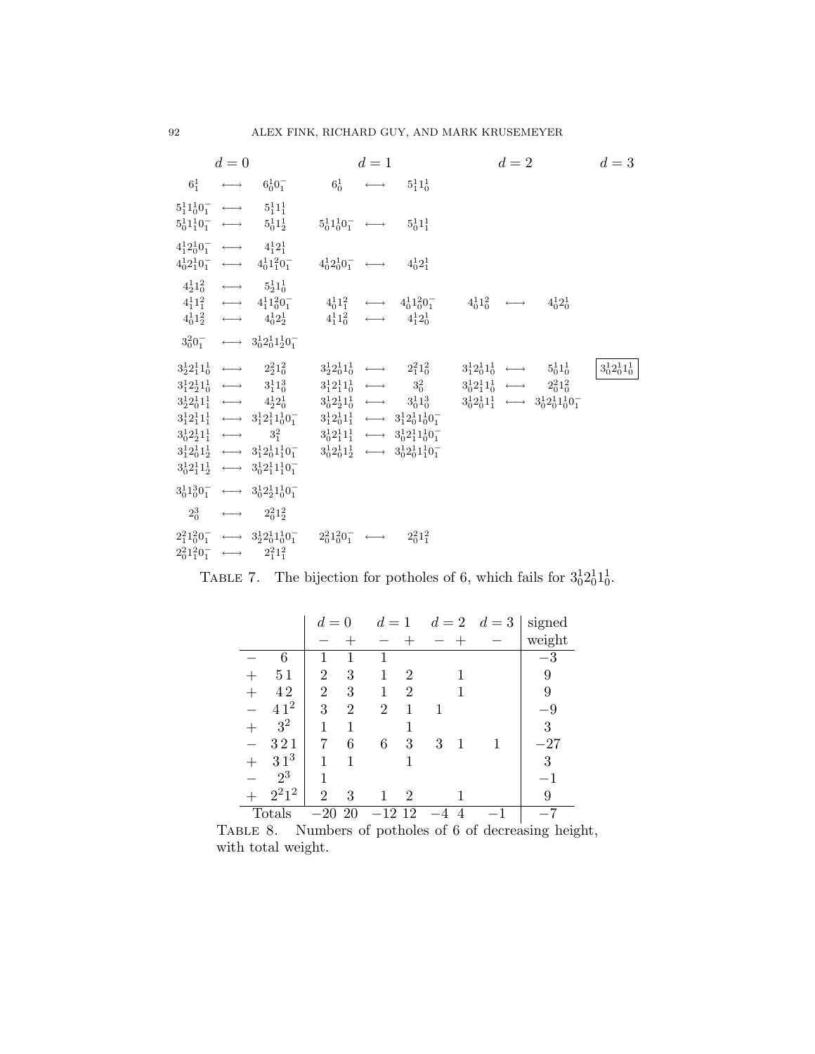|                                                     | $d=0$ |                                                                                                                                                                                                                                                                                                                                                                                                                                                                                                                                                                                                                                                                                           |                                                     | $d=1$ |                                                                                                                                                             | $d=2$                                                                                                                                                                         | $d=3$               |
|-----------------------------------------------------|-------|-------------------------------------------------------------------------------------------------------------------------------------------------------------------------------------------------------------------------------------------------------------------------------------------------------------------------------------------------------------------------------------------------------------------------------------------------------------------------------------------------------------------------------------------------------------------------------------------------------------------------------------------------------------------------------------------|-----------------------------------------------------|-------|-------------------------------------------------------------------------------------------------------------------------------------------------------------|-------------------------------------------------------------------------------------------------------------------------------------------------------------------------------|---------------------|
|                                                     |       | $6^1_1 \longleftrightarrow 6^1_00^-_1$                                                                                                                                                                                                                                                                                                                                                                                                                                                                                                                                                                                                                                                    |                                                     |       | $6^1_0 \longleftrightarrow 5^1_11^1_0$                                                                                                                      |                                                                                                                                                                               |                     |
|                                                     |       | $5^1_11^1_00^-_1 \longleftrightarrow 5^1_11^1_1$<br>$5^1_0 1^1_1 0^-_1 \longleftrightarrow 5^1_0 1^1_2$                                                                                                                                                                                                                                                                                                                                                                                                                                                                                                                                                                                   | $5^1_01^1_00^-_1 \longleftrightarrow 5^1_01^1_1$    |       |                                                                                                                                                             |                                                                                                                                                                               |                     |
| $4^1_1 2^1_0 0^-_1 \longleftrightarrow 4^1_1 2^1_1$ |       | $4_0^1 2_1^1 0_1^- \longleftrightarrow 4_0^1 1_1^2 0_1^-$                                                                                                                                                                                                                                                                                                                                                                                                                                                                                                                                                                                                                                 | $4_0^1 2_0^1 0_1^- \longleftrightarrow 4_0^1 2_1^1$ |       |                                                                                                                                                             |                                                                                                                                                                               |                     |
|                                                     |       | $4^{1}_{2}1^{2}_{0} \longleftrightarrow 5^{1}_{2}1^{1}_{0}$<br>$4_1^1 1_1^2 \longleftrightarrow 4_1^1 1_0^2 0_1^-$<br>$4_0^1 1_2^2 \longleftrightarrow 4_0^1 2_2^1$                                                                                                                                                                                                                                                                                                                                                                                                                                                                                                                       | $4_0^1 1_1^2 \longleftrightarrow 4_0^1 1_0^2 0_1^-$ |       | $4^1_1 1^2_0 \longleftrightarrow 4^1_1 2^1_0$                                                                                                               | $4^1_01^2_0 \longleftrightarrow 4^1_02^1_0$                                                                                                                                   |                     |
|                                                     |       | $3_0^2 0_1^ \longleftrightarrow$ $3_0^1 2_0^1 1_2^1 0_1^-$                                                                                                                                                                                                                                                                                                                                                                                                                                                                                                                                                                                                                                |                                                     |       |                                                                                                                                                             |                                                                                                                                                                               |                     |
|                                                     |       | $3^1_2 2^1_1 1^1_0 \longleftrightarrow 2^2_2 1^2_0$<br>$3^1_1 2^1_2 1^1_0 \longleftrightarrow 3^1_1 1^3_0$<br>$3^1_2 2^1_0 1^1_1 \longleftrightarrow 4^1_2 2^1_0$<br>$3_1^1 2_1^1 1_1^1 \longleftrightarrow 3_1^1 2_1^1 1_0^1 0_1^1 \longrightarrow 3_1^1 2_0^1 1_1^1 \longleftrightarrow 3_1^1 2_0^1 1_0^1 0_1^1$<br>$3_0^1 2_2^1 1_1 \longleftrightarrow 3_1^2 \longrightarrow 3_0^1 2_1^1 1_1 \longleftrightarrow 3_0^1 2_1^1 1_0^1 0_1^1$<br>$3_1^1 2_0^1 1_2^1 \longleftrightarrow 3_1^1 2_0^1 1_1^1 0_1^{\phantom{-}} \longrightarrow 3_0^1 2_0^1 1_2^1 \longleftrightarrow 3_0^1 2_0^1 1_1^1 0_1^{\phantom{-}}$<br>$3_0^1 2_1^1 1_2^1 \longleftrightarrow 3_0^1 2_1^1 1_1^1 0_1^-$ |                                                     |       | $3^1_2 2^1_0 1^1_0 \longleftrightarrow 2^2_1 1^2_0$<br>$3^1_1 2^1_1 1^1_0 \longleftrightarrow 3^2_0$<br>$3_0^1 2_2^1 1_0^1 \longleftrightarrow 3_0^1 1_0^3$ | $3^1_1 2^1_0 1^1_0 \longleftrightarrow 5^1_0 1^1_0$<br>$3_0^1 2_1^1 1_0^1 \longleftrightarrow 2_0^2 1_0^2$<br>$3_0^1 2_0^1 1_1^1 \longleftrightarrow 3_0^1 2_0^1 1_0^1 0_1^1$ | $3_0^1 2_0^1 1_0^1$ |
|                                                     |       | $3_0^1 1_0^3 0_1^- \longleftrightarrow 3_0^1 2_2^1 1_0^1 0_1^-$                                                                                                                                                                                                                                                                                                                                                                                                                                                                                                                                                                                                                           |                                                     |       |                                                                                                                                                             |                                                                                                                                                                               |                     |
|                                                     |       | $2_0^3 \longleftrightarrow 2_0^2 1_2^2$                                                                                                                                                                                                                                                                                                                                                                                                                                                                                                                                                                                                                                                   |                                                     |       |                                                                                                                                                             |                                                                                                                                                                               |                     |
|                                                     |       | $2_1^2 1_0^2 0_1^- \longleftrightarrow 3_2^1 2_0^1 1_0^1 0_1^- \longrightarrow 2_0^2 1_0^2 0_1^- \longleftrightarrow 2_0^2 1_1^2$<br>$2_0^2 1_1^2 0_1^- \longleftrightarrow 2_1^2 1_1^2$                                                                                                                                                                                                                                                                                                                                                                                                                                                                                                  |                                                     |       |                                                                                                                                                             |                                                                                                                                                                               |                     |

TABLE 7. The bijection for potholes of 6, which fails for  $3<sub>0</sub><sup>1</sup>2<sub>0</sub><sup>1</sup>1<sub>0</sub><sup>1</sup>$ .

|                 | $d=0$          |    |                | $d=1$          |   | $d = 2 \quad d = 3$ | signed   |
|-----------------|----------------|----|----------------|----------------|---|---------------------|----------|
|                 |                |    |                |                |   |                     | weight   |
| 6               | 1              | 1  | 1              |                |   |                     | $^{-3}$  |
| 51              | $\overline{2}$ | 3  | 1              | 2              |   |                     | 9        |
| 42              | $\overline{2}$ | 3  | 1              | $\overline{2}$ |   |                     | 9        |
| 41 <sup>2</sup> | 3              | 2  | $\overline{2}$ | 1              | 1 |                     | -9       |
| 3 <sup>2</sup>  | 1              | 1  |                |                |   |                     | 3        |
| 321             | 7              | 6  | 6              | 3              | 3 |                     | $^{-27}$ |
| 31 <sup>3</sup> | 1              | 1  |                |                |   |                     | 3        |
| $2^3$           | 1              |    |                |                |   |                     | - 1      |
| $2^21^2$        | $\overline{2}$ | 3  |                | 2              |   |                     | 9        |
| Totals          | 20             | 20 | 12             | 12             |   |                     |          |

TABLE 8. Numbers of potholes of 6 of decreasing height, with total weight.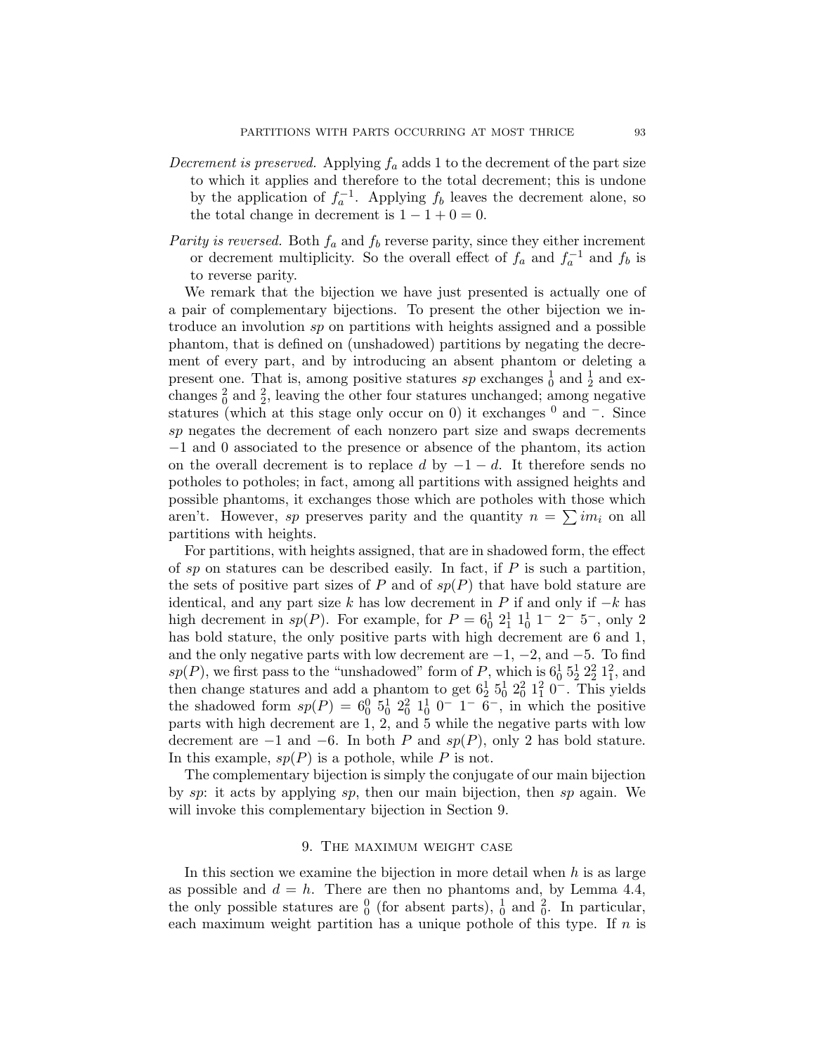- Decrement is preserved. Applying  $f_a$  adds 1 to the decrement of the part size to which it applies and therefore to the total decrement; this is undone by the application of  $f_a^{-1}$ . Applying  $f_b$  leaves the decrement alone, so the total change in decrement is  $1 - 1 + 0 = 0$ .
- Parity is reversed. Both  $f_a$  and  $f_b$  reverse parity, since they either increment or decrement multiplicity. So the overall effect of  $f_a$  and  $f_a^{-1}$  and  $f_b$  is to reverse parity.

We remark that the bijection we have just presented is actually one of a pair of complementary bijections. To present the other bijection we introduce an involution sp on partitions with heights assigned and a possible phantom, that is defined on (unshadowed) partitions by negating the decrement of every part, and by introducing an absent phantom or deleting a present one. That is, among positive statures sp exchanges  $\frac{1}{0}$  and  $\frac{1}{2}$  and exchanges  $\frac{2}{0}$  and  $\frac{2}{2}$ , leaving the other four statures unchanged; among negative statures (which at this stage only occur on 0) it exchanges  $0$  and  $\overline{\phantom{a}}$ . Since sp negates the decrement of each nonzero part size and swaps decrements −1 and 0 associated to the presence or absence of the phantom, its action on the overall decrement is to replace d by  $-1-d$ . It therefore sends no potholes to potholes; in fact, among all partitions with assigned heights and possible phantoms, it exchanges those which are potholes with those which aren't. However, sp preserves parity and the quantity  $n = \sum im_i$  on all partitions with heights.

For partitions, with heights assigned, that are in shadowed form, the effect of sp on statures can be described easily. In fact, if  $P$  is such a partition, the sets of positive part sizes of P and of  $sp(P)$  that have bold stature are identical, and any part size k has low decrement in P if and only if  $-k$  has high decrement in  $sp(P)$ . For example, for  $P = 6^1_0 2^1_1 1^1_0 1^- 2^- 5^-$ , only 2 has bold stature, the only positive parts with high decrement are 6 and 1, and the only negative parts with low decrement are  $-1$ ,  $-2$ , and  $-5$ . To find  $sp(P)$ , we first pass to the "unshadowed" form of P, which is  $6^1_0 5^1_2 2^2_1 1^2_1$ , and then change statures and add a phantom to get  $6\frac{1}{2}$   $5\frac{1}{0}$   $2\frac{1}{0}$   $1\frac{1}{1}$   $0$ . This yields the shadowed form  $sp(P) = 6_0^0 \; 5_0^1 \; 2_0^2 \; 1_0^1 \; 0^- \; 1^- \; 6^-$ , in which the positive parts with high decrement are 1, 2, and 5 while the negative parts with low decrement are  $-1$  and  $-6$ . In both P and  $sp(P)$ , only 2 has bold stature. In this example,  $sp(P)$  is a pothole, while P is not.

The complementary bijection is simply the conjugate of our main bijection by sp: it acts by applying sp, then our main bijection, then sp again. We will invoke this complementary bijection in Section 9.

#### 9. The maximum weight case

In this section we examine the bijection in more detail when  $h$  is as large as possible and  $d = h$ . There are then no phantoms and, by Lemma 4.4, the only possible statures are  $\frac{0}{0}$  (for absent parts),  $\frac{1}{0}$  and  $\frac{2}{0}$ . In particular, each maximum weight partition has a unique pothole of this type. If  $n$  is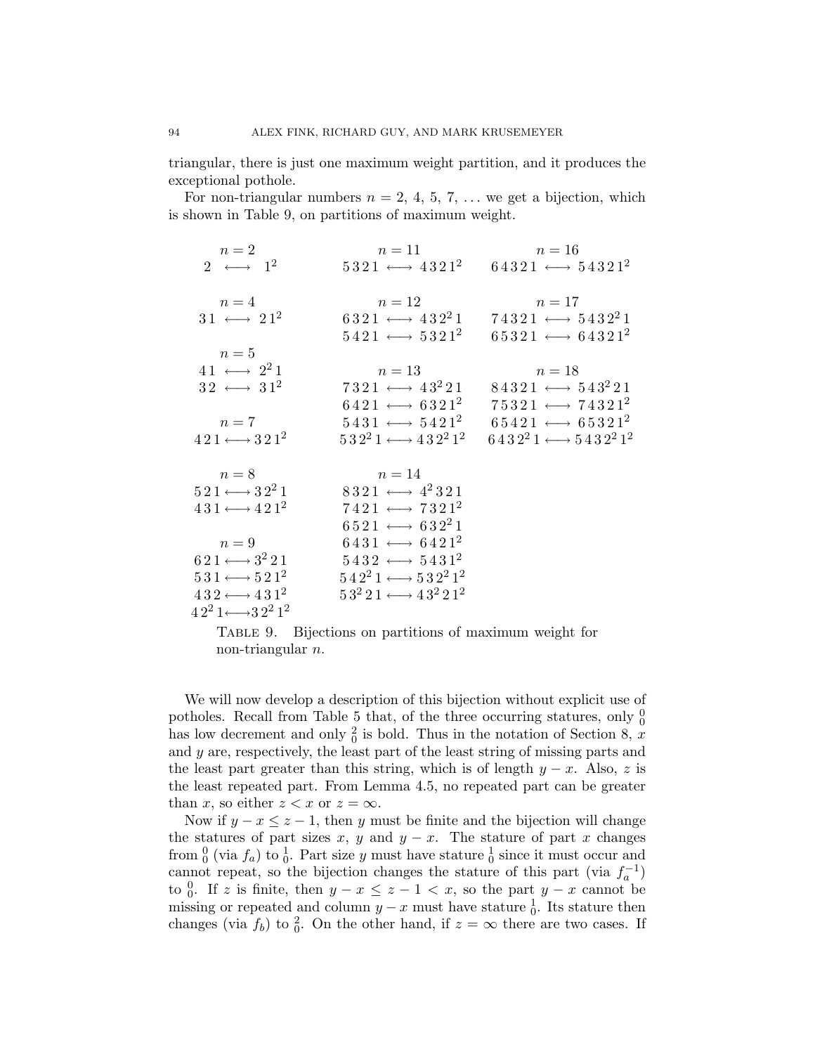triangular, there is just one maximum weight partition, and it produces the exceptional pothole.

For non-triangular numbers  $n = 2, 4, 5, 7, \ldots$  we get a bijection, which is shown in Table 9, on partitions of maximum weight.

| $n=2$                                                         | $n=11$                                            | $n=16$                                                                |
|---------------------------------------------------------------|---------------------------------------------------|-----------------------------------------------------------------------|
| 2 $\longleftrightarrow$ 1 <sup>2</sup>                        |                                                   | $5321 \longleftrightarrow 4321^2$ $64321 \longleftrightarrow 54321^2$ |
| $n=4$                                                         | $n=12$                                            | $n=17$                                                                |
|                                                               |                                                   |                                                                       |
| $31 \leftrightarrow 21^2$                                     | $6321 \leftrightarrow 432^21$                     | $74321 \longleftrightarrow 5432^21$                                   |
|                                                               | $5421 \longleftrightarrow 5321^2$                 | $65321 \longleftrightarrow 64321^2$                                   |
| $n=5$                                                         |                                                   |                                                                       |
| $41 \leftrightarrow 2^21$                                     | $n=13$                                            | $n=18$                                                                |
| $32 \leftrightarrow 31^2$                                     | $7321 \leftrightarrow 43^221$                     | $84321 \longleftrightarrow 543^221$                                   |
|                                                               | $6421 \longleftrightarrow 6321^2$                 | $75321 \longleftrightarrow 74321^2$                                   |
| $n=7$                                                         | $5431 \leftrightarrow 5421^2$                     | $65421 \longleftrightarrow 65321^2$                                   |
| $421 \longleftrightarrow 321^2$                               | $5\,3\,2^2\,1 \longleftrightarrow 4\,3\,2^2\,1^2$ | $6432^21 \longleftrightarrow 5432^21^2$                               |
|                                                               |                                                   |                                                                       |
|                                                               |                                                   |                                                                       |
| $n=8$                                                         | $n=14$                                            |                                                                       |
| $5\,2\,1 \longleftrightarrow 3\,2^2\,1$                       | $8321 \leftrightarrow 4^2321$                     |                                                                       |
| $431 \longleftrightarrow 421^2$                               | $7421 \leftrightarrow 7321^2$                     |                                                                       |
|                                                               | $6521 \leftrightarrow 632^21$                     |                                                                       |
| $n=9$                                                         | $6431 \longleftrightarrow 6421^2$                 |                                                                       |
| $6\,2\,1 \longleftrightarrow 3^2\,2\,1$                       | $5432 \leftrightarrow 5431^2$                     |                                                                       |
| $531 \longleftrightarrow 521^2$                               | $5\,4\,2^2\,1 \longleftrightarrow 5\,3\,2^2\,1^2$ |                                                                       |
|                                                               |                                                   |                                                                       |
| $432 \longleftrightarrow 431^2$                               | $53^2 21 \longleftrightarrow 43^2 21^2$           |                                                                       |
| $42^2$ 1 $\longleftrightarrow$ 32 <sup>2</sup> 1 <sup>2</sup> |                                                   |                                                                       |

Table 9. Bijections on partitions of maximum weight for non-triangular n.

We will now develop a description of this bijection without explicit use of potholes. Recall from Table 5 that, of the three occurring statures, only  $\frac{0}{0}$ has low decrement and only  $\frac{2}{0}$  is bold. Thus in the notation of Section 8, x and y are, respectively, the least part of the least string of missing parts and the least part greater than this string, which is of length  $y - x$ . Also, z is the least repeated part. From Lemma 4.5, no repeated part can be greater than x, so either  $z < x$  or  $z = \infty$ .

Now if  $y - x \leq z - 1$ , then y must be finite and the bijection will change the statures of part sizes x, y and  $y - x$ . The stature of part x changes from  $_0^0$  (via  $f_a$ ) to  $_0^1$ . Part size y must have stature  $_0^1$  since it must occur and cannot repeat, so the bijection changes the stature of this part (via  $f_a^{-1}$ ) to  $\frac{0}{0}$ . If z is finite, then  $y - x \leq z - 1 < x$ , so the part  $y - x$  cannot be missing or repeated and column  $y - x$  must have stature  $\frac{1}{0}$ . Its stature then changes (via  $f_b$ ) to  $\frac{2}{0}$ . On the other hand, if  $z = \infty$  there are two cases. If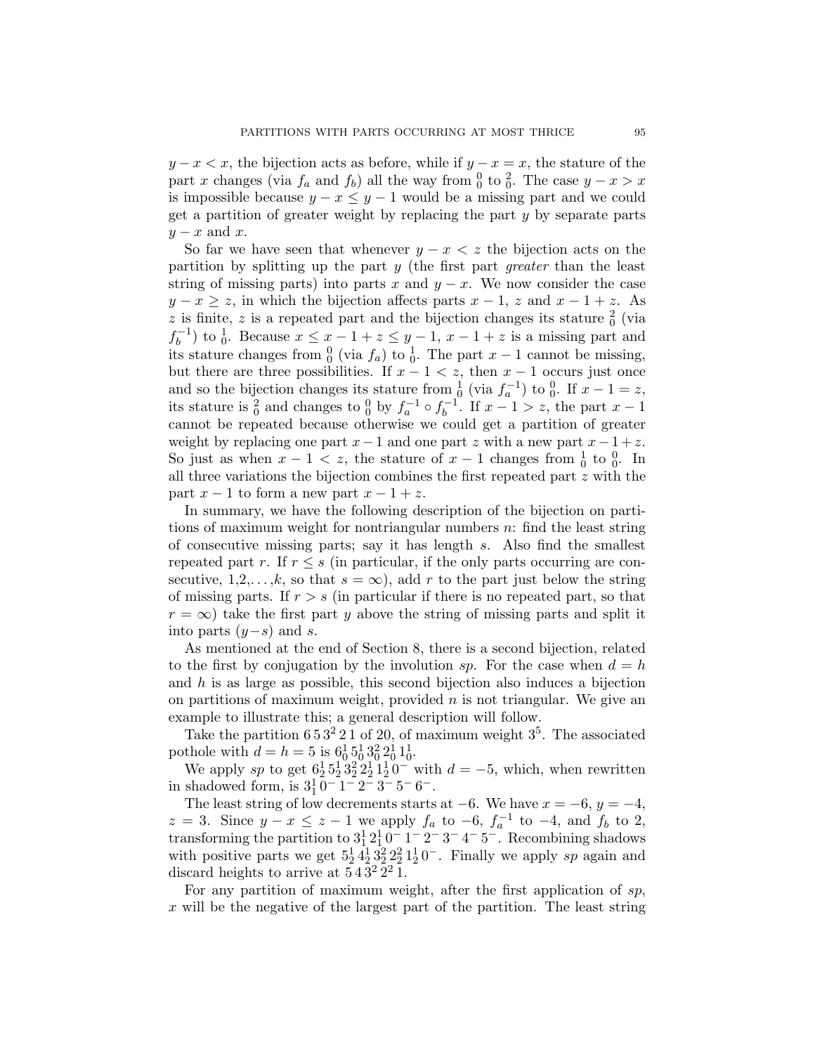$y - x < x$ , the bijection acts as before, while if  $y - x = x$ , the stature of the part x changes (via  $f_a$  and  $f_b$ ) all the way from  $\frac{0}{0}$  to  $\frac{2}{0}$ . The case  $y - x > x$ is impossible because  $y - x \leq y - 1$  would be a missing part and we could get a partition of greater weight by replacing the part y by separate parts  $y - x$  and x.

So far we have seen that whenever  $y - x < z$  the bijection acts on the partition by splitting up the part  $y$  (the first part *greater* than the least string of missing parts) into parts x and  $y - x$ . We now consider the case  $y - x \geq z$ , in which the bijection affects parts  $x - 1$ , z and  $x - 1 + z$ . As z is finite, z is a repeated part and the bijection changes its stature  $\frac{2}{0}$  (via  $f_h^{-1}$  $(b<sub>b</sub><sup>-1</sup>)$  to  $\frac{1}{0}$ . Because  $x \leq x-1+z \leq y-1$ ,  $x-1+z$  is a missing part and its stature changes from  $\frac{0}{0}$  (via  $f_a$ ) to  $\frac{1}{0}$ . The part  $x-1$  cannot be missing, but there are three possibilities. If  $x - 1 < z$ , then  $x - 1$  occurs just once and so the bijection changes its stature from  $\frac{1}{0}$  (via  $f_a^{-1}$ ) to  $\frac{0}{0}$ . If  $x - 1 = z$ , its stature is  $\frac{2}{0}$  and changes to  $\frac{0}{0}$  by  $f_a^{-1} \circ f_b^{-1}$  $b^{-1}$ . If  $x - 1 > z$ , the part  $x - 1$ cannot be repeated because otherwise we could get a partition of greater weight by replacing one part  $x-1$  and one part z with a new part  $x-1+z$ . So just as when  $x - 1 < z$ , the stature of  $x - 1$  changes from  $\frac{1}{0}$  to  $\frac{0}{0}$ . In all three variations the bijection combines the first repeated part z with the part  $x - 1$  to form a new part  $x - 1 + z$ .

In summary, we have the following description of the bijection on partitions of maximum weight for nontriangular numbers  $n$ : find the least string of consecutive missing parts; say it has length s. Also find the smallest repeated part r. If  $r \leq s$  (in particular, if the only parts occurring are consecutive, 1,2,..., $k$ , so that  $s = \infty$ ), add r to the part just below the string of missing parts. If  $r > s$  (in particular if there is no repeated part, so that  $r = \infty$ ) take the first part y above the string of missing parts and split it into parts  $(y-s)$  and s.

As mentioned at the end of Section 8, there is a second bijection, related to the first by conjugation by the involution sp. For the case when  $d = h$ and  $h$  is as large as possible, this second bijection also induces a bijection on partitions of maximum weight, provided  $n$  is not triangular. We give an example to illustrate this; a general description will follow.

Take the partition  $653^221$  of 20, of maximum weight  $3^5$ . The associated pothole with  $d = h = 5$  is  $6^1_0 5^1_0 3^2_0 2^1_0 1^1_0$ .

We apply sp to get  $6\frac{1}{2}5\frac{1}{2}3\frac{2}{2}2\frac{1}{2}1\frac{1}{2}0^-$  with  $d = -5$ , which, when rewritten in shadowed form, is  $3^{1}_{1}$   $0^{-}$   $1^{-}$   $2^{-}$   $3^{-}$   $5^{-}$   $6^{-}$ .

The least string of low decrements starts at  $-6$ . We have  $x = -6$ ,  $y = -4$ ,  $z = 3$ . Since  $y - x \le z - 1$  we apply  $f_a$  to  $-6$ ,  $f_a^{-1}$  to  $-4$ , and  $f_b$  to 2, transforming the partition to  $3^1_1 2^1_1 0^- 1^- 2^- 3^- 4^- 5^-$ . Recombining shadows with positive parts we get  $5\frac{1}{2}4\frac{1}{2}3\frac{2}{2}2\frac{2}{2}1\frac{1}{2}0$ . Finally we apply sp again and discard heights to arrive at  $543^22^21$ .

For any partition of maximum weight, after the first application of  $sp$ ,  $x$  will be the negative of the largest part of the partition. The least string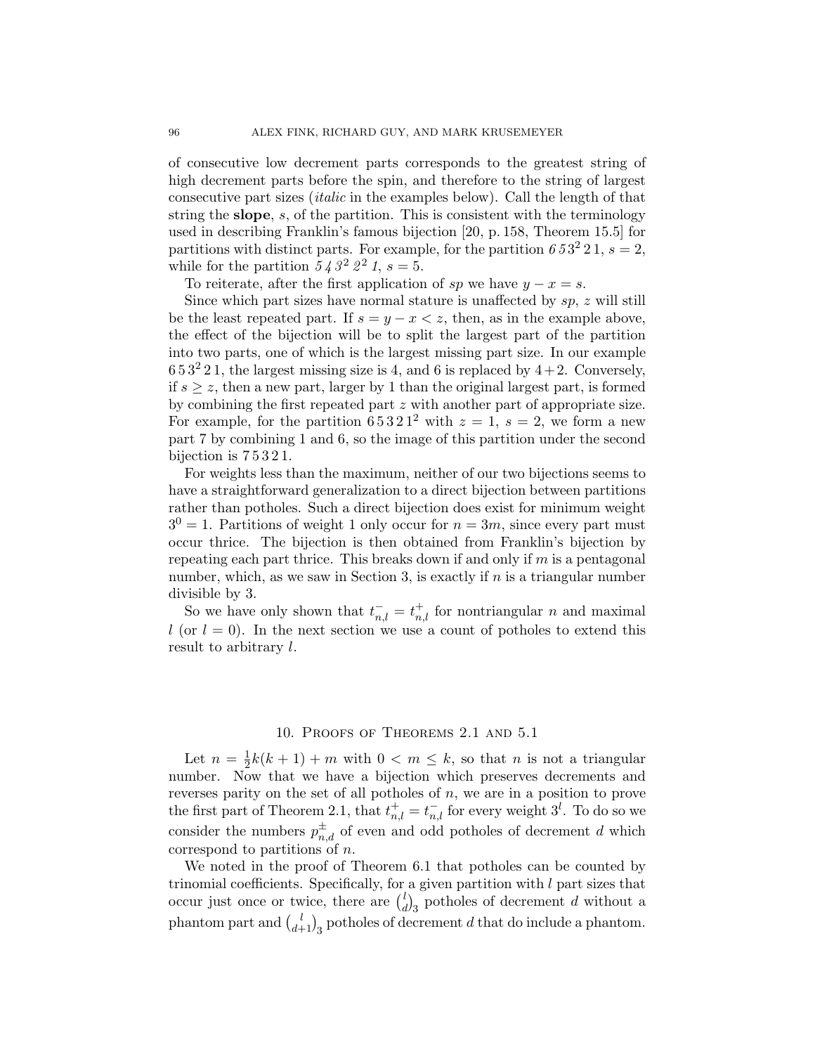of consecutive low decrement parts corresponds to the greatest string of high decrement parts before the spin, and therefore to the string of largest consecutive part sizes (italic in the examples below). Call the length of that string the slope, s, of the partition. This is consistent with the terminology used in describing Franklin's famous bijection [20, p. 158, Theorem 15.5] for partitions with distinct parts. For example, for the partition  $653^2 21$ ,  $s = 2$ , while for the partition  $543^22^21$ ,  $s=5$ .

To reiterate, after the first application of sp we have  $y - x = s$ .

Since which part sizes have normal stature is unaffected by  $sp$ ,  $z$  will still be the least repeated part. If  $s = y - x < z$ , then, as in the example above, the effect of the bijection will be to split the largest part of the partition into two parts, one of which is the largest missing part size. In our example  $653<sup>2</sup>21$ , the largest missing size is 4, and 6 is replaced by  $4+2$ . Conversely, if  $s \geq z$ , then a new part, larger by 1 than the original largest part, is formed by combining the first repeated part z with another part of appropriate size. For example, for the partition  $65321^2$  with  $z = 1$ ,  $s = 2$ , we form a new part 7 by combining 1 and 6, so the image of this partition under the second bijection is 7 5 3 2 1.

For weights less than the maximum, neither of our two bijections seems to have a straightforward generalization to a direct bijection between partitions rather than potholes. Such a direct bijection does exist for minimum weight  $3^{0} = 1$ . Partitions of weight 1 only occur for  $n = 3m$ , since every part must occur thrice. The bijection is then obtained from Franklin's bijection by repeating each part thrice. This breaks down if and only if  $m$  is a pentagonal number, which, as we saw in Section 3, is exactly if  $n$  is a triangular number divisible by 3.

So we have only shown that  $t_{n,l}^- = t_{n,l}^+$  for nontriangular n and maximal l (or  $l = 0$ ). In the next section we use a count of potholes to extend this result to arbitrary l.

### 10. Proofs of Theorems 2.1 and 5.1

Let  $n=\frac{1}{2}$  $\frac{1}{2}k(k+1) + m$  with  $0 < m \leq k$ , so that *n* is not a triangular number. Now that we have a bijection which preserves decrements and reverses parity on the set of all potholes of  $n$ , we are in a position to prove the first part of Theorem 2.1, that  $t_{n,l}^+ = t_{n,l}^-$  for every weight  $3^l$ . To do so we consider the numbers  $p_{n,d}^{\pm}$  of even and odd potholes of decrement d which correspond to partitions of n.

We noted in the proof of Theorem 6.1 that potholes can be counted by trinomial coefficients. Specifically, for a given partition with  $l$  part sizes that occur just once or twice, there are  $\binom{l}{q}$  $\binom{l}{d}$  potholes of decrement d without a phantom part and  $\binom{l}{d+1}_3$  potholes of decrement d that do include a phantom.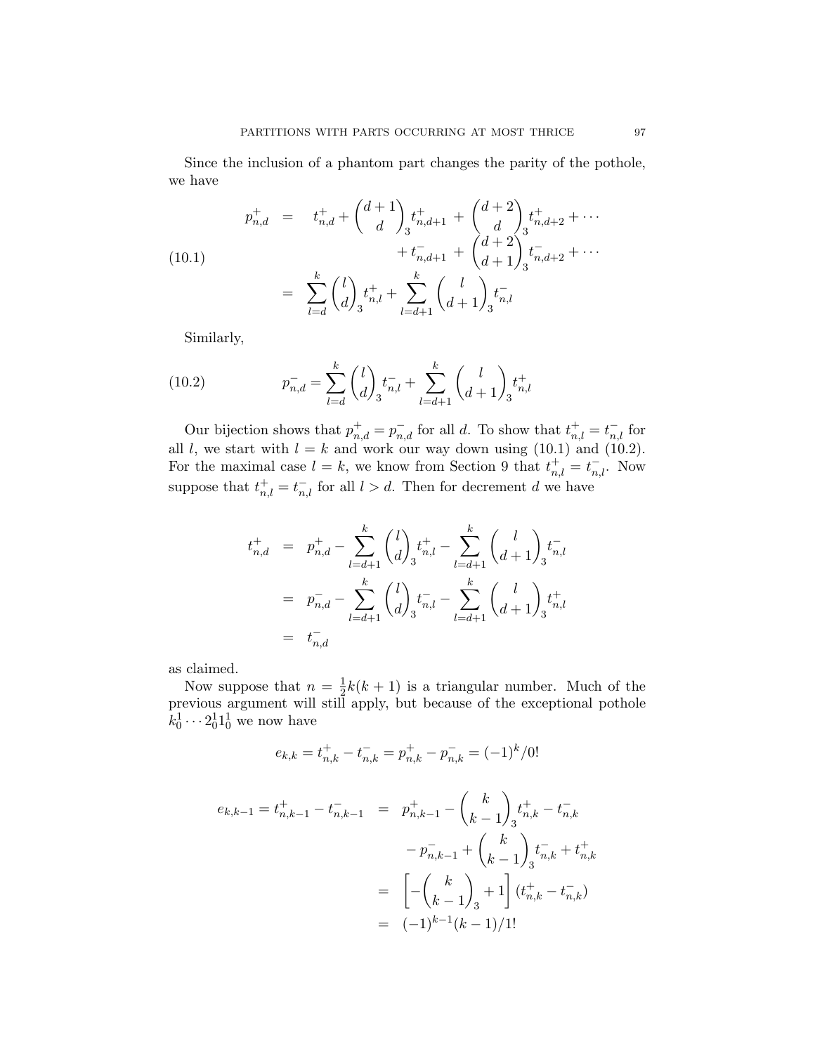Since the inclusion of a phantom part changes the parity of the pothole, we have

$$
p_{n,d}^{+} = t_{n,d}^{+} + {d+1 \choose d} t_{n,d+1}^{+} + {d+2 \choose d} t_{n,d+2}^{+} + \cdots
$$
  
\n
$$
+ t_{n,d+1}^{-} + {d+2 \choose d+1} t_{n,d+2}^{-} + \cdots
$$
  
\n
$$
= \sum_{l=d}^{k} {l \choose d} t_{n,l}^{+} + \sum_{l=d+1}^{k} {l \choose d+1} t_{n,l}^{-}
$$

Similarly,

(10.2) 
$$
p_{n,d}^- = \sum_{l=d}^k {l \choose d}_3 t_{n,l}^- + \sum_{l=d+1}^k {l \choose d+1}_3 t_{n,l}^+
$$

Our bijection shows that  $p_{n,d}^+ = p_{n,d}^-$  for all d. To show that  $t_{n,l}^+ = t_{n,l}^-$  for all l, we start with  $l = k$  and work our way down using (10.1) and (10.2). For the maximal case  $l = k$ , we know from Section 9 that  $t_{n,l}^+ = t_{n,l}^-$ . Now suppose that  $t_{n,l}^+ = t_{n,l}^-$  for all  $l > d$ . Then for decrement d we have

$$
t_{n,d}^+ = p_{n,d}^+ - \sum_{l=d+1}^k {l \choose d}_3 t_{n,l}^+ - \sum_{l=d+1}^k {l \choose d+1}_3 t_{n,l}^-
$$
  

$$
= p_{n,d}^- - \sum_{l=d+1}^k {l \choose d}_3 t_{n,l}^- - \sum_{l=d+1}^k {l \choose d+1}_3 t_{n,l}^+
$$
  

$$
= t_{n,d}^-
$$

as claimed.

Now suppose that  $n=\frac{1}{2}$  $\frac{1}{2}k(k+1)$  is a triangular number. Much of the previous argument will still apply, but because of the exceptional pothole  $k_0^1 \cdots 2_0^1 1_0^1$  we now have

$$
e_{k,k} = t_{n,k}^+ - t_{n,k}^- = p_{n,k}^+ - p_{n,k}^- = (-1)^k / 0!
$$

$$
e_{k,k-1} = t_{n,k-1}^+ - t_{n,k-1}^- = p_{n,k-1}^+ - {k \choose k-1} t_{n,k}^+ - t_{n,k}^-
$$
  

$$
- p_{n,k-1}^- + {k \choose k-1} t_{n,k}^- + t_{n,k}^+
$$
  

$$
= \left[ -{k \choose k-1} + 1 \right] (t_{n,k}^+ - t_{n,k}^-)
$$
  

$$
= (-1)^{k-1} (k-1)/1!
$$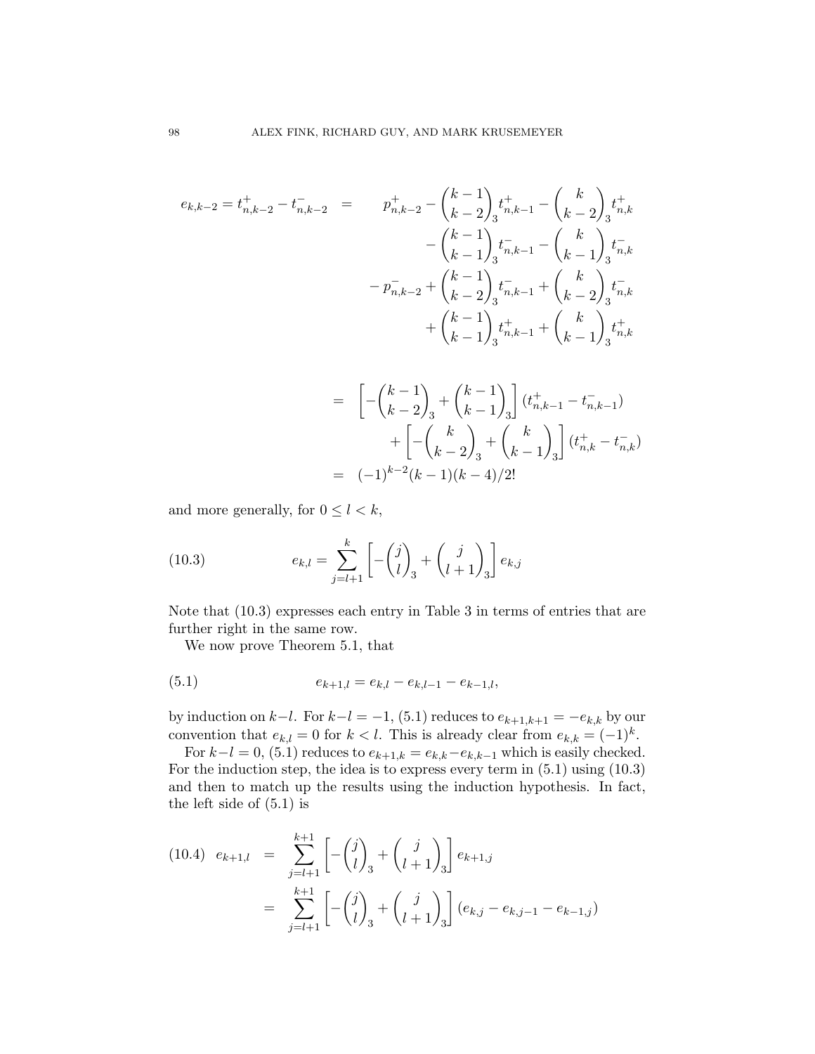$$
e_{k,k-2} = t_{n,k-2}^+ - t_{n,k-2}^- = p_{n,k-2}^+ - {k-1 \choose k-2} t_{n,k-1}^+ - {k \choose k-2} t_{n,k}^+ - {k-1 \choose k-1} t_{n,k-1}^- - {k \choose k-1} t_{n,k}^- - p_{n,k-2}^- + {k-1 \choose k-2} t_{n,k-1}^- + {k \choose k-2} t_{n,k}^- + {k-1 \choose k-1} t_{n,k-1}^+ + {k \choose k-1} t_{n,k}^+ + {k \choose k-1} t_{n,k}^+ + {k \choose k-1} t_{n,k}^+ + {k \choose k-1} t_{n,k}^+ +
$$

$$
= \left[ -\binom{k-1}{k-2}_3 + \binom{k-1}{k-1}_3 \right] (t_{n,k-1}^+ - t_{n,k-1}^-)
$$
  
+ 
$$
\left[ -\binom{k}{k-2}_3 + \binom{k}{k-1}_3 \right] (t_{n,k}^+ - t_{n,k}^-)
$$
  
= 
$$
(-1)^{k-2} (k-1)(k-4)/2!
$$

and more generally, for  $0 \leq l < k$ ,

(10.3) 
$$
e_{k,l} = \sum_{j=l+1}^{k} \left[ -\binom{j}{l}_3 + \binom{j}{l+1}_3 \right] e_{k,j}
$$

Note that (10.3) expresses each entry in Table 3 in terms of entries that are further right in the same row.

We now prove Theorem 5.1, that

(5.1) 
$$
e_{k+1,l} = e_{k,l} - e_{k,l-1} - e_{k-1,l},
$$

by induction on  $k-l$ . For  $k-l = -1$ , (5.1) reduces to  $e_{k+1,k+1} = -e_{k,k}$  by our convention that  $e_{k,l} = 0$  for  $k < l$ . This is already clear from  $e_{k,k} = (-1)^k$ .

For  $k-l = 0$ , (5.1) reduces to  $e_{k+1,k} = e_{k,k} - e_{k,k-1}$  which is easily checked. For the induction step, the idea is to express every term in (5.1) using (10.3) and then to match up the results using the induction hypothesis. In fact, the left side of (5.1) is

$$
(10.4) \quad e_{k+1,l} = \sum_{j=l+1}^{k+1} \left[ -\binom{j}{l}_3 + \binom{j}{l+1}_3 \right] e_{k+1,j}
$$

$$
= \sum_{j=l+1}^{k+1} \left[ -\binom{j}{l}_3 + \binom{j}{l+1}_3 \right] (e_{k,j} - e_{k,j-1} - e_{k-1,j})
$$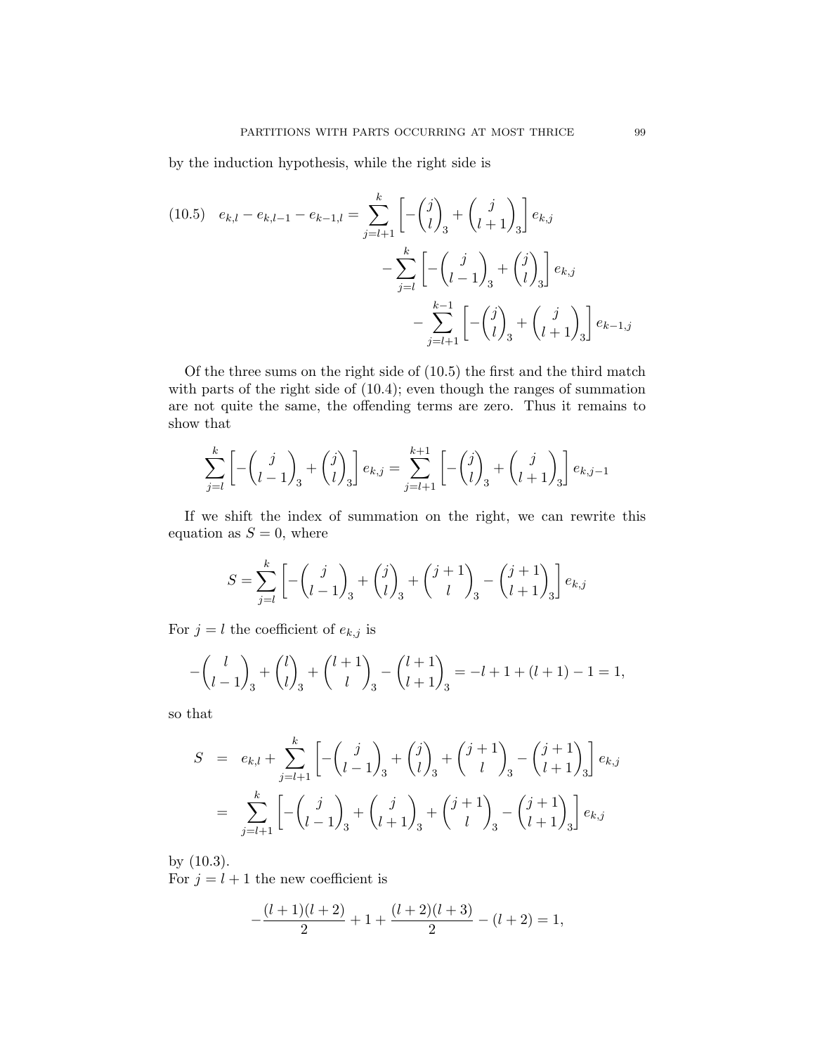by the induction hypothesis, while the right side is

(10.5) 
$$
e_{k,l} - e_{k,l-1} - e_{k-1,l} = \sum_{j=l+1}^{k} \left[ -\binom{j}{l}_3 + \binom{j}{l+1}_3 \right] e_{k,j}
$$
  

$$
- \sum_{j=l}^{k} \left[ -\binom{j}{l-1}_3 + \binom{j}{l}_3 \right] e_{k,j}
$$

$$
- \sum_{j=l+1}^{k-1} \left[ -\binom{j}{l}_3 + \binom{j}{l+1}_3 \right] e_{k-1,j}
$$

Of the three sums on the right side of (10.5) the first and the third match with parts of the right side of (10.4); even though the ranges of summation are not quite the same, the offending terms are zero. Thus it remains to show that

$$
\sum_{j=l}^{k} \left[ -\binom{j}{l-1}_3 + \binom{j}{l}_3 \right] e_{k,j} = \sum_{j=l+1}^{k+1} \left[ -\binom{j}{l}_3 + \binom{j}{l+1}_3 \right] e_{k,j-1}
$$

If we shift the index of summation on the right, we can rewrite this equation as  $S = 0$ , where

$$
S = \sum_{j=l}^{k} \left[ -\binom{j}{l-1}_3 + \binom{j}{l}_3 + \binom{j+1}{l}_3 - \binom{j+1}{l+1}_3 \right] e_{k,j}
$$

For  $j = l$  the coefficient of  $e_{k,j}$  is

$$
-\binom{l}{l-1}_3 + \binom{l}{l}_3 + \binom{l+1}{l}_3 - \binom{l+1}{l+1}_3 = -l+1+(l+1)-1=1,
$$

so that

$$
S = e_{k,l} + \sum_{j=l+1}^{k} \left[ -\binom{j}{l-1}_3 + \binom{j}{l}_3 + \binom{j+1}{l}_3 - \binom{j+1}{l+1}_3 \right] e_{k,j}
$$
  
= 
$$
\sum_{j=l+1}^{k} \left[ -\binom{j}{l-1}_3 + \binom{j}{l+1}_3 + \binom{j+1}{l}_3 - \binom{j+1}{l+1}_3 \right] e_{k,j}
$$

by (10.3). For  $j = l + 1$  the new coefficient is

$$
-\frac{(l+1)(l+2)}{2} + 1 + \frac{(l+2)(l+3)}{2} - (l+2) = 1,
$$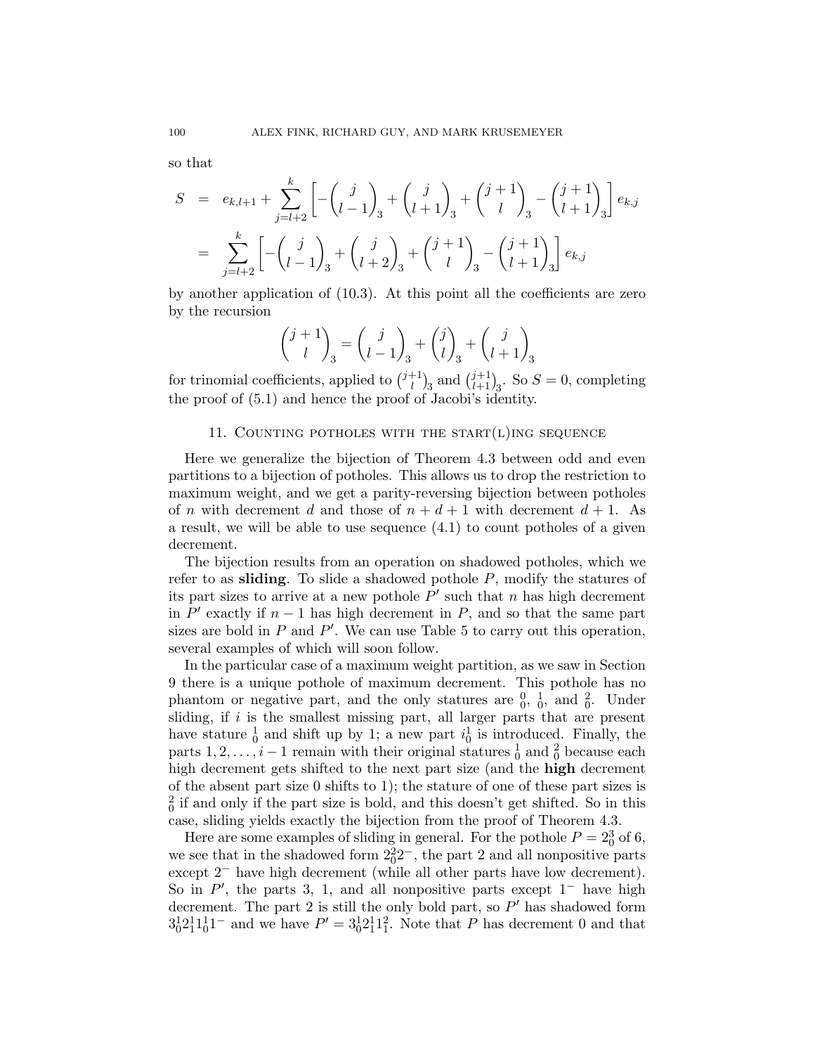so that

$$
S = e_{k,l+1} + \sum_{j=l+2}^{k} \left[ -\binom{j}{l-1}_3 + \binom{j}{l+1}_3 + \binom{j+1}{l}_3 - \binom{j+1}{l+1}_3 \right] e_{k,j}
$$
  
= 
$$
\sum_{j=l+2}^{k} \left[ -\binom{j}{l-1}_3 + \binom{j}{l+2}_3 + \binom{j+1}{l}_3 - \binom{j+1}{l+1}_3 \right] e_{k,j}
$$

by another application of (10.3). At this point all the coefficients are zero by the recursion

$$
\binom{j+1}{l}_3 = \binom{j}{l-1}_3 + \binom{j}{l}_3 + \binom{j}{l+1}_3
$$

for trinomial coefficients, applied to  $\binom{j+1}{l}$  $\binom{1}{l}$ <sub>3</sub> and  $\binom{j+1}{l+1}$ <sub>3</sub>. So  $S = 0$ , completing the proof of (5.1) and hence the proof of Jacobi's identity.

### 11. COUNTING POTHOLES WITH THE START $(L)$ ING SEQUENCE

Here we generalize the bijection of Theorem 4.3 between odd and even partitions to a bijection of potholes. This allows us to drop the restriction to maximum weight, and we get a parity-reversing bijection between potholes of n with decrement d and those of  $n + d + 1$  with decrement  $d + 1$ . As a result, we will be able to use sequence (4.1) to count potholes of a given decrement.

The bijection results from an operation on shadowed potholes, which we refer to as **sliding**. To slide a shadowed pothole  $P$ , modify the statures of its part sizes to arrive at a new pothole  $P'$  such that n has high decrement in  $P'$  exactly if  $n-1$  has high decrement in P, and so that the same part sizes are bold in  $P$  and  $P'$ . We can use Table 5 to carry out this operation, several examples of which will soon follow.

In the particular case of a maximum weight partition, as we saw in Section 9 there is a unique pothole of maximum decrement. This pothole has no phantom or negative part, and the only statures are  $\frac{0}{0}$ ,  $\frac{1}{0}$ , and  $\frac{2}{0}$ . Under sliding, if  $i$  is the smallest missing part, all larger parts that are present have stature  $\frac{1}{0}$  and shift up by 1; a new part  $i_0^1$  is introduced. Finally, the parts  $1, 2, \ldots, i-1$  remain with their original statures  $\frac{1}{0}$  and  $\frac{2}{0}$  because each high decrement gets shifted to the next part size (and the high decrement of the absent part size 0 shifts to 1); the stature of one of these part sizes is  $\frac{2}{0}$  if and only if the part size is bold, and this doesn't get shifted. So in this case, sliding yields exactly the bijection from the proof of Theorem 4.3.

Here are some examples of sliding in general. For the pothole  $P = 2<sub>0</sub><sup>3</sup>$  of 6, we see that in the shadowed form  $2<sub>0</sub><sup>2</sup>2<sub>-</sub>$ , the part 2 and all nonpositive parts except 2<sup>−</sup> have high decrement (while all other parts have low decrement). So in  $P'$ , the parts 3, 1, and all nonpositive parts except  $1^-$  have high decrement. The part 2 is still the only bold part, so  $P'$  has shadowed form  $3_0^1 2_1^1 1_0^1$ <sup>-</sup> and we have  $P' = 3_0^1 2_1^1 1_1^2$ . Note that P has decrement 0 and that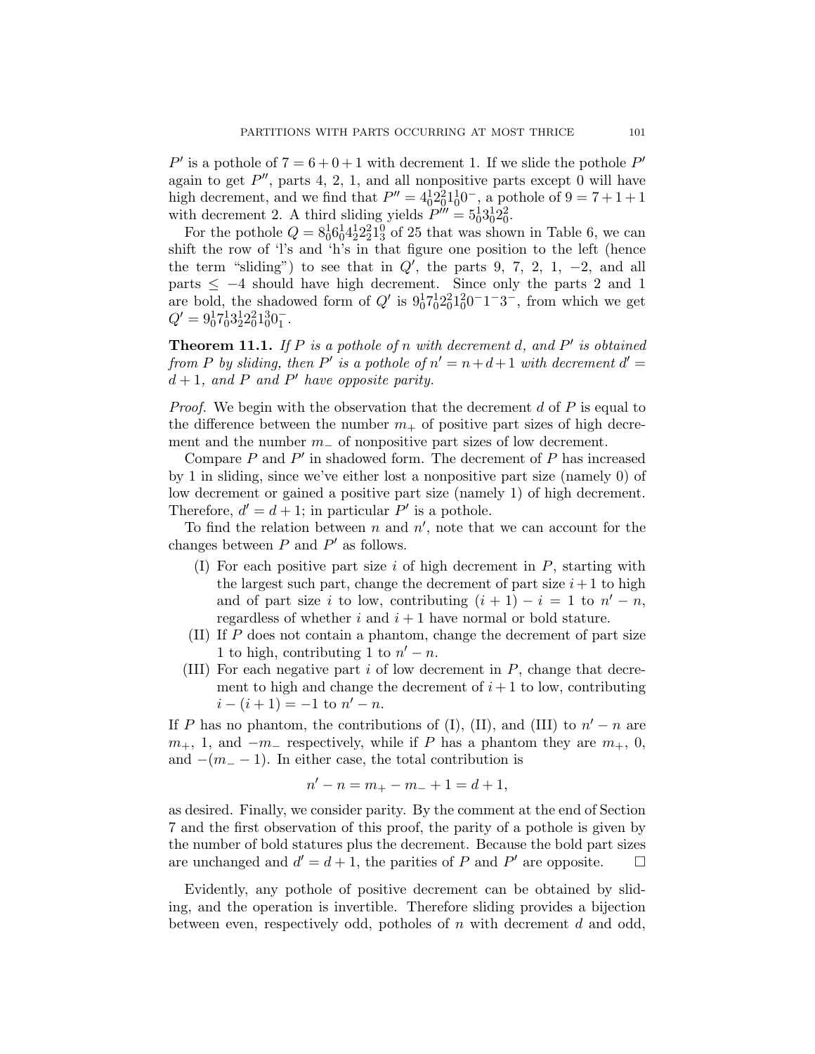P' is a pothole of  $7 = 6 + 0 + 1$  with decrement 1. If we slide the pothole P' again to get  $P''$ , parts 4, 2, 1, and all nonpositive parts except 0 will have high decrement, and we find that  $P'' = 4<sup>1</sup>0<sup>2</sup>2<sup>1</sup>0<sup>1</sup>0<sup>-</sup>$ , a pothole of  $9 = 7 + 1 + 1$ with decrement 2. A third sliding yields  $P^{\prime\prime\prime} = 5_0^1 3_0^1 2_0^2$ .

For the pothole  $Q = 8_0^1 6_0^1 4_2^1 2_2^2 1_3^0$  of 25 that was shown in Table 6, we can shift the row of 'l's and 'h's in that figure one position to the left (hence the term "sliding") to see that in  $Q'$ , the parts 9, 7, 2, 1, -2, and all parts  $\leq -4$  should have high decrement. Since only the parts 2 and 1 are bold, the shadowed form of  $Q'$  is  $9<sub>0</sub><sup>1</sup>7<sub>0</sub><sup>1</sup>2<sub>0</sub><sup>2</sup>1<sub>0</sub><sup>2</sup>0<sup>-1</sup>1<sup>-3</sup>$ , from which we get  $Q' = 9_0^1 7_0^1 3_2^1 2_0^2 1_0^3 0_1^-.$ 

**Theorem 11.1.** If P is a pothole of n with decrement d, and P' is obtained from P by sliding, then P' is a pothole of  $n' = n + d + 1$  with decrement  $d' =$  $d+1$ , and P and P' have opposite parity.

*Proof.* We begin with the observation that the decrement d of P is equal to the difference between the number  $m_+$  of positive part sizes of high decrement and the number  $m_$  of nonpositive part sizes of low decrement.

Compare  $P$  and  $P'$  in shadowed form. The decrement of  $P$  has increased by 1 in sliding, since we've either lost a nonpositive part size (namely 0) of low decrement or gained a positive part size (namely 1) of high decrement. Therefore,  $d' = d + 1$ ; in particular P' is a pothole.

To find the relation between  $n$  and  $n'$ , note that we can account for the changes between  $P$  and  $P'$  as follows.

- (I) For each positive part size  $i$  of high decrement in  $P$ , starting with the largest such part, change the decrement of part size  $i+1$  to high and of part size i to low, contributing  $(i + 1) - i = 1$  to  $n' - n$ , regardless of whether  $i$  and  $i + 1$  have normal or bold stature.
- (II) If P does not contain a phantom, change the decrement of part size 1 to high, contributing 1 to  $n' - n$ .
- (III) For each negative part  $i$  of low decrement in  $P$ , change that decrement to high and change the decrement of  $i+1$  to low, contributing  $i - (i + 1) = -1$  to  $n' - n$ .

If P has no phantom, the contributions of (I), (II), and (III) to  $n'-n$  are  $m_+$ , 1, and  $-m_-$  respectively, while if P has a phantom they are  $m_+$ , 0, and  $-(m_$  − 1). In either case, the total contribution is

$$
n' - n = m_+ - m_- + 1 = d + 1,
$$

as desired. Finally, we consider parity. By the comment at the end of Section 7 and the first observation of this proof, the parity of a pothole is given by the number of bold statures plus the decrement. Because the bold part sizes are unchanged and  $d' = d + 1$ , the parities of P and P' are opposite.  $\square$ 

Evidently, any pothole of positive decrement can be obtained by sliding, and the operation is invertible. Therefore sliding provides a bijection between even, respectively odd, potholes of  $n$  with decrement  $d$  and odd,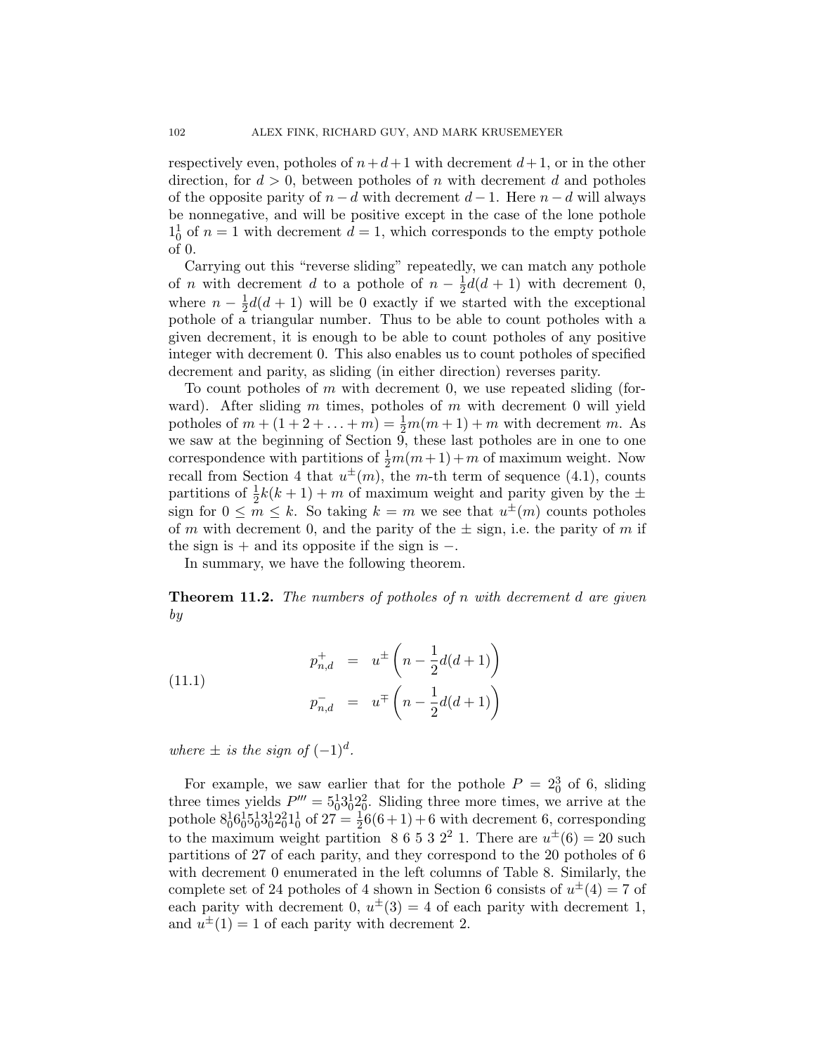respectively even, potholes of  $n+d+1$  with decrement  $d+1$ , or in the other direction, for  $d > 0$ , between potholes of n with decrement d and potholes of the opposite parity of  $n - d$  with decrement  $d - 1$ . Here  $n - d$  will always be nonnegative, and will be positive except in the case of the lone pothole  $1_0^1$  of  $n = 1$  with decrement  $d = 1$ , which corresponds to the empty pothole of 0.

Carrying out this "reverse sliding" repeatedly, we can match any pothole of *n* with decrement *d* to a pothole of  $n - \frac{1}{2}$  $\frac{1}{2}d(d+1)$  with decrement 0, where  $n-\frac{1}{2}$  $\frac{1}{2}d(d+1)$  will be 0 exactly if we started with the exceptional pothole of a triangular number. Thus to be able to count potholes with a given decrement, it is enough to be able to count potholes of any positive integer with decrement 0. This also enables us to count potholes of specified decrement and parity, as sliding (in either direction) reverses parity.

To count potholes of m with decrement 0, we use repeated sliding (forward). After sliding m times, potholes of m with decrement 0 will yield potholes of  $m + (1 + 2 + ... + m) = \frac{1}{2}m(m + 1) + m$  with decrement m. As we saw at the beginning of Section  $\overline{9}$ , these last potholes are in one to one correspondence with partitions of  $\frac{1}{2}m(m+1) + m$  of maximum weight. Now recall from Section 4 that  $u^{\pm}(m)$ , the m-th term of sequence (4.1), counts partitions of  $\frac{1}{2}k(k+1) + m$  of maximum weight and parity given by the  $\pm$ sign for  $0 \leq m \leq k$ . So taking  $k = m$  we see that  $u^{\pm}(m)$  counts potholes of m with decrement 0, and the parity of the  $\pm$  sign, i.e. the parity of m if the sign is  $+$  and its opposite if the sign is  $-$ .

In summary, we have the following theorem.

**Theorem 11.2.** The numbers of potholes of n with decrement d are given by

(11.1) 
$$
p_{n,d}^+ = u^{\pm} \left( n - \frac{1}{2} d(d+1) \right)
$$

$$
p_{n,d}^- = u^{\mp} \left( n - \frac{1}{2} d(d+1) \right)
$$

where  $\pm$  is the sign of  $(-1)^d$ .

For example, we saw earlier that for the pothole  $P = 2<sub>0</sub><sup>3</sup>$  of 6, sliding three times yields  $P''' = 5_0^1 3_0^1 2_0^2$ . Sliding three more times, we arrive at the pothole  $8^1_0 6^1_0 5^1_0 3^1_0 2^2_0 1^1_0$  of  $27 = \frac{1}{2}6(6+1) + 6$  with decrement 6, corresponding to the maximum weight partition 8 6 5 3 2<sup>2</sup> 1. There are  $u^{\pm}(6) = 20$  such partitions of 27 of each parity, and they correspond to the 20 potholes of 6 with decrement 0 enumerated in the left columns of Table 8. Similarly, the complete set of 24 potholes of 4 shown in Section 6 consists of  $u^{\pm}(4) = 7$  of each parity with decrement 0,  $u^{\pm}(3) = 4$  of each parity with decrement 1, and  $u^{\pm}(1) = 1$  of each parity with decrement 2.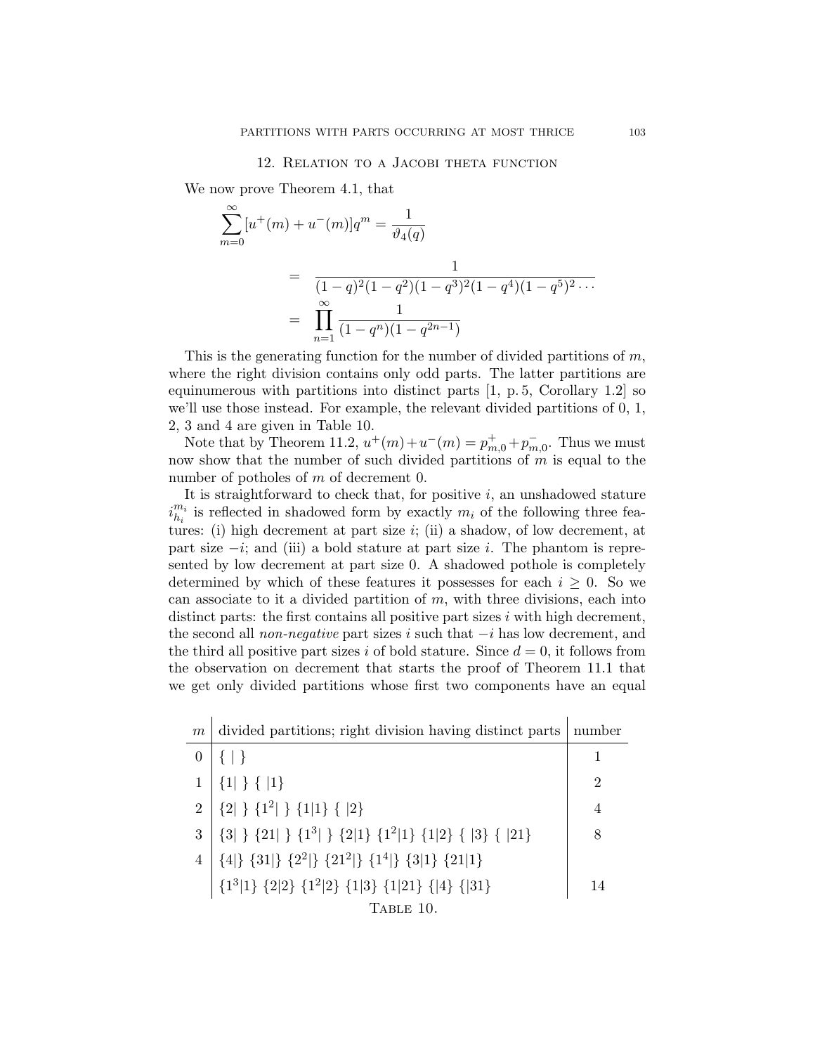### 12. Relation to a Jacobi theta function

We now prove Theorem 4.1, that

$$
\sum_{m=0}^{\infty} [u^+(m) + u^-(m)]q^m = \frac{1}{\vartheta_4(q)}
$$
  
= 
$$
\frac{1}{(1-q)^2(1-q^2)(1-q^3)^2(1-q^4)(1-q^5)^2\cdots}
$$
  
= 
$$
\prod_{n=1}^{\infty} \frac{1}{(1-q^n)(1-q^{2n-1})}
$$

This is the generating function for the number of divided partitions of  $m$ , where the right division contains only odd parts. The latter partitions are equinumerous with partitions into distinct parts  $[1, p.5, Corollary 1.2]$  so we'll use those instead. For example, the relevant divided partitions of 0, 1, 2, 3 and 4 are given in Table 10.

Note that by Theorem 11.2,  $u^+(m) + u^-(m) = p_{m,0}^+ + p_{m,0}^-$ . Thus we must now show that the number of such divided partitions of  $m$  is equal to the number of potholes of m of decrement 0.

It is straightforward to check that, for positive  $i$ , an unshadowed stature  $i_h^{m_i}$  $\frac{m_i}{h_i}$  is reflected in shadowed form by exactly  $m_i$  of the following three features: (i) high decrement at part size i; (ii) a shadow, of low decrement, at part size  $-i$ ; and (iii) a bold stature at part size i. The phantom is represented by low decrement at part size 0. A shadowed pothole is completely determined by which of these features it possesses for each  $i \geq 0$ . So we can associate to it a divided partition of  $m$ , with three divisions, each into distinct parts: the first contains all positive part sizes  $i$  with high decrement, the second all *non-negative* part sizes i such that  $-i$  has low decrement, and the third all positive part sizes i of bold stature. Since  $d = 0$ , it follows from the observation on decrement that starts the proof of Theorem 11.1 that we get only divided partitions whose first two components have an equal

| m              | divided partitions; right division having distinct parts                                                                                                                                     | number         |
|----------------|----------------------------------------------------------------------------------------------------------------------------------------------------------------------------------------------|----------------|
|                |                                                                                                                                                                                              |                |
|                | $\{1 \}$ { $ 1\}$                                                                                                                                                                            | $\overline{2}$ |
|                | 2 $\{2\}$ { $1^2$ } { $1^2$ } { $1\$ } { $ 2$ }                                                                                                                                              | $\overline{4}$ |
| 3 <sup>1</sup> | $\ \left\{3\right\}\ \left\{21\right\}\ \left\{1^3\right\}\ \left\{2\right\}1\right\}\ \left\{1^2\right\}\ \left\{1\right\2\right\}\ \left\{ \ \left 3\right\} \ \left\{ \ \left 21\right\}$ | 8              |
|                | $  \{4 \} \{31 \} \{2^2 \} \{21^2 \} \{1^4 \} \{3 1\} \{21 1\}$                                                                                                                              |                |
|                | $\left[\right.\{1^3 1\right\}\left.\{2 2\right\}\left.\{1^2 2\right\}\left.\{1 3\right\}\left.\{1 21\right\}\left.\left\{ 4\right\}\left.\{ 31\right\}$                                      | 14             |
|                | TABLE 10.                                                                                                                                                                                    |                |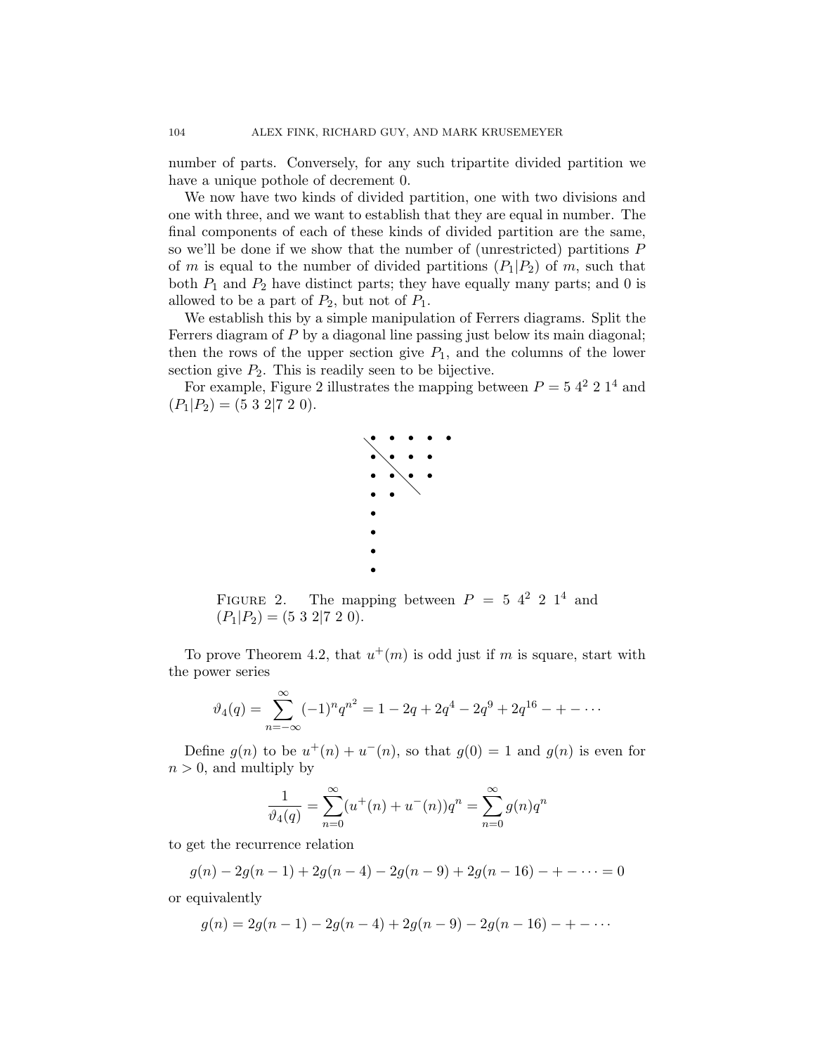number of parts. Conversely, for any such tripartite divided partition we have a unique pothole of decrement 0.

We now have two kinds of divided partition, one with two divisions and one with three, and we want to establish that they are equal in number. The final components of each of these kinds of divided partition are the same, so we'll be done if we show that the number of (unrestricted) partitions P of m is equal to the number of divided partitions  $(P_1|P_2)$  of m, such that both  $P_1$  and  $P_2$  have distinct parts; they have equally many parts; and 0 is allowed to be a part of  $P_2$ , but not of  $P_1$ .

We establish this by a simple manipulation of Ferrers diagrams. Split the Ferrers diagram of P by a diagonal line passing just below its main diagonal; then the rows of the upper section give  $P_1$ , and the columns of the lower section give  $P_2$ . This is readily seen to be bijective.

For example, Figure 2 illustrates the mapping between  $P = 5 \, 4^2 \, 2 \, 1^4$  and  $(P_1|P_2) = (5 \ 3 \ 2 \ 7 \ 2 \ 0).$ 



FIGURE 2. The mapping between  $P = 5$  4<sup>2</sup> 2 1<sup>4</sup> and  $(P_1|P_2) = (5 \ 3 \ 2 \ 7 \ 2 \ 0).$ 

To prove Theorem 4.2, that  $u^+(m)$  is odd just if m is square, start with the power series

$$
\vartheta_4(q) = \sum_{n=-\infty}^{\infty} (-1)^n q^{n^2} = 1 - 2q + 2q^4 - 2q^9 + 2q^{16} - \dots
$$

Define  $g(n)$  to be  $u^+(n) + u^-(n)$ , so that  $g(0) = 1$  and  $g(n)$  is even for  $n > 0$ , and multiply by

$$
\frac{1}{\vartheta_4(q)} = \sum_{n=0}^{\infty} (u^+(n) + u^-(n))q^n = \sum_{n=0}^{\infty} g(n)q^n
$$

to get the recurrence relation

 $g(n) - 2g(n-1) + 2g(n-4) - 2g(n-9) + 2g(n-16) - + - \cdots = 0$ 

or equivalently

$$
g(n) = 2g(n-1) - 2g(n-4) + 2g(n-9) - 2g(n-16) - + - \cdots
$$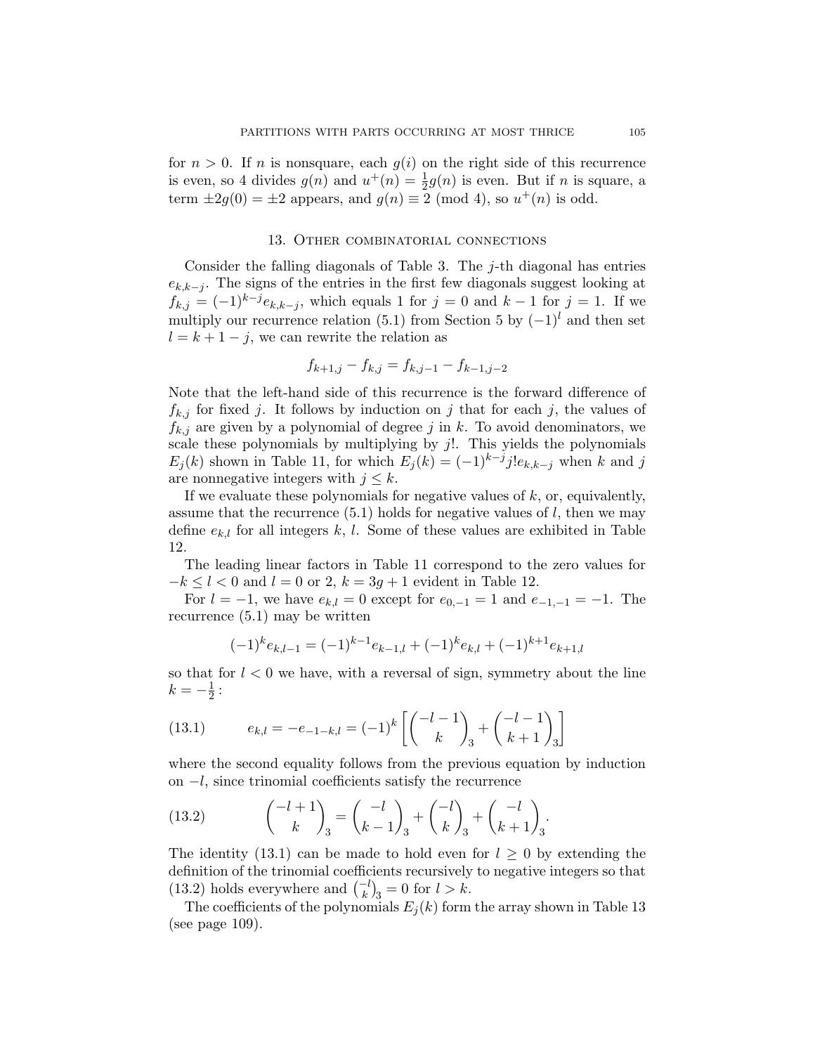for  $n > 0$ . If n is nonsquare, each  $g(i)$  on the right side of this recurrence is even, so 4 divides  $g(n)$  and  $u^+(n) = \frac{1}{2}g(n)$  is even. But if n is square, a term  $\pm 2g(0) = \pm 2$  appears, and  $g(n) \equiv 2 \pmod{4}$ , so  $u^+(n)$  is odd.

### 13. Other combinatorial connections

Consider the falling diagonals of Table 3. The  $i$ -th diagonal has entries  $e_{k,k-j}$ . The signs of the entries in the first few diagonals suggest looking at  $f_{k,j} = (-1)^{k-j} e_{k,k-j}$ , which equals 1 for  $j = 0$  and  $k-1$  for  $j = 1$ . If we multiply our recurrence relation (5.1) from Section 5 by  $(-1)^{l}$  and then set  $l = k + 1 - j$ , we can rewrite the relation as

$$
f_{k+1,j} - f_{k,j} = f_{k,j-1} - f_{k-1,j-2}
$$

Note that the left-hand side of this recurrence is the forward difference of  $f_{k,j}$  for fixed j. It follows by induction on j that for each j, the values of  $f_{k,j}$  are given by a polynomial of degree j in k. To avoid denominators, we scale these polynomials by multiplying by  $j!$ . This yields the polynomials  $E_j(k)$  shown in Table 11, for which  $E_j(k) = (-1)^{k-j} j! e_{k,k-j}$  when k and j are nonnegative integers with  $j \leq k$ .

If we evaluate these polynomials for negative values of  $k$ , or, equivalently, assume that the recurrence  $(5.1)$  holds for negative values of  $l$ , then we may define  $e_{k,l}$  for all integers k, l. Some of these values are exhibited in Table 12.

The leading linear factors in Table 11 correspond to the zero values for  $-k \leq l < 0$  and  $l = 0$  or 2,  $k = 3g + 1$  evident in Table 12.

For  $l = -1$ , we have  $e_{k,l} = 0$  except for  $e_{0,-1} = 1$  and  $e_{-1,-1} = -1$ . The recurrence (5.1) may be written

$$
(-1)^{k}e_{k,l-1} = (-1)^{k-1}e_{k-1,l} + (-1)^{k}e_{k,l} + (-1)^{k+1}e_{k+1,l}
$$

so that for  $l < 0$  we have, with a reversal of sign, symmetry about the line  $k=-\frac{1}{2}$  $\frac{1}{2}$ :

(13.1) 
$$
e_{k,l} = -e_{-1-k,l} = (-1)^k \left[ \binom{-l-1}{k}_3 + \binom{-l-1}{k+1}_3 \right]
$$

where the second equality follows from the previous equation by induction on −l, since trinomial coefficients satisfy the recurrence

(13.2) 
$$
\binom{-l+1}{k}_3 = \binom{-l}{k-1}_3 + \binom{-l}{k}_3 + \binom{-l}{k+1}_3.
$$

The identity (13.1) can be made to hold even for  $l \geq 0$  by extending the definition of the trinomial coefficients recursively to negative integers so that (13.2) holds everywhere and  $\binom{-l}{k}_3 = 0$  for  $l > k$ .

The coefficients of the polynomials  $E_i(k)$  form the array shown in Table 13 (see page 109).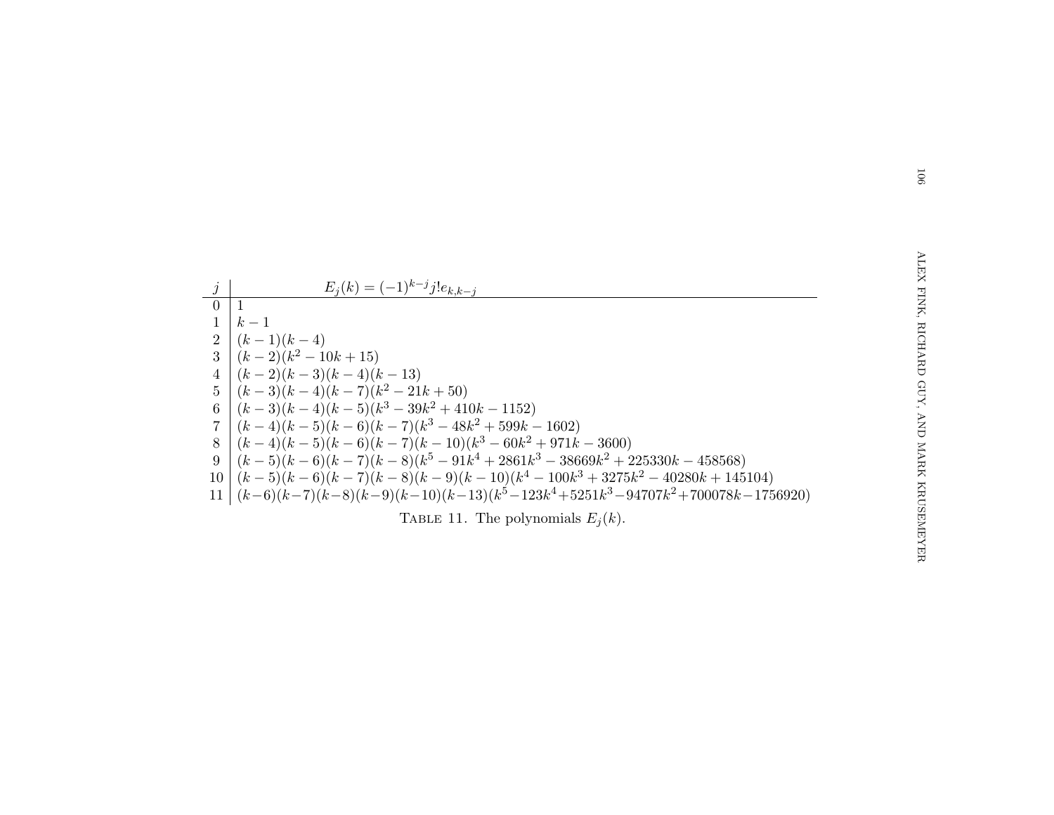|           | $E_i(k) = (-1)^{k-j} j! e_{k,k-j}$                                                 |
|-----------|------------------------------------------------------------------------------------|
| $\bar{0}$ |                                                                                    |
|           | $k-1$                                                                              |
|           | 2 $(k-1)(k-4)$                                                                     |
|           | $3 (k-2)(k^2-10k+15)$                                                              |
|           | $4 (k-2)(k-3)(k-4)(k-13)$                                                          |
|           | $5 (k-3)(k-4)(k-7)(k^2-21k+50)$                                                    |
|           | 6 $(k-3)(k-4)(k-5)(k^3-39k^2+410k-1152)$                                           |
|           | $7 (k-4)(k-5)(k-6)(k-7)(k^3-48k^2+599k-1602)$                                      |
|           | $8 \mid (k-4)(k-5)(k-6)(k-7)(k-10)(k^3-60k^2+971k-3600)$                           |
| 9         | $(k-5)(k-6)(k-7)(k-8)(k^5-91k^4+2861k^3-38669k^2+225330k-458568)$                  |
|           | $10 (k-5)(k-6)(k-7)(k-8)(k-9)(k-10)(k^4-100k^3+3275k^2-40280k+145104)$             |
|           | 11 $(k-6)(k-7)(k-8)(k-9)(k-10)(k-13)(k^5-123k^4+5251k^3-94707k^2+700078k-1756920)$ |
|           | TABLE 11. The polynomials $E_i(k)$ .                                               |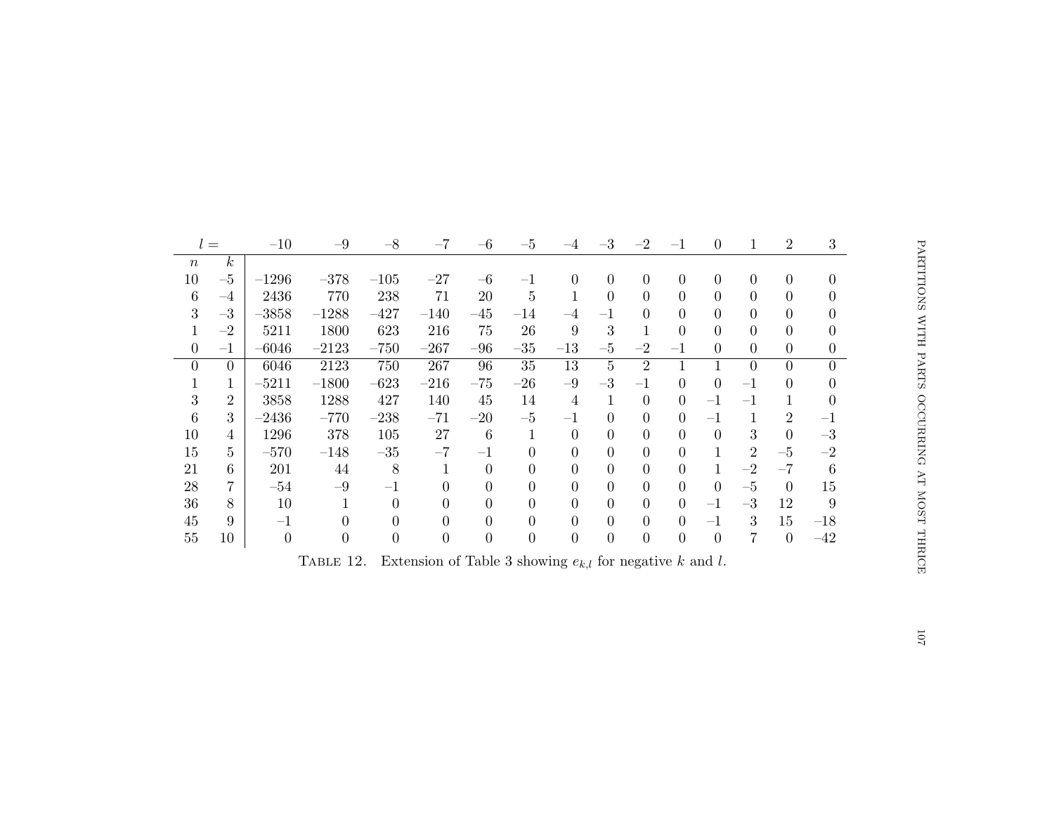|                                                                           | $l =$          | $-10$          | $-9$           | $-8\,$           | $-7$             | $-6$             | $-5$             | -4               | $-3$             | $-2$             | $-1$             | $\boldsymbol{0}$ | 1              | $\overline{2}$ | 3              |  |
|---------------------------------------------------------------------------|----------------|----------------|----------------|------------------|------------------|------------------|------------------|------------------|------------------|------------------|------------------|------------------|----------------|----------------|----------------|--|
| $\,n$                                                                     | $\kappa$       |                |                |                  |                  |                  |                  |                  |                  |                  |                  |                  |                |                |                |  |
| 10                                                                        | $-5$           | $-1296$        | $-378$         | $-105$           | $-27$            | $-6$             | $-1$             | $\overline{0}$   | $\overline{0}$   | $\overline{0}$   | $\overline{0}$   | $\boldsymbol{0}$ | $\overline{0}$ | $\overline{0}$ | $\Omega$       |  |
| $\,6\,$                                                                   | $-4$           | 2436           | 770            | 238              | 71               | 20               | $\overline{5}$   |                  | $\overline{0}$   | $\overline{0}$   | $\overline{0}$   | $\overline{0}$   | $\Omega$       | $\Omega$       | 0              |  |
| $\sqrt{3}$                                                                | $-3$           | $-3858$        | $-1288$        | $-427$           | $-140$           | $-45$            | $-14$            | $-4$             |                  | $\theta$         | $\overline{0}$   | $\overline{0}$   | $\overline{0}$ | $\Omega$       | 0              |  |
| 1                                                                         | $-2$           | 5211           | 1800           | 623              | 216              | 75               | $26\,$           | 9                | 3                | 1                | $\overline{0}$   | $\overline{0}$   | $\theta$       | $\overline{0}$ | 0              |  |
| $\boldsymbol{0}$                                                          | $-1$           | $-6046$        | $-2123$        | $-750$           | $-267$           | $-96$            | $-35$            | $-13$            | $-5$             | $-2$             | $-1$             | $\boldsymbol{0}$ | $\overline{0}$ | $\Omega$       | $\overline{0}$ |  |
| $\theta$                                                                  | $\overline{0}$ | 6046           | 2123           | 750              | 267              | 96               | 35               | 13               | $\overline{5}$   | $\overline{2}$   | $\mathbf{1}$     | $\mathbf{1}$     | $\overline{0}$ | $\Omega$       | $\Omega$       |  |
| 1                                                                         | 1              | $-5211$        | $-1800$        | $-623$           | $-216$           | $-75$            | $-26$            | $-9$             | $-3$             | $-1$             | $\overline{0}$   | $\boldsymbol{0}$ | $-1$           | $\Omega$       | $\Omega$       |  |
| 3                                                                         | $\overline{2}$ | 3858           | 1288           | 427              | 140              | 45               | 14               | $\overline{4}$   |                  | $\overline{0}$   | $\overline{0}$   | $-1$             | $-1$           |                |                |  |
| 6                                                                         | 3              | $-2436$        | $-770$         | $-238$           | $-71$            | $-20$            | $-5$             | $-1$             | $\theta$         | $\overline{0}$   | $\overline{0}$   | $-1$             | 1              | $\overline{2}$ | $-1$           |  |
| 10                                                                        | $\overline{4}$ | 1296           | 378            | 105              | 27               | $6\phantom{.}6$  | $\mathbf{1}$     | $\overline{0}$   | $\theta$         | $\overline{0}$   | $\overline{0}$   | $\overline{0}$   | 3              | $\overline{0}$ | $-3$           |  |
| 15                                                                        | 5.             | $-570$         | $-148$         | $-35$            | $-7$             | $-1$             | $\theta$         | $\overline{0}$   | $\theta$         | $\overline{0}$   | $\overline{0}$   | 1                | $\overline{2}$ | $-5$           | $-2$           |  |
| 21                                                                        | 6              | 201            | 44             | 8                | 1                | $\overline{0}$   | $\overline{0}$   | $\theta$         | $\Omega$         | $\Omega$         | $\overline{0}$   | $\mathbf{1}$     | $-2$           | $-7$           | 6              |  |
| $28\,$                                                                    | 7              | $-54$          | $-9$           | $-1$             | $\Omega$         | $\Omega$         | $\Omega$         | $\overline{0}$   | $\Omega$         | $\theta$         | $\overline{0}$   | $\boldsymbol{0}$ | $-5$           | $\overline{0}$ | 15             |  |
| $36\,$                                                                    | 8              | 10             | $\mathbf{1}$   | $\overline{0}$   | $\overline{0}$   | $\Omega$         | $\overline{0}$   | $\overline{0}$   | $\Omega$         | $\theta$         | $\overline{0}$   | $-1$             | $-3$           | 12             | 9              |  |
| 45                                                                        | 9              | $-1$           | $\theta$       | $\overline{0}$   | $\overline{0}$   | $\Omega$         | $\overline{0}$   | $\overline{0}$   | $\Omega$         | $\theta$         | $\overline{0}$   | $-1$             | 3              | 15             | $-18$          |  |
| 55                                                                        | 10             | $\overline{0}$ | $\overline{0}$ | $\boldsymbol{0}$ | $\boldsymbol{0}$ | $\boldsymbol{0}$ | $\boldsymbol{0}$ | $\boldsymbol{0}$ | $\boldsymbol{0}$ | $\boldsymbol{0}$ | $\boldsymbol{0}$ | $\boldsymbol{0}$ | 7              | $\overline{0}$ | $-42$          |  |
| Extension of Table 3 showing $e_{k,l}$ for negative k and l.<br>TABLE 12. |                |                |                |                  |                  |                  |                  |                  |                  |                  |                  |                  |                |                |                |  |
|                                                                           |                |                |                |                  |                  |                  |                  |                  |                  |                  |                  |                  |                |                |                |  |
|                                                                           |                |                |                |                  |                  |                  |                  |                  |                  |                  |                  |                  |                |                |                |  |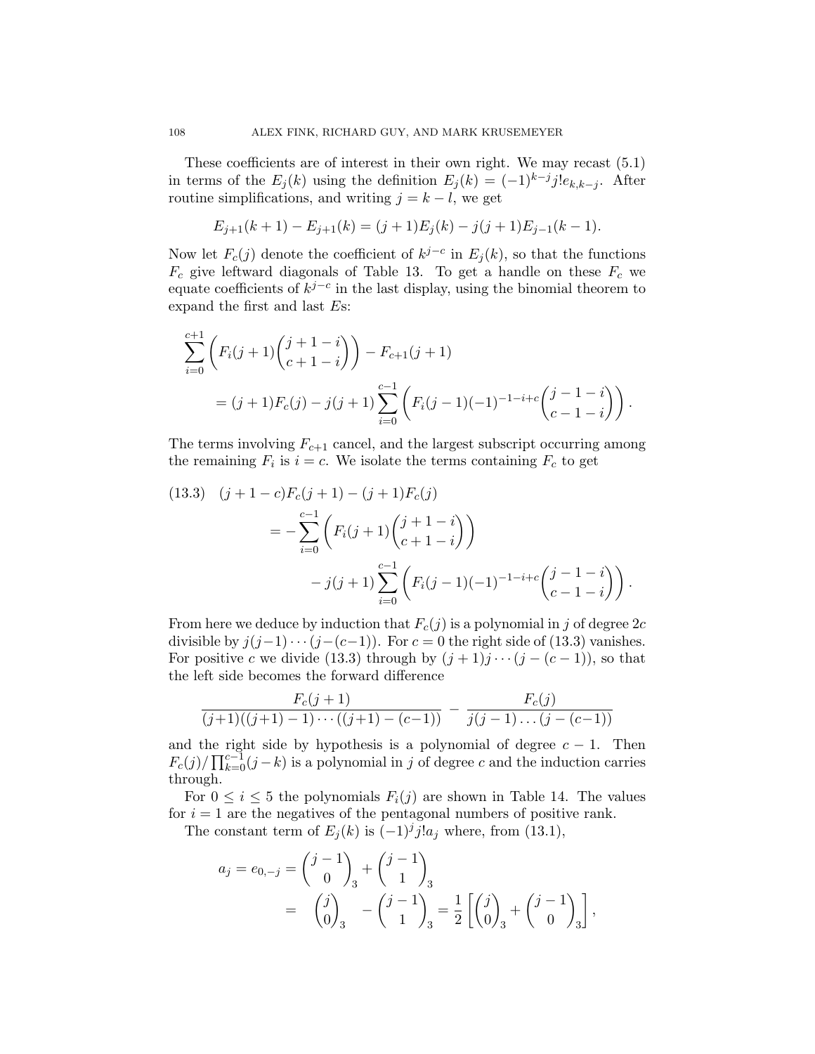These coefficients are of interest in their own right. We may recast (5.1) in terms of the  $E_j(k)$  using the definition  $E_j(k) = (-1)^{k-j} j! e_{k,k-j}$ . After routine simplifications, and writing  $j = k - l$ , we get

$$
E_{j+1}(k+1) - E_{j+1}(k) = (j+1)E_j(k) - j(j+1)E_{j-1}(k-1).
$$

Now let  $F_c(j)$  denote the coefficient of  $k^{j-c}$  in  $E_j(k)$ , so that the functions  $F_c$  give leftward diagonals of Table 13. To get a handle on these  $F_c$  we equate coefficients of  $k^{j-c}$  in the last display, using the binomial theorem to expand the first and last Es:

$$
\sum_{i=0}^{c+1} \left( F_i(j+1) \binom{j+1-i}{c+1-i} \right) - F_{c+1}(j+1)
$$
  
=  $(j+1)F_c(j) - j(j+1) \sum_{i=0}^{c-1} \left( F_i(j-1)(-1)^{-1-i+c} \binom{j-1-i}{c-1-i} \right).$ 

The terms involving  $F_{c+1}$  cancel, and the largest subscript occurring among the remaining  $F_i$  is  $i = c$ . We isolate the terms containing  $F_c$  to get

$$
(13.3) \quad (j+1-c)F_c(j+1) - (j+1)F_c(j)
$$
  
=  $-\sum_{i=0}^{c-1} \left( F_i(j+1) \binom{j+1-i}{c+1-i} \right)$   
 $-j(j+1) \sum_{i=0}^{c-1} \left( F_i(j-1)(-1)^{-1-i+c} \binom{j-1-i}{c-1-i} \right).$ 

From here we deduce by induction that  $F_c(j)$  is a polynomial in j of degree  $2c$ divisible by  $j(j-1)\cdots(j-(c-1))$ . For  $c=0$  the right side of (13.3) vanishes. For positive c we divide (13.3) through by  $(j + 1)j \cdots (j - (c - 1))$ , so that the left side becomes the forward difference

$$
\frac{F_c(j+1)}{(j+1)((j+1)-1)\cdots((j+1)-(c-1))} - \frac{F_c(j)}{j(j-1)\ldots(j-(c-1))}
$$

and the right side by hypothesis is a polynomial of degree  $c - 1$ . Then  $F_c(j)/\prod_{k=0}^{c-1}(j-k)$  is a polynomial in j of degree c and the induction carries through.

For  $0 \leq i \leq 5$  the polynomials  $F_i(j)$  are shown in Table 14. The values for  $i = 1$  are the negatives of the pentagonal numbers of positive rank.

The constant term of  $E_j(k)$  is  $(-1)^j j! a_j$  where, from (13.1),

$$
a_j = e_{0,-j} = {j-1 \choose 0}_3 + {j-1 \choose 1}_3
$$
  
=  ${j \choose 0}_3 - {j-1 \choose 1}_3 = \frac{1}{2} \left[ {j \choose 0}_3 + {j-1 \choose 0}_3 \right],$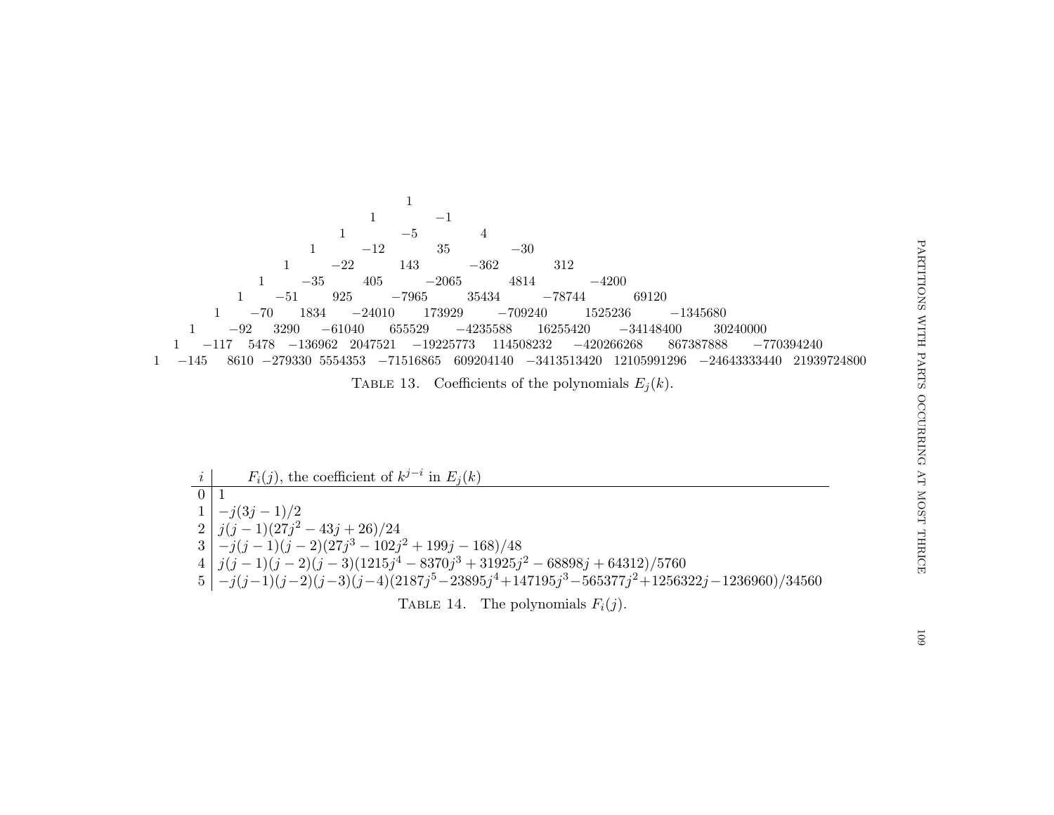11 $-5$ <sup>-1</sup> 11  $-5$  4 11  $-12$  35  $-30$ 11  $-22$  143  $-362$  312 1 $1 \t -35 \t 405 \t -2065 \t 4814 \t -4200$ 1 <sup>−</sup><sup>51</sup> <sup>925</sup> <sup>−</sup><sup>7965</sup> <sup>35434</sup> <sup>−</sup><sup>78744</sup> <sup>69120</sup> 1 <sup>−</sup><sup>70</sup> <sup>1834</sup> <sup>−</sup><sup>24010</sup> <sup>173929</sup> <sup>−</sup><sup>709240</sup> <sup>1525236</sup> <sup>−</sup><sup>1345680</sup> 1 <sup>−</sup><sup>92</sup> <sup>3290</sup> <sup>−</sup><sup>61040</sup> <sup>655529</sup> <sup>−</sup><sup>4235588</sup> <sup>16255420</sup> <sup>−</sup><sup>34148400</sup> <sup>30240000</sup> 1 <sup>−</sup><sup>117</sup> <sup>5478</sup> <sup>−</sup><sup>136962</sup> <sup>2047521</sup> <sup>−</sup><sup>19225773</sup> <sup>114508232</sup> <sup>−</sup><sup>420266268</sup> <sup>867387888</sup> <sup>−</sup><sup>770394240</sup>  $1 -145$ <sup>−</sup><sup>145</sup> <sup>8610</sup> <sup>−</sup><sup>279330</sup> <sup>5554353</sup> <sup>−</sup><sup>71516865</sup> <sup>609204140</sup> <sup>−</sup><sup>3413513420</sup> <sup>12105991296</sup> <sup>−</sup><sup>24643333440</sup> <sup>21939724800</sup>

TABLE 13. Coefficients of the polynomials  $E_j(k)$ .

i $i \mid F_i(j)$ , the coefficient of  $k^{j-i}$  in  $E_j(k)$  $\begin{array}{l} 0 \ 1 \ 1 \ -j(3j-1)/2 \ 2 \ \end{array} \begin{array}{l} j(j-1)(27j^2-43j+26)/24 \ 3 \ \end{array} \begin{array}{l} j(j-1)(27j^2-43j+26)/24 \ 4 \ \end{array} \begin{array}{l} j(j-1)(j-2)(27j^3-102j^2+199j-168)/48 \ 4 \ \end{array} \begin{array}{l} j(j-1)(j-2)(j-3)(1215j^4-8370j^3+31925j^2-68898j+64312)/5760 \ 5$ TABLE 14. The polynomials  $F_i(j)$ .

 $60\,\rm{I}$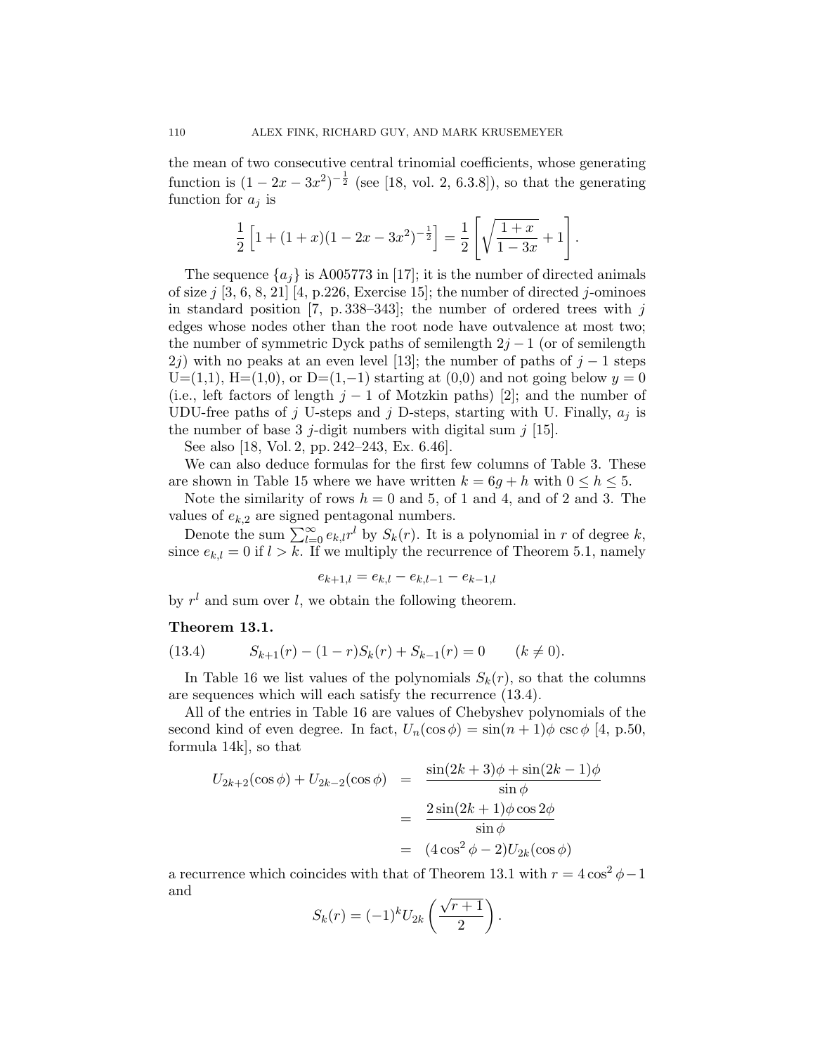the mean of two consecutive central trinomial coefficients, whose generating function is  $(1 - 2x - 3x^2)^{-\frac{1}{2}}$  (see [18, vol. 2, 6.3.8]), so that the generating function for  $a_i$  is

$$
\frac{1}{2}\left[1+(1+x)(1-2x-3x^2)^{-\frac{1}{2}}\right] = \frac{1}{2}\left[\sqrt{\frac{1+x}{1-3x}}+1\right].
$$

The sequence  $\{a_j\}$  is A005773 in [17]; it is the number of directed animals of size  $j$  [3, 6, 8, 21] [4, p.226, Exercise 15]; the number of directed  $j$ -ominoes in standard position [7, p. 338–343]; the number of ordered trees with  $j$ edges whose nodes other than the root node have outvalence at most two; the number of symmetric Dyck paths of semilength  $2j - 1$  (or of semilength 2j) with no peaks at an even level [13]; the number of paths of  $j-1$  steps  $U=(1,1), H=(1,0),$  or  $D=(1,-1)$  starting at  $(0,0)$  and not going below  $y=0$ (i.e., left factors of length  $j - 1$  of Motzkin paths) [2]; and the number of UDU-free paths of j U-steps and j D-steps, starting with U. Finally,  $a_i$  is the number of base 3 j-digit numbers with digital sum  $j$  [15].

See also [18, Vol. 2, pp. 242–243, Ex. 6.46].

We can also deduce formulas for the first few columns of Table 3. These are shown in Table 15 where we have written  $k = 6g + h$  with  $0 \leq h \leq 5$ .

Note the similarity of rows  $h = 0$  and 5, of 1 and 4, and of 2 and 3. The values of  $e_{k,2}$  are signed pentagonal numbers.

Denote the sum  $\sum_{l=0}^{\infty} e_{k,l} r^l$  by  $S_k(r)$ . It is a polynomial in r of degree k, since  $e_{k,l} = 0$  if  $l > k$ . If we multiply the recurrence of Theorem 5.1, namely

$$
e_{k+1,l} = e_{k,l} - e_{k,l-1} - e_{k-1,l}
$$

by  $r^l$  and sum over l, we obtain the following theorem.

#### Theorem 13.1.

(13.4) 
$$
S_{k+1}(r) - (1-r)S_k(r) + S_{k-1}(r) = 0 \qquad (k \neq 0).
$$

In Table 16 we list values of the polynomials  $S_k(r)$ , so that the columns are sequences which will each satisfy the recurrence (13.4).

All of the entries in Table 16 are values of Chebyshev polynomials of the second kind of even degree. In fact,  $U_n(\cos \phi) = \sin((n+1)\phi) \csc(\phi) [4, p.50]$ , formula 14k], so that

$$
U_{2k+2}(\cos\phi) + U_{2k-2}(\cos\phi) = \frac{\sin(2k+3)\phi + \sin(2k-1)\phi}{\sin\phi}
$$

$$
= \frac{2\sin(2k+1)\phi\cos 2\phi}{\sin\phi}
$$

$$
= (4\cos^2\phi - 2)U_{2k}(\cos\phi)
$$

a recurrence which coincides with that of Theorem 13.1 with  $r = 4 \cos^2 \phi - 1$ and

$$
S_k(r) = (-1)^k U_{2k} \left(\frac{\sqrt{r+1}}{2}\right).
$$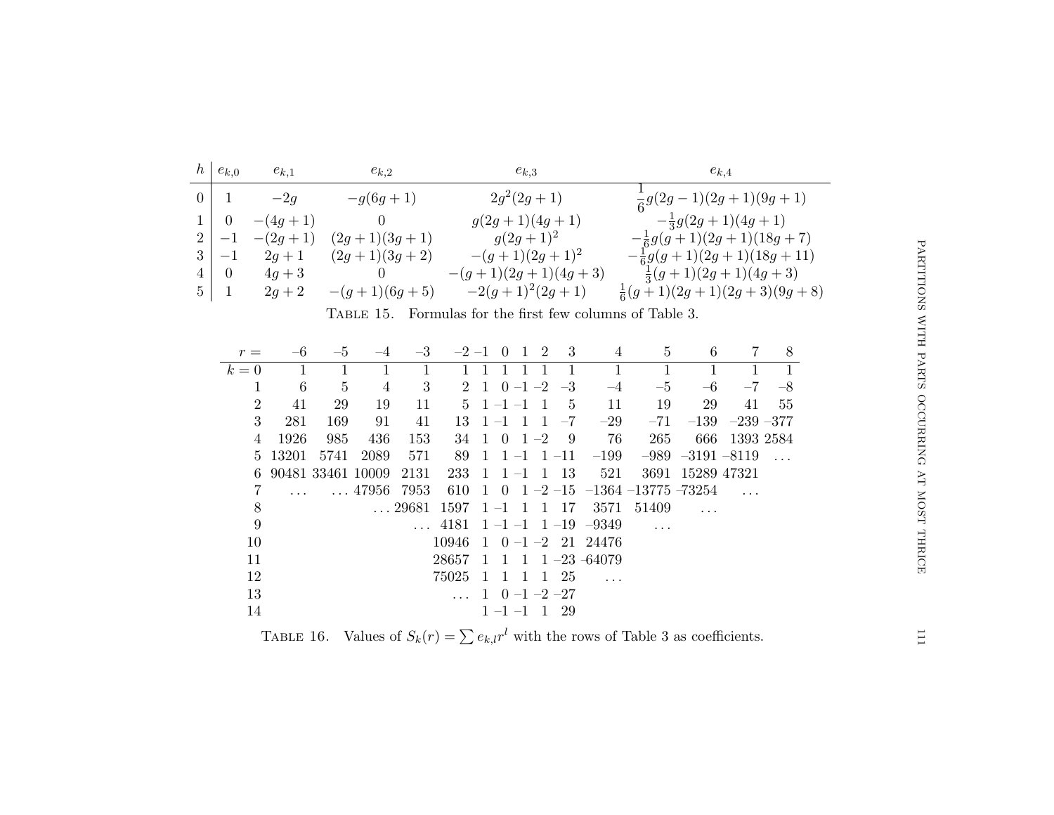|   | $\mid e_{k,0}$ | $e_{k,1}$ | $e_{k,2}$      | $e_{k,3}$            | $e_{k,4}$                            |
|---|----------------|-----------|----------------|----------------------|--------------------------------------|
|   |                | $-2g$     | $-g(6g+1)$     | $2g^2(2g+1)$         | $\frac{1}{6}g(2g-1)(2g+1)(9g+1)$     |
|   |                | $-(4g+1)$ |                | $g(2g+1)(4g+1)$      | $-\frac{1}{3}g(2g+1)(4g+1)$          |
|   | $2 -1$         | $-(2g+1)$ | $(2g+1)(3g+1)$ | $g(2g+1)^2$          | $-\frac{1}{6}g(g+1)(2g+1)(18g+7)$    |
|   | $-1$           | $2g + 1$  | $(2g+1)(3g+2)$ | $-(g+1)(2g+1)^2$     | $-\frac{1}{6}g(g+1)(2g+1)(18g+11)$   |
| 4 | $\overline{0}$ | $4g + 3$  | $\theta$       | $-(g+1)(2g+1)(4g+3)$ | $\frac{1}{3}(g+1)(2g+1)(4g+3)$       |
|   | $5 \mid 1$     | $2g + 2$  | $-(g+1)(6g+5)$ | $-2(g+1)^2(2g+1)$    | $\frac{1}{6}(g+1)(2g+1)(2g+3)(9g+8)$ |

|  |  |  |  |  |  |  |  | TABLE 15. Formulas for the first few columns of Table 3. |  |  |  |  |
|--|--|--|--|--|--|--|--|----------------------------------------------------------|--|--|--|--|
|--|--|--|--|--|--|--|--|----------------------------------------------------------|--|--|--|--|

| $r =$          |       | $-5$              | $-4$                | $-3$       |       |                | $-2$ $-1$ 0 1  |                | -2              | -3              | 4                              | 5     | 6                      | 7                | 8    |
|----------------|-------|-------------------|---------------------|------------|-------|----------------|----------------|----------------|-----------------|-----------------|--------------------------------|-------|------------------------|------------------|------|
| $k=0$          |       |                   |                     |            |       |                |                |                |                 |                 |                                |       |                        |                  |      |
|                | 6     | 5                 | 4                   | 3          |       | 2 1            | $0 - 1 - 2$    |                |                 | $-3$            | $-4$                           | $-5$  | $-6$                   | $-7$             | $-8$ |
| $\overline{2}$ | 41    | 29                | 19                  | 11         |       |                | $5 \t-1 \t-1$  |                | $\overline{1}$  | $5\overline{)}$ | 11                             | 19    | 29                     | 41               | 55   |
| 3              | 281   | 169               | 91                  | 41         | 13    | $1 - 1$        | $\overline{1}$ |                | $\overline{1}$  | $-7$            | $-29$                          | $-71$ |                        | $-139 -239 -377$ |      |
| 4              | 1926  | 985               | 436                 | 153        | 34    | $\overline{1}$ | $0 \t1 -2$     |                |                 | - 9             | 76                             | 265   | 666                    | 1393 2584        |      |
| 5.             | 13201 | 5741              | 2089                | 571        | 89    | -1             | $1 - 1$        |                |                 | $1 - 11$        | $-199$                         |       | $-989$ $-3191$ $-8119$ |                  |      |
| 6.             |       | 90481 33461 10009 |                     | 2131       | 233   | -1             | $1 - 1$        |                |                 | 1 13            | 521                            | 3691  | 15289 47321            |                  |      |
|                |       |                   | $\ldots$ 47956 7953 |            | 610   | $\overline{1}$ |                |                |                 |                 | 0 1 -2 -15 -1364 -13775 -73254 |       |                        |                  |      |
| 8              |       |                   |                     | 29681 1597 |       | $1 - 1$        |                | $\overline{1}$ | $\mathbf{1}$    | 17              | 3571                           | 51409 |                        |                  |      |
| 9              |       |                   |                     |            | 4181  |                |                |                |                 |                 | $1 - 1 - 1$ $1 - 19$ $-9349$   |       |                        |                  |      |
| 10             |       |                   |                     |            | 10946 | $\overline{1}$ |                |                |                 |                 | $0 - 1 - 2$ 21 24476           |       |                        |                  |      |
| 11             |       |                   |                     |            | 28657 | $\overline{1}$ | $1 \quad 1$    |                |                 |                 | $1 - 23 - 64079$               |       |                        |                  |      |
| 12             |       |                   |                     |            | 75025 | -1             | 1 1            |                | $\vert 1 \vert$ | 25              |                                |       |                        |                  |      |
| 13             |       |                   |                     |            |       | 1.             | $0 -1 -2 -27$  |                |                 |                 |                                |       |                        |                  |      |
| 14             |       |                   |                     |            |       |                | $1 - 1 - 1$    |                |                 | 29              |                                |       |                        |                  |      |

TABLE 16. Values of  $S_k(r) = \sum e_{k,l}r^l$  with the rows of Table 3 as coefficients.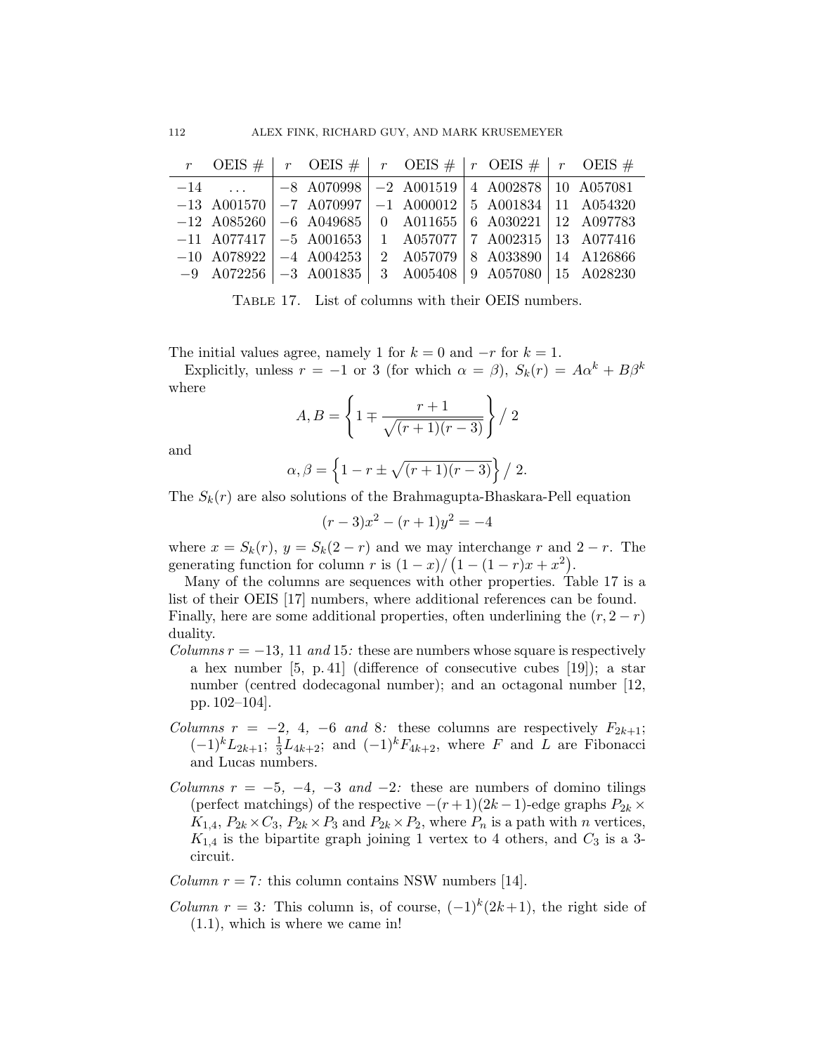|  |  | r OEIS #   r OEIS #   r OEIS #   r OEIS #   r OEIS #            |  |  |
|--|--|-----------------------------------------------------------------|--|--|
|  |  | $-14$ $ -8$ A070998 $ -2$ A001519 $ 4$ A002878 10 A057081       |  |  |
|  |  | $-13$ A001570 $ -7$ A070997 $ -1$ A000012 5 A001834 11 A054320  |  |  |
|  |  | $-12$ A085260 $-6$ A049685 0 A011655 6 A030221 12 A097783       |  |  |
|  |  | $-11$ A077417 $\vert -5$ A001653 1 A057077 7 A002315 13 A077416 |  |  |
|  |  | $-10$ A078922 $-4$ A004253 $2$ A057079 8 A033890 14 A126866     |  |  |
|  |  | $-9$ A072256 $-3$ A001835 3 A005408 9 A057080 15 A028230        |  |  |

Table 17. List of columns with their OEIS numbers.

The initial values agree, namely 1 for  $k = 0$  and  $-r$  for  $k = 1$ .

Explicitly, unless  $r = -1$  or 3 (for which  $\alpha = \beta$ ),  $S_k(r) = A\alpha^k + B\beta^k$ where

$$
A, B = \left\{ 1 \mp \frac{r+1}{\sqrt{(r+1)(r-3)}} \right\} / 2
$$

and

$$
\alpha, \beta = \left\{1 - r \pm \sqrt{(r+1)(r-3)}\right\} / 2.
$$

The  $S_k(r)$  are also solutions of the Brahmagupta-Bhaskara-Pell equation

$$
(r-3)x^2 - (r+1)y^2 = -4
$$

where  $x = S_k(r)$ ,  $y = S_k(2 - r)$  and we may interchange r and  $2 - r$ . The generating function for column r is  $(1-x)/(1-(1-r)x+x^2)$ .

Many of the columns are sequences with other properties. Table 17 is a list of their OEIS [17] numbers, where additional references can be found. Finally, here are some additional properties, often underlining the  $(r, 2 - r)$ duality.

- Columns  $r = -13$ , 11 and 15: these are numbers whose square is respectively a hex number [5, p. 41] (difference of consecutive cubes [19]); a star number (centred dodecagonal number); and an octagonal number [12, pp. 102–104].
- Columns  $r = -2$ , 4,  $-6$  and 8: these columns are respectively  $F_{2k+1}$ ;  $(-1)^k L_{2k+1}; \frac{1}{3}$  $\frac{1}{3}L_{4k+2}$ ; and  $(-1)^k F_{4k+2}$ , where F and L are Fibonacci and Lucas numbers.
- Columns  $r = -5, -4, -3$  and  $-2$ : these are numbers of domino tilings (perfect matchings) of the respective  $-(r+1)(2k-1)$ -edge graphs  $P_{2k} \times$  $K_{1,4}, P_{2k} \times C_3, P_{2k} \times P_3$  and  $P_{2k} \times P_2$ , where  $P_n$  is a path with *n* vertices,  $K_{1,4}$  is the bipartite graph joining 1 vertex to 4 others, and  $C_3$  is a 3circuit.

Column  $r = 7$ : this column contains NSW numbers [14].

*Column r* = 3: This column is, of course,  $(-1)^k(2k+1)$ , the right side of (1.1), which is where we came in!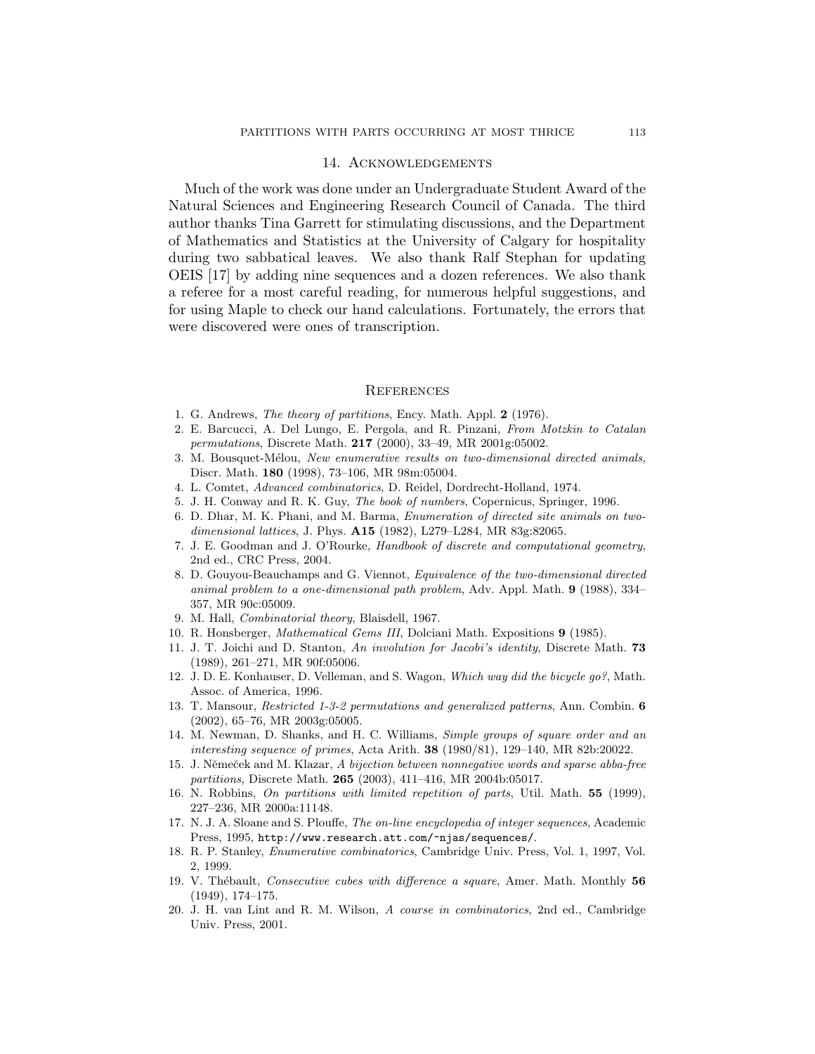#### 14. Acknowledgements

Much of the work was done under an Undergraduate Student Award of the Natural Sciences and Engineering Research Council of Canada. The third author thanks Tina Garrett for stimulating discussions, and the Department of Mathematics and Statistics at the University of Calgary for hospitality during two sabbatical leaves. We also thank Ralf Stephan for updating OEIS [17] by adding nine sequences and a dozen references. We also thank a referee for a most careful reading, for numerous helpful suggestions, and for using Maple to check our hand calculations. Fortunately, the errors that were discovered were ones of transcription.

#### **REFERENCES**

- 1. G. Andrews, The theory of partitions, Ency. Math. Appl. 2 (1976).
- 2. E. Barcucci, A. Del Lungo, E. Pergola, and R. Pinzani, From Motzkin to Catalan permutations, Discrete Math. 217 (2000), 33–49, MR 2001g:05002.
- 3. M. Bousquet-Mélou, New enumerative results on two-dimensional directed animals, Discr. Math. 180 (1998), 73–106, MR 98m:05004.
- 4. L. Comtet, Advanced combinatorics, D. Reidel, Dordrecht-Holland, 1974.
- 5. J. H. Conway and R. K. Guy, The book of numbers, Copernicus, Springer, 1996.
- 6. D. Dhar, M. K. Phani, and M. Barma, Enumeration of directed site animals on twodimensional lattices, J. Phys. A15 (1982), L279–L284, MR 83g:82065.
- 7. J. E. Goodman and J. O'Rourke, Handbook of discrete and computational geometry, 2nd ed., CRC Press, 2004.
- 8. D. Gouyou-Beauchamps and G. Viennot, Equivalence of the two-dimensional directed animal problem to a one-dimensional path problem, Adv. Appl. Math. 9 (1988), 334– 357, MR 90c:05009.
- 9. M. Hall, Combinatorial theory, Blaisdell, 1967.
- 10. R. Honsberger, Mathematical Gems III, Dolciani Math. Expositions 9 (1985).
- 11. J. T. Joichi and D. Stanton, An involution for Jacobi's identity, Discrete Math. 73 (1989), 261–271, MR 90f:05006.
- 12. J. D. E. Konhauser, D. Velleman, and S. Wagon, Which way did the bicycle go?, Math. Assoc. of America, 1996.
- 13. T. Mansour, Restricted 1-3-2 permutations and generalized patterns, Ann. Combin. 6 (2002), 65–76, MR 2003g:05005.
- 14. M. Newman, D. Shanks, and H. C. Williams, Simple groups of square order and an interesting sequence of primes, Acta Arith. 38 (1980/81), 129–140, MR 82b:20022.
- 15. J. Němeček and M. Klazar, A bijection between nonnegative words and sparse abba-free partitions, Discrete Math. 265 (2003), 411–416, MR 2004b:05017.
- 16. N. Robbins, On partitions with limited repetition of parts, Util. Math. 55 (1999), 227–236, MR 2000a:11148.
- 17. N. J. A. Sloane and S. Plouffe, The on-line encyclopedia of integer sequences, Academic Press, 1995, http://www.research.att.com/~njas/sequences/.
- 18. R. P. Stanley, Enumerative combinatorics, Cambridge Univ. Press, Vol. 1, 1997, Vol. 2, 1999.
- 19. V. Thébault, Consecutive cubes with difference a square, Amer. Math. Monthly 56 (1949), 174–175.
- 20. J. H. van Lint and R. M. Wilson, A course in combinatorics, 2nd ed., Cambridge Univ. Press, 2001.